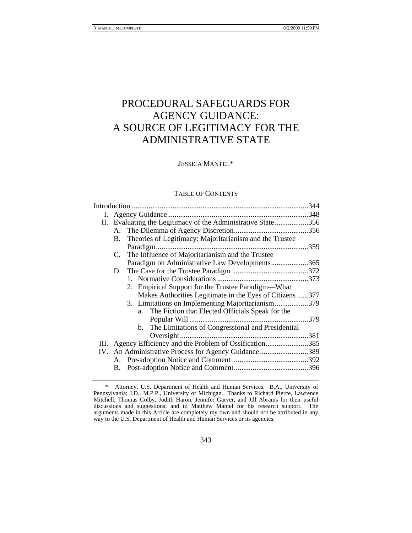# PROCEDURAL SAFEGUARDS FOR AGENCY GUIDANCE: A SOURCE OF LEGITIMACY FOR THE ADMINISTRATIVE STATE

JESSICA MANTEL\*

#### TABLE OF CONTENTS

|    |           |                                                              | 344  |
|----|-----------|--------------------------------------------------------------|------|
|    |           |                                                              |      |
|    |           | II. Evaluating the Legitimacy of the Administrative State356 |      |
|    | А.        |                                                              |      |
|    | <b>B.</b> | Theories of Legitimacy: Majoritarianism and the Trustee      |      |
|    |           |                                                              |      |
|    | C.        | The Influence of Majoritarianism and the Trustee             |      |
|    |           | Paradigm on Administrative Law Developments365               |      |
|    |           |                                                              |      |
|    |           |                                                              |      |
|    |           | 2. Empirical Support for the Trustee Paradigm—What           |      |
|    |           | Makes Authorities Legitimate in the Eyes of Citizens 377     |      |
|    |           | 3. Limitations on Implementing Majoritarianism379            |      |
|    |           | a. The Fiction that Elected Officials Speak for the          |      |
|    |           | Popular Will                                                 | .379 |
|    |           | The Limitations of Congressional and Presidential<br>b.      |      |
|    |           |                                                              |      |
| Ш. |           | Agency Efficiency and the Problem of Ossification385         |      |
|    |           | IV. An Administrative Process for Agency Guidance389         |      |
|    |           |                                                              |      |
|    | B.        |                                                              |      |
|    |           |                                                              |      |

 <sup>\*</sup> Attorney, U.S. Department of Health and Human Services. B.A., University of Pennsylvania; J.D., M.P.P., University of Michigan. Thanks to Richard Pierce, Lawrence Mitchell, Thomas Colby, Judith Haron, Jennifer Garver, and Jill Abrams for their useful discussions and suggestions; and to Matthew Mantel for his research support. The arguments made in this Article are completely my own and should not be attributed in any way to the U.S. Department of Health and Human Services or its agencies.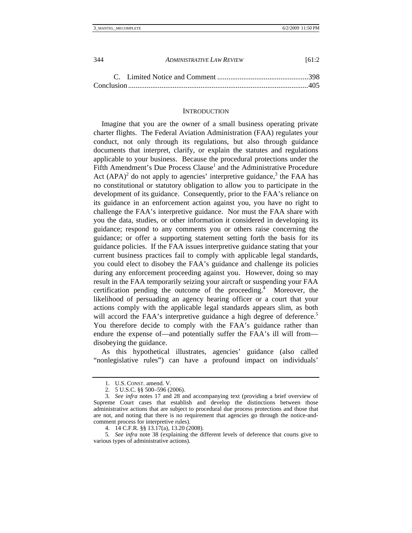#### **INTRODUCTION**

Imagine that you are the owner of a small business operating private charter flights. The Federal Aviation Administration (FAA) regulates your conduct, not only through its regulations, but also through guidance documents that interpret, clarify, or explain the statutes and regulations applicable to your business. Because the procedural protections under the Fifth Amendment's Due Process Clause<sup>1</sup> and the Administrative Procedure Act  $(APA)^2$  do not apply to agencies' interpretive guidance,<sup>3</sup> the FAA has no constitutional or statutory obligation to allow you to participate in the development of its guidance. Consequently, prior to the FAA's reliance on its guidance in an enforcement action against you, you have no right to challenge the FAA's interpretive guidance. Nor must the FAA share with you the data, studies, or other information it considered in developing its guidance; respond to any comments you or others raise concerning the guidance; or offer a supporting statement setting forth the basis for its guidance policies. If the FAA issues interpretive guidance stating that your current business practices fail to comply with applicable legal standards, you could elect to disobey the FAA's guidance and challenge its policies during any enforcement proceeding against you. However, doing so may result in the FAA temporarily seizing your aircraft or suspending your FAA certification pending the outcome of the proceeding.<sup>4</sup> Moreover, the likelihood of persuading an agency hearing officer or a court that your actions comply with the applicable legal standards appears slim, as both will accord the FAA's interpretive guidance a high degree of deference.<sup>5</sup> You therefore decide to comply with the FAA's guidance rather than endure the expense of—and potentially suffer the FAA's ill will from disobeying the guidance.

As this hypothetical illustrates, agencies' guidance (also called "nonlegislative rules") can have a profound impact on individuals'

 <sup>1.</sup> U.S. CONST. amend. V.

 <sup>2. 5</sup> U.S.C. §§ 500–596 (2006).

<sup>3</sup>*. See infra* notes 17 and 28 and accompanying text (providing a brief overview of Supreme Court cases that establish and develop the distinctions between those administrative actions that are subject to procedural due process protections and those that are not, and noting that there is no requirement that agencies go through the notice-andcomment process for interpretive rules).

 <sup>4. 14</sup> C.F.R. §§ 13.17(a), 13.20 (2008).

<sup>5</sup>*. See infra* note 38 (explaining the different levels of deference that courts give to various types of administrative actions).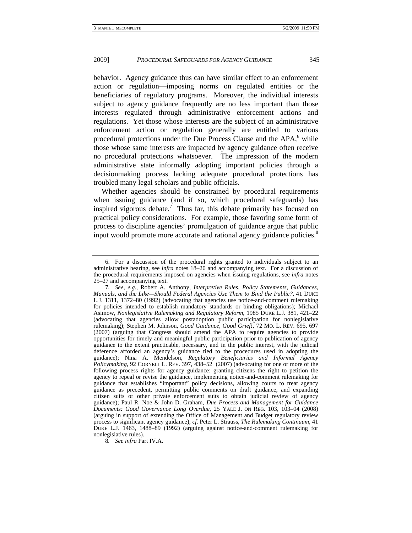behavior. Agency guidance thus can have similar effect to an enforcement action or regulation—imposing norms on regulated entities or the beneficiaries of regulatory programs. Moreover, the individual interests subject to agency guidance frequently are no less important than those interests regulated through administrative enforcement actions and regulations. Yet those whose interests are the subject of an administrative enforcement action or regulation generally are entitled to various procedural protections under the Due Process Clause and the APA,<sup>6</sup> while those whose same interests are impacted by agency guidance often receive no procedural protections whatsoever. The impression of the modern administrative state informally adopting important policies through a decisionmaking process lacking adequate procedural protections has troubled many legal scholars and public officials.

Whether agencies should be constrained by procedural requirements when issuing guidance (and if so, which procedural safeguards) has inspired vigorous debate.<sup>7</sup> Thus far, this debate primarily has focused on practical policy considerations. For example, those favoring some form of process to discipline agencies' promulgation of guidance argue that public input would promote more accurate and rational agency guidance policies.<sup>8</sup>

 <sup>6.</sup> For a discussion of the procedural rights granted to individuals subject to an administrative hearing, see *infra* notes 18–20 and accompanying text. For a discussion of the procedural requirements imposed on agencies when issuing regulations, see *infra* notes 25–27 and accompanying text.

<sup>7</sup>*. See, e.g.*, Robert A. Anthony, *Interpretive Rules, Policy Statements, Guidances, Manuals, and the Like—Should Federal Agencies Use Them to Bind the Public?*, 41 DUKE L.J. 1311, 1372–80 (1992) (advocating that agencies use notice-and-comment rulemaking for policies intended to establish mandatory standards or binding obligations); Michael Asimow, *Nonlegislative Rulemaking and Regulatory Reform*, 1985 DUKE L.J. 381, 421–22 (advocating that agencies allow postadoption public participation for nonlegislative rulemaking); Stephen M. Johnson, *Good Guidance, Good Grief!*, 72 MO. L. REV. 695, 697 (2007) (arguing that Congress should amend the APA to require agencies to provide opportunities for timely and meaningful public participation prior to publication of agency guidance to the extent practicable, necessary, and in the public interest, with the judicial deference afforded an agency's guidance tied to the procedures used in adopting the guidance); Nina A. Mendelson, *Regulatory Beneficiaries and Informal Agency Policymaking*, 92 CORNELL L. REV. 397, 438–52 (2007) (advocating for one or more of the following process rights for agency guidance: granting citizens the right to petition the agency to repeal or revise the guidance, implementing notice-and-comment rulemaking for guidance that establishes "important" policy decisions, allowing courts to treat agency guidance as precedent, permitting public comments on draft guidance, and expanding citizen suits or other private enforcement suits to obtain judicial review of agency guidance); Paul R. Noe & John D. Graham, *Due Process and Management for Guidance Documents: Good Governance Long Overdue*, 25 YALE J. ON REG. 103, 103–04 (2008) (arguing in support of extending the Office of Management and Budget regulatory review process to significant agency guidance); *cf.* Peter L. Strauss, *The Rulemaking Continuum*, 41 DUKE L.J. 1463, 1488–89 (1992) (arguing against notice-and-comment rulemaking for nonlegislative rules).

<sup>8</sup>*. See infra* Part IV.A.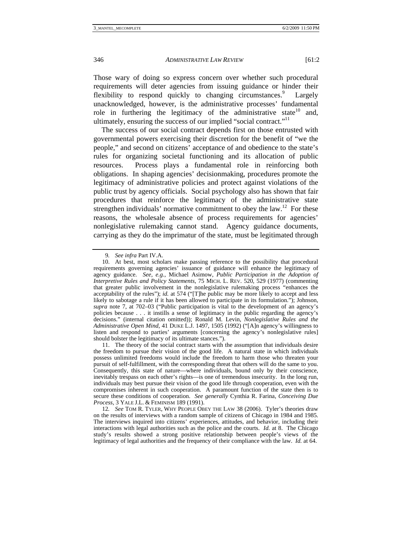Those wary of doing so express concern over whether such procedural requirements will deter agencies from issuing guidance or hinder their flexibility to respond quickly to changing circumstances.<sup>9</sup> Largely unacknowledged, however, is the administrative processes' fundamental role in furthering the legitimacy of the administrative state<sup>10</sup> and, ultimately, ensuring the success of our implied "social contract."<sup>11</sup>

The success of our social contract depends first on those entrusted with governmental powers exercising their discretion for the benefit of "we the people," and second on citizens' acceptance of and obedience to the state's rules for organizing societal functioning and its allocation of public resources. Process plays a fundamental role in reinforcing both obligations. In shaping agencies' decisionmaking, procedures promote the legitimacy of administrative policies and protect against violations of the public trust by agency officials. Social psychology also has shown that fair procedures that reinforce the legitimacy of the administrative state strengthen individuals' normative commitment to obey the law.<sup>12</sup> For these reasons, the wholesale absence of process requirements for agencies' nonlegislative rulemaking cannot stand. Agency guidance documents, carrying as they do the imprimatur of the state, must be legitimated through

<sup>9</sup>*. See infra* Part IV.A.

 <sup>10.</sup> At best, most scholars make passing reference to the possibility that procedural requirements governing agencies' issuance of guidance will enhance the legitimacy of agency guidance. *See, e.g.*, Michael Asimow, *Public Participation in the Adoption of Interpretive Rules and Policy Statements*, 75 MICH. L. REV. 520, 529 (1977) (commenting that greater public involvement in the nonlegislative rulemaking process "enhances the acceptability of the rules"); *id.* at 574 ("[T]he public may be more likely to accept and less likely to sabotage a rule if it has been allowed to participate in its formulation."); Johnson, *supra* note 7, at 702–03 ("Public participation is vital to the development of an agency's policies because . . . it instills a sense of legitimacy in the public regarding the agency's decisions." (internal citation omitted)); Ronald M. Levin, *Nonlegislative Rules and the Administrative Open Mind*, 41 DUKE L.J. 1497, 1505 (1992) ("[A]n agency's willingness to listen and respond to parties' arguments [concerning the agency's nonlegislative rules] should bolster the legitimacy of its ultimate stances.").

 <sup>11.</sup> The theory of the social contract starts with the assumption that individuals desire the freedom to pursue their vision of the good life. A natural state in which individuals possess unlimited freedoms would include the freedom to harm those who threaten your pursuit of self-fulfillment, with the corresponding threat that others will do the same to you. Consequently, this state of nature—where individuals, bound only by their conscience, inevitably trespass on each other's rights—is one of tremendous insecurity. In the long run, individuals may best pursue their vision of the good life through cooperation, even with the compromises inherent in such cooperation. A paramount function of the state then is to secure these conditions of cooperation. *See generally* Cynthia R. Farina, *Conceiving Due Process*, 3 YALE J.L. & FEMINISM 189 (1991).

<sup>12</sup>*. See* TOM R. TYLER, WHY PEOPLE OBEY THE LAW 38 (2006). Tyler's theories draw on the results of interviews with a random sample of citizens of Chicago in 1984 and 1985. The interviews inquired into citizens' experiences, attitudes, and behavior, including their interactions with legal authorities such as the police and the courts. *Id.* at 8. The Chicago study's results showed a strong positive relationship between people's views of the legitimacy of legal authorities and the frequency of their compliance with the law. *Id.* at 64.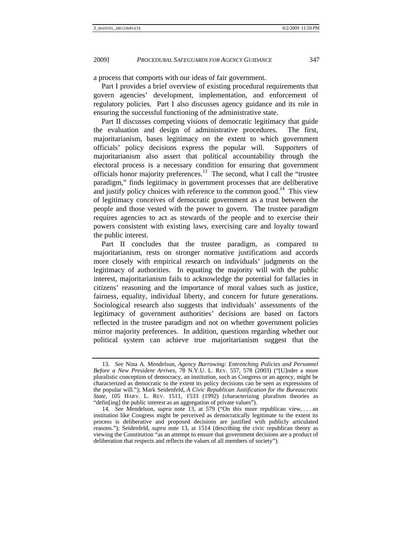a process that comports with our ideas of fair government.

Part I provides a brief overview of existing procedural requirements that govern agencies' development, implementation, and enforcement of regulatory policies. Part I also discusses agency guidance and its role in ensuring the successful functioning of the administrative state.

Part II discusses competing visions of democratic legitimacy that guide the evaluation and design of administrative procedures. The first, majoritarianism, bases legitimacy on the extent to which government officials' policy decisions express the popular will. Supporters of majoritarianism also assert that political accountability through the electoral process is a necessary condition for ensuring that government officials honor majority preferences.13 The second, what I call the "trustee paradigm," finds legitimacy in government processes that are deliberative and justify policy choices with reference to the common good.<sup>14</sup> This view of legitimacy conceives of democratic government as a trust between the people and those vested with the power to govern. The trustee paradigm requires agencies to act as stewards of the people and to exercise their powers consistent with existing laws, exercising care and loyalty toward the public interest.

Part II concludes that the trustee paradigm, as compared to majoritarianism, rests on stronger normative justifications and accords more closely with empirical research on individuals' judgments on the legitimacy of authorities. In equating the majority will with the public interest, majoritarianism fails to acknowledge the potential for fallacies in citizens' reasoning and the importance of moral values such as justice, fairness, equality, individual liberty, and concern for future generations. Sociological research also suggests that individuals' assessments of the legitimacy of government authorities' decisions are based on factors reflected in the trustee paradigm and not on whether government policies mirror majority preferences. In addition, questions regarding whether our political system can achieve true majoritarianism suggest that the

<sup>13</sup>*. See* Nina A. Mendelson, *Agency Burrowing: Entrenching Policies and Personnel Before a New President Arrives*, 78 N.Y.U. L. REV. 557, 578 (2003) ("[U]nder a more pluralistic conception of democracy, an institution, such as Congress or an agency, might be characterized as democratic to the extent its policy decisions can be seen as expressions of the popular will."); Mark Seidenfeld, *A Civic Republican Justification for the Bureaucratic State*, 105 HARV. L. REV. 1511, 1533 (1992) (characterizing pluralism theories as "defin[ing] the public interest as an aggregation of private values").

<sup>14</sup>*. See* Mendelson, *supra* note 13, at 579 ("On this more republican view, . . . an institution like Congress might be perceived as democratically legitimate to the extent its process is deliberative and proposed decisions are justified with publicly articulated reasons."); Seidenfeld, *supra* note 13, at 1514 (describing the civic republican theory as viewing the Constitution "as an attempt to ensure that government decisions are a product of deliberation that respects and reflects the values of all members of society").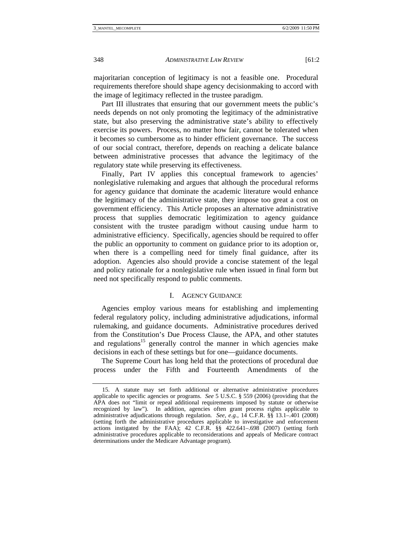majoritarian conception of legitimacy is not a feasible one. Procedural requirements therefore should shape agency decisionmaking to accord with the image of legitimacy reflected in the trustee paradigm.

Part III illustrates that ensuring that our government meets the public's needs depends on not only promoting the legitimacy of the administrative state, but also preserving the administrative state's ability to effectively exercise its powers. Process, no matter how fair, cannot be tolerated when it becomes so cumbersome as to hinder efficient governance. The success of our social contract, therefore, depends on reaching a delicate balance between administrative processes that advance the legitimacy of the regulatory state while preserving its effectiveness.

Finally, Part IV applies this conceptual framework to agencies' nonlegislative rulemaking and argues that although the procedural reforms for agency guidance that dominate the academic literature would enhance the legitimacy of the administrative state, they impose too great a cost on government efficiency. This Article proposes an alternative administrative process that supplies democratic legitimization to agency guidance consistent with the trustee paradigm without causing undue harm to administrative efficiency. Specifically, agencies should be required to offer the public an opportunity to comment on guidance prior to its adoption or, when there is a compelling need for timely final guidance, after its adoption. Agencies also should provide a concise statement of the legal and policy rationale for a nonlegislative rule when issued in final form but need not specifically respond to public comments.

#### I. AGENCY GUIDANCE

Agencies employ various means for establishing and implementing federal regulatory policy, including administrative adjudications, informal rulemaking, and guidance documents. Administrative procedures derived from the Constitution's Due Process Clause, the APA, and other statutes and regulations<sup>15</sup> generally control the manner in which agencies make decisions in each of these settings but for one—guidance documents.

The Supreme Court has long held that the protections of procedural due process under the Fifth and Fourteenth Amendments of the

 <sup>15.</sup> A statute may set forth additional or alternative administrative procedures applicable to specific agencies or programs. *See* 5 U.S.C. § 559 (2006) (providing that the APA does not "limit or repeal additional requirements imposed by statute or otherwise recognized by law"). In addition, agencies often grant process rights applicable to administrative adjudications through regulation. *See, e.g.*, 14 C.F.R. §§ 13.1-401 (2008) (setting forth the administrative procedures applicable to investigative and enforcement actions instigated by the FAA); 42 C.F.R. §§ 422.641–.698 (2007) (setting forth administrative procedures applicable to reconsiderations and appeals of Medicare contract determinations under the Medicare Advantage program).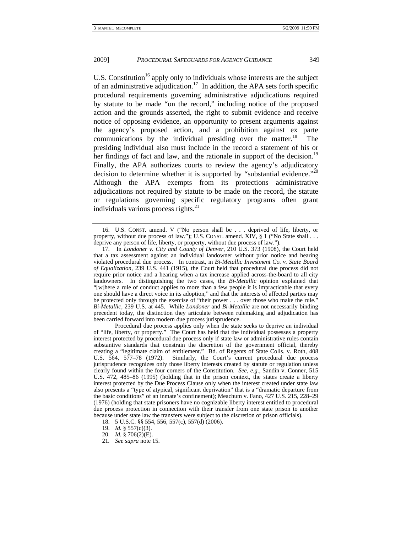U.S. Constitution<sup>16</sup> apply only to individuals whose interests are the subject of an administrative adjudication.<sup>17</sup> In addition, the APA sets forth specific procedural requirements governing administrative adjudications required by statute to be made "on the record," including notice of the proposed action and the grounds asserted, the right to submit evidence and receive notice of opposing evidence, an opportunity to present arguments against the agency's proposed action, and a prohibition against ex parte communications by the individual presiding over the matter.<sup>18</sup> The presiding individual also must include in the record a statement of his or her findings of fact and law, and the rationale in support of the decision.<sup>19</sup> Finally, the APA authorizes courts to review the agency's adjudicatory decision to determine whether it is supported by "substantial evidence."<sup>20</sup> Although the APA exempts from its protections administrative adjudications not required by statute to be made on the record, the statute or regulations governing specific regulatory programs often grant individuals various process rights.<sup>21</sup>

 Procedural due process applies only when the state seeks to deprive an individual of "life, liberty, or property." The Court has held that the individual possesses a property interest protected by procedural due process only if state law or administrative rules contain substantive standards that constrain the discretion of the government official, thereby creating a "legitimate claim of entitlement." Bd. of Regents of State Colls. v. Roth, 408 U.S. 564, 577–78 (1972). Similarly, the Court's current procedural due process jurisprudence recognizes only those liberty interests created by statute or regulation unless clearly found within the four corners of the Constitution. *See, e.g*., Sandin v. Conner, 515 U.S. 472, 485–86 (1995) (holding that in the prison context, the states create a liberty interest protected by the Due Process Clause only when the interest created under state law also presents a "type of atypical, significant deprivation" that is a "dramatic departure from the basic conditions" of an inmate's confinement); Meachum v. Fano, 427 U.S. 215, 228–29 (1976) (holding that state prisoners have no cognizable liberty interest entitled to procedural due process protection in connection with their transfer from one state prison to another because under state law the transfers were subject to the discretion of prison officials).

20. *Id.* § 706(2)(E).

 <sup>16.</sup> U.S. CONST. amend. V ("No person shall be . . . deprived of life, liberty, or property, without due process of law."); U.S. CONST. amend. XIV, § 1 ("No State shall . . . deprive any person of life, liberty, or property, without due process of law.").

 <sup>17.</sup> In *Londoner v. City and County of Denver*, 210 U.S. 373 (1908), the Court held that a tax assessment against an individual landowner without prior notice and hearing violated procedural due process. In contrast, in *Bi-Metallic Investment Co. v. State Board of Equalization*, 239 U.S. 441 (1915), the Court held that procedural due process did not require prior notice and a hearing when a tax increase applied across-the-board to all city landowners. In distinguishing the two cases, the *Bi-Metallic* opinion explained that "[w]here a rule of conduct applies to more than a few people it is impracticable that every one should have a direct voice in its adoption," and that the interests of affected parties may be protected only through the exercise of "their power . . . over those who make the rule." *Bi*-*Metallic*, 239 U.S. at 445. While *Londoner* and *Bi-Metallic* are not necessarily binding precedent today, the distinction they articulate between rulemaking and adjudication has been carried forward into modern due process jurisprudence.

 <sup>18. 5</sup> U.S.C. §§ 554, 556, 557(c), 557(d) (2006).

 <sup>19.</sup> *Id.* § 557(c)(3).

<sup>21</sup>*. See supra* note 15.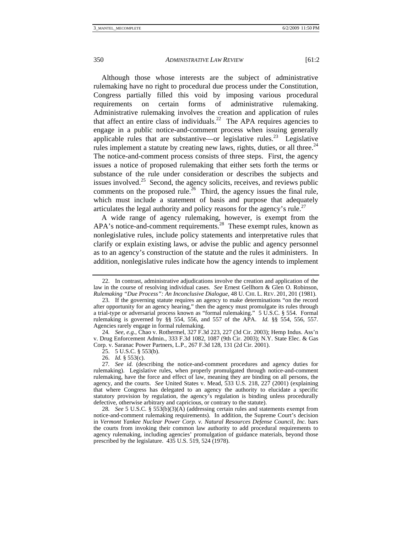Although those whose interests are the subject of administrative rulemaking have no right to procedural due process under the Constitution, Congress partially filled this void by imposing various procedural requirements on certain forms of administrative rulemaking. Administrative rulemaking involves the creation and application of rules that affect an entire class of individuals.<sup>22</sup> The APA requires agencies to engage in a public notice-and-comment process when issuing generally applicable rules that are substantive—or legislative rules.<sup>23</sup> Legislative rules implement a statute by creating new laws, rights, duties, or all three.<sup>24</sup> The notice-and-comment process consists of three steps. First, the agency issues a notice of proposed rulemaking that either sets forth the terms or substance of the rule under consideration or describes the subjects and issues involved.<sup>25</sup> Second, the agency solicits, receives, and reviews public comments on the proposed rule.<sup>26</sup> Third, the agency issues the final rule, which must include a statement of basis and purpose that adequately articulates the legal authority and policy reasons for the agency's rule.<sup>27</sup>

A wide range of agency rulemaking, however, is exempt from the APA's notice-and-comment requirements.<sup>28</sup> These exempt rules, known as nonlegislative rules, include policy statements and interpretative rules that clarify or explain existing laws, or advise the public and agency personnel as to an agency's construction of the statute and the rules it administers. In addition, nonlegislative rules indicate how the agency intends to implement

 <sup>22.</sup> In contrast, administrative adjudications involve the creation and application of the law in the course of resolving individual cases. *See* Ernest Gellhorn & Glen O. Robinson, *Rulemaking "Due Process": An Inconclusive Dialogue*, 48 U. CHI. L. REV. 201, 201 (1981).

 <sup>23.</sup> If the governing statute requires an agency to make determinations "on the record after opportunity for an agency hearing," then the agency must promulgate its rules through a trial-type or adversarial process known as "formal rulemaking." 5 U.S.C. § 554. Formal rulemaking is governed by §§ 554, 556, and 557 of the APA. *Id.* §§ 554, 556, 557. Agencies rarely engage in formal rulemaking.

<sup>24</sup>*. See, e.g.*, Chao v. Rothermel, 327 F.3d 223, 227 (3d Cir. 2003); Hemp Indus. Ass'n v. Drug Enforcement Admin., 333 F.3d 1082, 1087 (9th Cir. 2003); N.Y. State Elec. & Gas Corp. v. Saranac Power Partners, L.P., 267 F.3d 128, 131 (2d Cir. 2001).

 <sup>25. 5</sup> U.S.C. § 553(b).

 <sup>26.</sup> *Id.* § 553(c).

<sup>27</sup>*. See id.* (describing the notice-and-comment procedures and agency duties for rulemaking). Legislative rules, when properly promulgated through notice-and-comment rulemaking, have the force and effect of law, meaning they are binding on all persons, the agency, and the courts. *See* United States v. Mead, 533 U.S. 218, 227 (2001) (explaining that where Congress has delegated to an agency the authority to elucidate a specific statutory provision by regulation, the agency's regulation is binding unless procedurally defective, otherwise arbitrary and capricious, or contrary to the statute).

<sup>28</sup>*. See* 5 U.S.C. § 553(b)(3)(A) (addressing certain rules and statements exempt from notice-and-comment rulemaking requirements). In addition, the Supreme Court's decision in *Vermont Yankee Nuclear Power Corp. v. Natural Resources Defense Council, Inc.* bars the courts from invoking their common law authority to add procedural requirements to agency rulemaking, including agencies' promulgation of guidance materials, beyond those prescribed by the legislature. 435 U.S. 519, 524 (1978).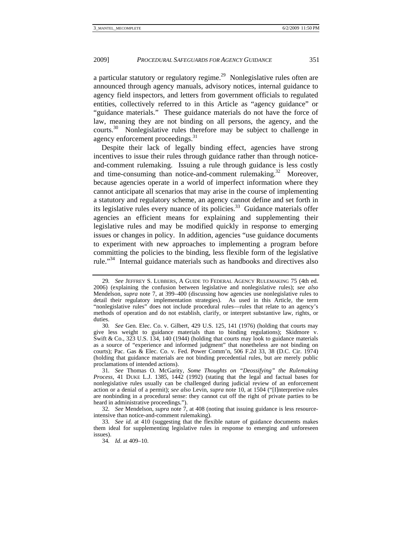a particular statutory or regulatory regime.<sup>29</sup> Nonlegislative rules often are announced through agency manuals, advisory notices, internal guidance to agency field inspectors, and letters from government officials to regulated entities, collectively referred to in this Article as "agency guidance" or "guidance materials." These guidance materials do not have the force of law, meaning they are not binding on all persons, the agency, and the courts.30 Nonlegislative rules therefore may be subject to challenge in agency enforcement proceedings.<sup>31</sup>

Despite their lack of legally binding effect, agencies have strong incentives to issue their rules through guidance rather than through noticeand-comment rulemaking. Issuing a rule through guidance is less costly and time-consuming than notice-and-comment rulemaking.<sup>32</sup> Moreover, because agencies operate in a world of imperfect information where they cannot anticipate all scenarios that may arise in the course of implementing a statutory and regulatory scheme, an agency cannot define and set forth in its legislative rules every nuance of its policies.<sup>33</sup> Guidance materials offer agencies an efficient means for explaining and supplementing their legislative rules and may be modified quickly in response to emerging issues or changes in policy. In addition, agencies "use guidance documents to experiment with new approaches to implementing a program before committing the policies to the binding, less flexible form of the legislative rule."34 Internal guidance materials such as handbooks and directives also

<sup>29</sup>*. See* JEFFREY S. LUBBERS, A GUIDE TO FEDERAL AGENCY RULEMAKING 75 (4th ed. 2006) (explaining the confusion between legislative and nonlegislative rules); *see also* Mendelson, *supra* note 7, at 399–400 (discussing how agencies use nonlegislative rules to detail their regulatory implementation strategies). As used in this Article, the term "nonlegislative rules" does not include procedural rules—rules that relate to an agency's methods of operation and do not establish, clarify, or interpret substantive law, rights, or duties.

<sup>30</sup>*. See* Gen. Elec. Co. v. Gilbert, 429 U.S. 125, 141 (1976) (holding that courts may give less weight to guidance materials than to binding regulations); Skidmore v. Swift & Co., 323 U.S. 134, 140 (1944) (holding that courts may look to guidance materials as a source of "experience and informed judgment" that nonetheless are not binding on courts); Pac. Gas & Elec. Co. v. Fed. Power Comm'n, 506 F.2d 33, 38 (D.C. Cir. 1974) (holding that guidance materials are not binding precedential rules, but are merely public proclamations of intended actions).

<sup>31</sup>*. See* Thomas O. McGarity, *Some Thoughts on "Deossifying" the Rulemaking Process*, 41 DUKE L.J. 1385, 1442 (1992) (stating that the legal and factual bases for nonlegislative rules usually can be challenged during judicial review of an enforcement action or a denial of a permit); *see also* Levin, *supra* note 10, at 1504 ("[I]nterpretive rules are nonbinding in a procedural sense: they cannot cut off the right of private parties to be heard in administrative proceedings.").

<sup>32</sup>*. See* Mendelson, *supra* note 7, at 408 (noting that issuing guidance is less resourceintensive than notice-and-comment rulemaking).

<sup>33</sup>*. See id.* at 410 (suggesting that the flexible nature of guidance documents makes them ideal for supplementing legislative rules in response to emerging and unforeseen issues).

<sup>34</sup>*. Id*. at 409–10.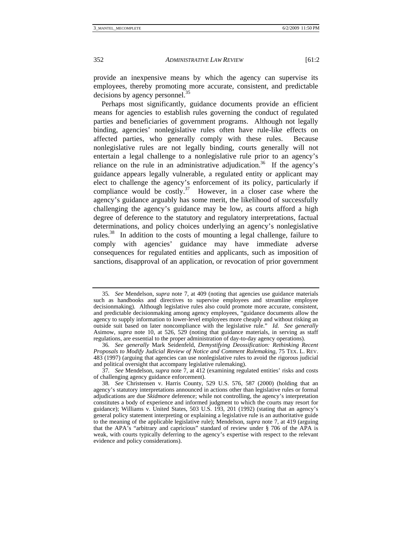provide an inexpensive means by which the agency can supervise its employees, thereby promoting more accurate, consistent, and predictable decisions by agency personnel.<sup>35</sup>

Perhaps most significantly, guidance documents provide an efficient means for agencies to establish rules governing the conduct of regulated parties and beneficiaries of government programs. Although not legally binding, agencies' nonlegislative rules often have rule-like effects on affected parties, who generally comply with these rules. Because nonlegislative rules are not legally binding, courts generally will not entertain a legal challenge to a nonlegislative rule prior to an agency's reliance on the rule in an administrative adjudication.<sup>36</sup> If the agency's guidance appears legally vulnerable, a regulated entity or applicant may elect to challenge the agency's enforcement of its policy, particularly if compliance would be costly. $37$  However, in a closer case where the agency's guidance arguably has some merit, the likelihood of successfully challenging the agency's guidance may be low, as courts afford a high degree of deference to the statutory and regulatory interpretations, factual determinations, and policy choices underlying an agency's nonlegislative rules.38 In addition to the costs of mounting a legal challenge, failure to comply with agencies' guidance may have immediate adverse consequences for regulated entities and applicants, such as imposition of sanctions, disapproval of an application, or revocation of prior government

<sup>35</sup>*. See* Mendelson, *supra* note 7, at 409 (noting that agencies use guidance materials such as handbooks and directives to supervise employees and streamline employee decisionmaking). Although legislative rules also could promote more accurate, consistent, and predictable decisionmaking among agency employees, "guidance documents allow the agency to supply information to lower-level employees more cheaply and without risking an outside suit based on later noncompliance with the legislative rule." *Id. See generally*  Asimow, *supra* note 10, at 526, 529 (noting that guidance materials, in serving as staff regulations, are essential to the proper administration of day-to-day agency operations).

<sup>36</sup>*. See generally* Mark Seidenfeld, *Demystifying Deossification: Rethinking Recent Proposals to Modify Judicial Review of Notice and Comment Rulemaking*, 75 TEX. L. REV. 483 (1997) (arguing that agencies can use nonlegislative rules to avoid the rigorous judicial and political oversight that accompany legislative rulemaking).

<sup>37</sup>*. See* Mendelson, *supra* note 7, at 412 (examining regulated entities' risks and costs of challenging agency guidance enforcement).

<sup>38</sup>*. See* Christensen v. Harris County, 529 U.S. 576, 587 (2000) (holding that an agency's statutory interpretations announced in actions other than legislative rules or formal adjudications are due *Skidmore* deference; while not controlling, the agency's interpretation constitutes a body of experience and informed judgment to which the courts may resort for guidance); Williams v. United States, 503 U.S. 193, 201 (1992) (stating that an agency's general policy statement interpreting or explaining a legislative rule is an authoritative guide to the meaning of the applicable legislative rule); Mendelson, *supra* note 7, at 419 (arguing that the APA's "arbitrary and capricious" standard of review under § 706 of the APA is weak, with courts typically deferring to the agency's expertise with respect to the relevant evidence and policy considerations).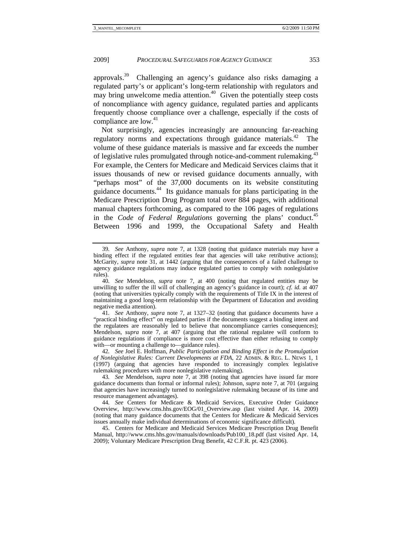approvals.39 Challenging an agency's guidance also risks damaging a regulated party's or applicant's long-term relationship with regulators and may bring unwelcome media attention.<sup>40</sup> Given the potentially steep costs of noncompliance with agency guidance, regulated parties and applicants frequently choose compliance over a challenge, especially if the costs of compliance are low.<sup>41</sup>

Not surprisingly, agencies increasingly are announcing far-reaching regulatory norms and expectations through guidance materials.<sup>42</sup> The volume of these guidance materials is massive and far exceeds the number of legislative rules promulgated through notice-and-comment rulemaking.<sup>43</sup> For example, the Centers for Medicare and Medicaid Services claims that it issues thousands of new or revised guidance documents annually, with "perhaps most" of the 37,000 documents on its website constituting guidance documents.44 Its guidance manuals for plans participating in the Medicare Prescription Drug Program total over 884 pages, with additional manual chapters forthcoming, as compared to the 106 pages of regulations in the *Code of Federal Regulations* governing the plans' conduct.<sup>45</sup> Between 1996 and 1999, the Occupational Safety and Health

<sup>39</sup>*. See* Anthony, *supra* note 7, at 1328 (noting that guidance materials may have a binding effect if the regulated entities fear that agencies will take retributive actions); McGarity, *supra* note 31, at 1442 (arguing that the consequences of a failed challenge to agency guidance regulations may induce regulated parties to comply with nonlegislative rules).

<sup>40</sup>*. See* Mendelson, *supra* note 7, at 400 (noting that regulated entities may be unwilling to suffer the ill will of challenging an agency's guidance in court); *cf*. *id.* at 407 (noting that universities typically comply with the requirements of Title IX in the interest of maintaining a good long-term relationship with the Department of Education and avoiding negative media attention).

<sup>41</sup>*. See* Anthony, *supra* note 7, at 1327–32 (noting that guidance documents have a "practical binding effect" on regulated parties if the documents suggest a binding intent and the regulatees are reasonably led to believe that noncompliance carries consequences); Mendelson, *supra* note 7, at 407 (arguing that the rational regulatee will conform to guidance regulations if compliance is more cost effective than either refusing to comply with—or mounting a challenge to—guidance rules).

<sup>42</sup>*. See* Joel E. Hoffman, *Public Participation and Binding Effect in the Promulgation of Nonlegislative Rules: Current Developments at FDA*, 22 ADMIN. & REG. L. NEWS 1, 1 (1997) (arguing that agencies have responded to increasingly complex legislative rulemaking procedures with more nonlegislative rulemaking).

<sup>43</sup>*. See* Mendelson, *supra* note 7, at 398 (noting that agencies have issued far more guidance documents than formal or informal rules); Johnson, *supra* note 7, at 701 (arguing that agencies have increasingly turned to nonlegislative rulemaking because of its time and resource management advantages).

<sup>44</sup>*. See* Centers for Medicare & Medicaid Services, Executive Order Guidance Overview, http://www.cms.hhs.gov/EOG/01\_Overview.asp (last visited Apr. 14, 2009) (noting that many guidance documents that the Centers for Medicare & Medicaid Services issues annually make individual determinations of economic significance difficult).

 <sup>45.</sup> Centers for Medicare and Medicaid Services Medicare Prescription Drug Benefit Manual, http://www.cms.hhs.gov/manuals/downloads/Pub100\_18.pdf (last visited Apr. 14, 2009); Voluntary Medicare Prescription Drug Benefit, 42 C.F.R. pt. 423 (2006).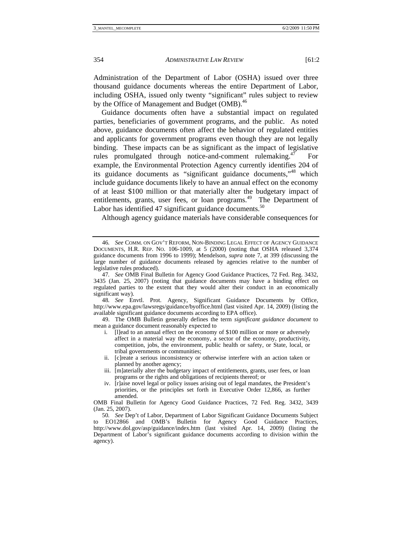Administration of the Department of Labor (OSHA) issued over three thousand guidance documents whereas the entire Department of Labor, including OSHA, issued only twenty "significant" rules subject to review by the Office of Management and Budget (OMB).<sup>46</sup>

Guidance documents often have a substantial impact on regulated parties, beneficiaries of government programs, and the public. As noted above, guidance documents often affect the behavior of regulated entities and applicants for government programs even though they are not legally binding. These impacts can be as significant as the impact of legislative rules promulgated through notice-and-comment rulemaking.<sup>47</sup> For example, the Environmental Protection Agency currently identifies 204 of its guidance documents as "significant guidance documents,"48 which include guidance documents likely to have an annual effect on the economy of at least \$100 million or that materially alter the budgetary impact of entitlements, grants, user fees, or loan programs.<sup>49</sup> The Department of Labor has identified 47 significant guidance documents. $50$ 

Although agency guidance materials have considerable consequences for

 49. The OMB Bulletin generally defines the term *significant guidance document* to mean a guidance document reasonably expected to

- i. [l]ead to an annual effect on the economy of \$100 million or more or adversely affect in a material way the economy, a sector of the economy, productivity, competition, jobs, the environment, public health or safety, or State, local, or tribal governments or communities;
- ii. [c]reate a serious inconsistency or otherwise interfere with an action taken or planned by another agency;
- iii. [m]aterially alter the budgetary impact of entitlements, grants, user fees, or loan programs or the rights and obligations of recipients thereof; or
- iv. [r]aise novel legal or policy issues arising out of legal mandates, the President's priorities, or the principles set forth in Executive Order 12,866, as further amended.

OMB Final Bulletin for Agency Good Guidance Practices, 72 Fed. Reg. 3432, 3439 (Jan. 25, 2007).

50*. See* Dep't of Labor, Department of Labor Significant Guidance Documents Subject to EO12866 and OMB's Bulletin for Agency Good Guidance Practices, http://www.dol.gov/asp/guidance/index.htm (last visited Apr. 14, 2009) (listing the Department of Labor's significant guidance documents according to division within the agency).

<sup>46</sup>*. See* COMM. ON GOV'T REFORM, NON-BINDING LEGAL EFFECT OF AGENCY GUIDANCE DOCUMENTS, H.R. REP. NO. 106-1009, at 5 (2000) (noting that OSHA released 3,374 guidance documents from 1996 to 1999); Mendelson, *supra* note 7, at 399 (discussing the large number of guidance documents released by agencies relative to the number of legislative rules produced).

<sup>47</sup>*. See* OMB Final Bulletin for Agency Good Guidance Practices, 72 Fed. Reg. 3432, 3435 (Jan. 25, 2007) (noting that guidance documents may have a binding effect on regulated parties to the extent that they would alter their conduct in an economically significant way).

<sup>48</sup>*. See* Envtl. Prot. Agency, Significant Guidance Documents by Office, http://www.epa.gov/lawsregs/guidance/byoffice.html (last visited Apr. 14, 2009) (listing the available significant guidance documents according to EPA office).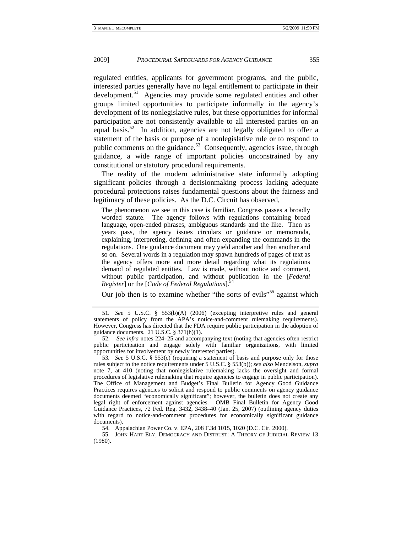regulated entities, applicants for government programs, and the public, interested parties generally have no legal entitlement to participate in their development.<sup>51</sup> Agencies may provide some regulated entities and other groups limited opportunities to participate informally in the agency's development of its nonlegislative rules, but these opportunities for informal participation are not consistently available to all interested parties on an equal basis.<sup>52</sup> In addition, agencies are not legally obligated to offer a statement of the basis or purpose of a nonlegislative rule or to respond to public comments on the guidance.<sup>53</sup> Consequently, agencies issue, through guidance, a wide range of important policies unconstrained by any constitutional or statutory procedural requirements.

The reality of the modern administrative state informally adopting significant policies through a decisionmaking process lacking adequate procedural protections raises fundamental questions about the fairness and legitimacy of these policies. As the D.C. Circuit has observed,

The phenomenon we see in this case is familiar. Congress passes a broadly worded statute. The agency follows with regulations containing broad language, open-ended phrases, ambiguous standards and the like. Then as years pass, the agency issues circulars or guidance or memoranda, explaining, interpreting, defining and often expanding the commands in the regulations. One guidance document may yield another and then another and so on. Several words in a regulation may spawn hundreds of pages of text as the agency offers more and more detail regarding what its regulations demand of regulated entities. Law is made, without notice and comment, without public participation, and without publication in the [*Federal Register*] or the [*Code of Federal Regulations*].<sup>54</sup>

Our job then is to examine whether "the sorts of evils"<sup>55</sup> against which

54. Appalachian Power Co. v. EPA, 208 F.3d 1015, 1020 (D.C. Cir. 2000).

 55. JOHN HART ELY, DEMOCRACY AND DISTRUST: A THEORY OF JUDICIAL REVIEW 13 (1980).

<sup>51</sup>*. See* 5 U.S.C. § 553(b)(A) (2006) (excepting interpretive rules and general statements of policy from the APA's notice-and-comment rulemaking requirements). However, Congress has directed that the FDA require public participation in the adoption of guidance documents. 21 U.S.C. § 371(h)(1).

 <sup>52.</sup> *See infra* notes 224–25 and accompanying text (noting that agencies often restrict public participation and engage solely with familiar organizations, with limited opportunities for involvement by newly interested parties).

<sup>53</sup>*. See* 5 U.S.C. § 553(c) (requiring a statement of basis and purpose only for those rules subject to the notice requirements under 5 U.S.C. § 553(b)); *see also* Mendelson, *supra* note 7, at 410 (noting that nonlegislative rulemaking lacks the oversight and formal procedures of legislative rulemaking that require agencies to engage in public participation). The Office of Management and Budget's Final Bulletin for Agency Good Guidance Practices requires agencies to solicit and respond to public comments on agency guidance documents deemed "economically significant"; however, the bulletin does not create any legal right of enforcement against agencies. OMB Final Bulletin for Agency Good Guidance Practices, 72 Fed. Reg. 3432, 3438–40 (Jan. 25, 2007) (outlining agency duties with regard to notice-and-comment procedures for economically significant guidance documents).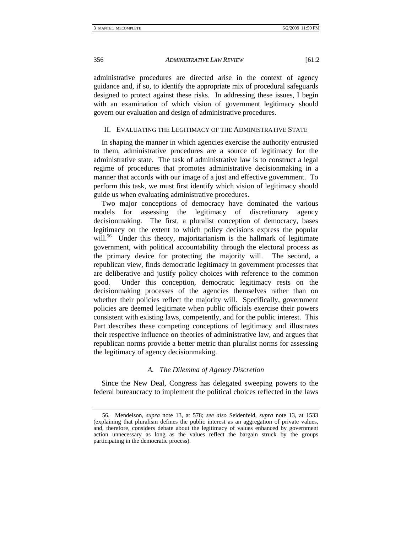administrative procedures are directed arise in the context of agency guidance and, if so, to identify the appropriate mix of procedural safeguards designed to protect against these risks. In addressing these issues, I begin with an examination of which vision of government legitimacy should govern our evaluation and design of administrative procedures.

## II. EVALUATING THE LEGITIMACY OF THE ADMINISTRATIVE STATE

In shaping the manner in which agencies exercise the authority entrusted to them, administrative procedures are a source of legitimacy for the administrative state. The task of administrative law is to construct a legal regime of procedures that promotes administrative decisionmaking in a manner that accords with our image of a just and effective government. To perform this task, we must first identify which vision of legitimacy should guide us when evaluating administrative procedures.

Two major conceptions of democracy have dominated the various models for assessing the legitimacy of discretionary agency decisionmaking. The first, a pluralist conception of democracy, bases legitimacy on the extent to which policy decisions express the popular will.<sup>56</sup> Under this theory, majoritarianism is the hallmark of legitimate government, with political accountability through the electoral process as the primary device for protecting the majority will. The second, a republican view, finds democratic legitimacy in government processes that are deliberative and justify policy choices with reference to the common good. Under this conception, democratic legitimacy rests on the decisionmaking processes of the agencies themselves rather than on whether their policies reflect the majority will. Specifically, government policies are deemed legitimate when public officials exercise their powers consistent with existing laws, competently, and for the public interest. This Part describes these competing conceptions of legitimacy and illustrates their respective influence on theories of administrative law, and argues that republican norms provide a better metric than pluralist norms for assessing the legitimacy of agency decisionmaking.

# *A. The Dilemma of Agency Discretion*

Since the New Deal, Congress has delegated sweeping powers to the federal bureaucracy to implement the political choices reflected in the laws

<sup>56</sup>*.* Mendelson, *supra* note 13, at 578; *see also* Seidenfeld, *supra* note 13, at 1533 (explaining that pluralism defines the public interest as an aggregation of private values, and, therefore, considers debate about the legitimacy of values enhanced by government action unnecessary as long as the values reflect the bargain struck by the groups participating in the democratic process).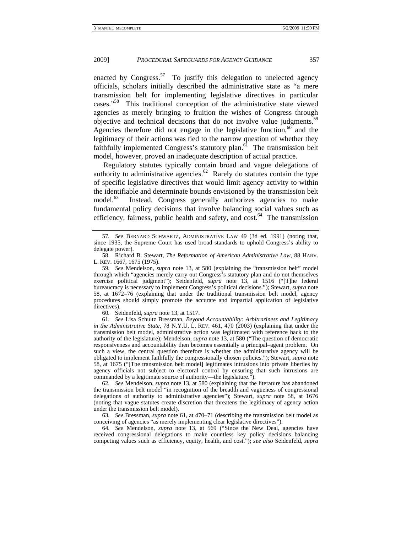enacted by Congress.<sup>57</sup> To justify this delegation to unelected agency officials, scholars initially described the administrative state as "a mere transmission belt for implementing legislative directives in particular cases."58 This traditional conception of the administrative state viewed agencies as merely bringing to fruition the wishes of Congress through objective and technical decisions that do not involve value judgments.<sup>59</sup> Agencies therefore did not engage in the legislative function,  $60$  and the legitimacy of their actions was tied to the narrow question of whether they faithfully implemented Congress's statutory plan. $6\overline{1}$  The transmission belt model, however, proved an inadequate description of actual practice.

 Regulatory statutes typically contain broad and vague delegations of authority to administrative agencies. $62$  Rarely do statutes contain the type of specific legislative directives that would limit agency activity to within the identifiable and determinate bounds envisioned by the transmission belt model.<sup>63</sup> Instead, Congress generally authorizes agencies to make fundamental policy decisions that involve balancing social values such as efficiency, fairness, public health and safety, and  $\cos t$ <sup>64</sup>. The transmission

60*.* Seidenfeld, *supra* note 13, at 1517.

62*. See* Mendelson, *supra* note 13, at 580 (explaining that the literature has abandoned the transmission belt model "in recognition of the breadth and vagueness of congressional delegations of authority to administrative agencies"); Stewart, *supra* note 58, at 1676 (noting that vague statutes create discretion that threatens the legitimacy of agency action under the transmission belt model).

63*. See* Bressman, *supra* note 61, at 470–71 (describing the transmission belt model as conceiving of agencies "as merely implementing clear legislative directives").

64*. See* Mendelson, *supra* note 13, at 569 ("Since the New Deal, agencies have received congressional delegations to make countless key policy decisions balancing competing values such as efficiency, equity, health, and cost."); *see also* Seidenfeld, *supra*

<sup>57</sup>*. See* BERNARD SCHWARTZ, ADMINISTRATIVE LAW 49 (3d ed. 1991) (noting that, since 1935, the Supreme Court has used broad standards to uphold Congress's ability to delegate power).

 <sup>58.</sup> Richard B. Stewart, *The Reformation of American Administrative Law*, 88 HARV. L. REV. 1667, 1675 (1975).

<sup>59</sup>*. See* Mendelson, *supra* note 13, at 580 (explaining the "transmission belt" model through which "agencies merely carry out Congress's statutory plan and do not themselves exercise political judgment"); Seidenfeld, *supra* note 13, at 1516 ("[T]he federal bureaucracy is necessary to implement Congress's political decisions."); Stewart, *supra* note 58, at 1672–76 (explaining that under the traditional transmission belt model, agency procedures should simply promote the accurate and impartial application of legislative directives).

<sup>61</sup>*. See* Lisa Schultz Bressman, *Beyond Accountability: Arbitrariness and Legitimacy in the Administrative State*, 78 N.Y.U. L. REV. 461, 470 (2003) (explaining that under the transmission belt model, administrative action was legitimated with reference back to the authority of the legislature); Mendelson, *supra* note 13, at 580 ("The question of democratic responsiveness and accountability then becomes essentially a principal–agent problem. On such a view, the central question therefore is whether the administrative agency will be obligated to implement faithfully the congressionally chosen policies."); Stewart, *supra* note 58, at 1675 ("[The transmission belt model] legitimates intrusions into private liberties by agency officials not subject to electoral control by ensuring that such intrusions are commanded by a legitimate source of authority—the legislature.").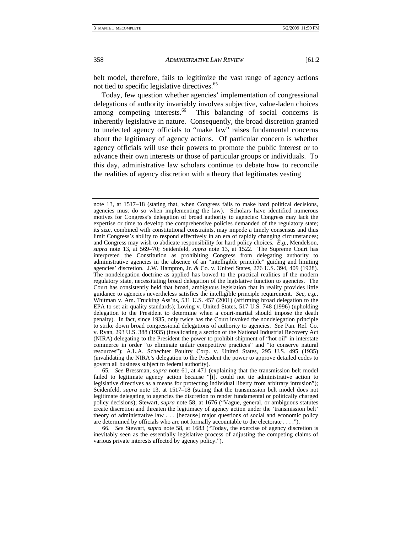belt model, therefore, fails to legitimize the vast range of agency actions not tied to specific legislative directives.<sup>65</sup>

Today, few question whether agencies' implementation of congressional delegations of authority invariably involves subjective, value-laden choices among competing interests.<sup>66</sup> This balancing of social concerns is This balancing of social concerns is inherently legislative in nature. Consequently, the broad discretion granted to unelected agency officials to "make law" raises fundamental concerns about the legitimacy of agency actions. Of particular concern is whether agency officials will use their powers to promote the public interest or to advance their own interests or those of particular groups or individuals. To this day, administrative law scholars continue to debate how to reconcile the realities of agency discretion with a theory that legitimates vesting

note 13, at 1517–18 (stating that, when Congress fails to make hard political decisions, agencies must do so when implementing the law). Scholars have identified numerous motives for Congress's delegation of broad authority to agencies: Congress may lack the expertise or time to develop the comprehensive policies demanded of the regulatory state; its size, combined with constitutional constraints, may impede a timely consensus and thus limit Congress's ability to respond effectively in an era of rapidly changing circumstances; and Congress may wish to abdicate responsibility for hard policy choices*. E.g.*, Mendelson, *supra* note 13, at 569–70; Seidenfeld, *supra* note 13, at 1522. The Supreme Court has interpreted the Constitution as prohibiting Congress from delegating authority to administrative agencies in the absence of an "intelligible principle" guiding and limiting agencies' discretion.J.W. Hampton, Jr. & Co. v. United States, 276 U.S. 394, 409 (1928). The nondelegation doctrine as applied has bowed to the practical realities of the modern regulatory state, necessitating broad delegation of the legislative function to agencies. The Court has consistently held that broad, ambiguous legislation that in reality provides little guidance to agencies nevertheless satisfies the intelligible principle requirement. *See, e.g.*, Whitman v. Am. Trucking Ass'ns, 531 U.S. 457 (2001) (affirming broad delegation to the EPA to set air quality standards); Loving v. United States, 517 U.S. 748 (1996) (upholding delegation to the President to determine when a court-martial should impose the death penalty). In fact, since 1935, only twice has the Court invoked the nondelegation principle to strike down broad congressional delegations of authority to agencies. *See* Pan. Ref. Co. v. Ryan, 293 U.S. 388 (1935) (invalidating a section of the National Industrial Recovery Act (NIRA) delegating to the President the power to prohibit shipment of "hot oil" in interstate commerce in order "to eliminate unfair competitive practices" and "to conserve natural resources"); A.L.A. Schechter Poultry Corp. v. United States, 295 U.S. 495 (1935) (invalidating the NIRA's delegation to the President the power to approve detailed codes to govern all business subject to federal authority).

<sup>65</sup>*. See* Bressman, *supra* note 61, at 471 (explaining that the transmission belt model failed to legitimate agency action because "[i]t could not tie administrative action to legislative directives as a means for protecting individual liberty from arbitrary intrusion"); Seidenfeld, *supra* note 13, at 1517–18 (stating that the transmission belt model does not legitimate delegating to agencies the discretion to render fundamental or politically charged policy decisions); Stewart, *supra* note 58, at 1676 ("Vague, general, or ambiguous statutes create discretion and threaten the legitimacy of agency action under the 'transmission belt' theory of administrative law . . . [because] major questions of social and economic policy are determined by officials who are not formally accountable to the electorate . . . .").

<sup>66</sup>*. See* Stewart, *supra* note 58, at 1683 ("Today, the exercise of agency discretion is inevitably seen as the essentially legislative process of adjusting the competing claims of various private interests affected by agency policy.").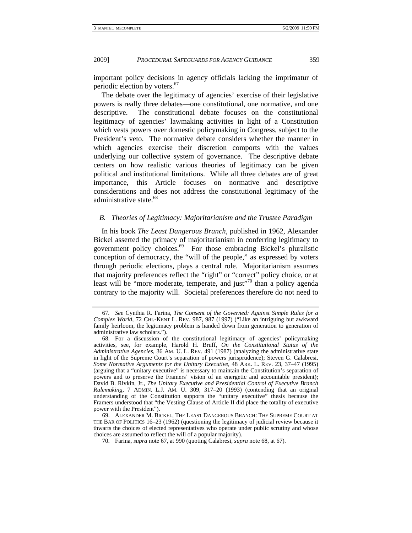important policy decisions in agency officials lacking the imprimatur of periodic election by voters.<sup>67</sup>

The debate over the legitimacy of agencies' exercise of their legislative powers is really three debates—one constitutional, one normative, and one descriptive. The constitutional debate focuses on the constitutional legitimacy of agencies' lawmaking activities in light of a Constitution which vests powers over domestic policymaking in Congress, subject to the President's veto. The normative debate considers whether the manner in which agencies exercise their discretion comports with the values underlying our collective system of governance. The descriptive debate centers on how realistic various theories of legitimacy can be given political and institutional limitations. While all three debates are of great importance, this Article focuses on normative and descriptive considerations and does not address the constitutional legitimacy of the administrative state.<sup>68</sup>

# *B. Theories of Legitimacy: Majoritarianism and the Trustee Paradigm*

In his book *The Least Dangerous Branch*, published in 1962, Alexander Bickel asserted the primacy of majoritarianism in conferring legitimacy to government policy choices.69 For those embracing Bickel's pluralistic conception of democracy, the "will of the people," as expressed by voters through periodic elections, plays a central role. Majoritarianism assumes that majority preferences reflect the "right" or "correct" policy choice, or at least will be "more moderate, temperate, and just"<sup>70</sup> than a policy agenda contrary to the majority will. Societal preferences therefore do not need to

<sup>67</sup>*. See* Cynthia R. Farina, *The Consent of the Governed: Against Simple Rules for a Complex World*, 72 CHI.-KENT L. REV. 987, 987 (1997) ("Like an intriguing but awkward family heirloom, the legitimacy problem is handed down from generation to generation of administrative law scholars.").

 <sup>68.</sup> For a discussion of the constitutional legitimacy of agencies' policymaking activities, see, for example, Harold H. Bruff, *On the Constitutional Status of the Administrative Agencies*, 36 AM. U. L. REV. 491 (1987) (analyzing the administrative state in light of the Supreme Court's separation of powers jurisprudence); Steven G. Calabresi, *Some Normative Arguments for the Unitary Executive*, 48 ARK. L. REV. 23, 37–47 (1995) (arguing that a "unitary executive" is necessary to maintain the Constitution's separation of powers and to preserve the Framers' vision of an energetic and accountable president); David B. Rivkin, Jr., *The Unitary Executive and Presidential Control of Executive Branch Rulemaking*, 7 ADMIN. L.J. AM. U. 309, 317–20 (1993) (contending that an original understanding of the Constitution supports the "unitary executive" thesis because the Framers understood that "the Vesting Clause of Article II did place the totality of executive power with the President").

 <sup>69.</sup> ALEXANDER M. BICKEL, THE LEAST DANGEROUS BRANCH: THE SUPREME COURT AT THE BAR OF POLITICS 16–23 (1962) (questioning the legitimacy of judicial review because it thwarts the choices of elected representatives who operate under public scrutiny and whose choices are assumed to reflect the will of a popular majority).

 <sup>70.</sup> Farina, *supra* note 67, at 990 (quoting Calabresi, *supra* note 68, at 67).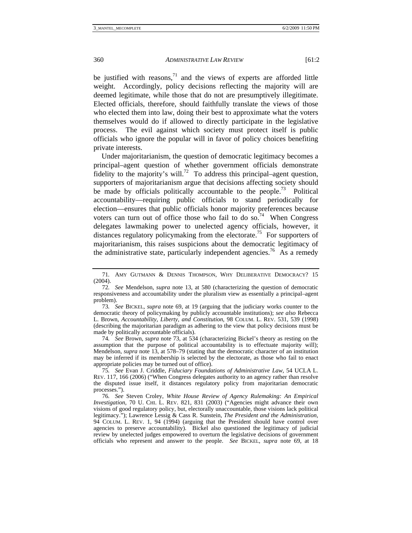be justified with reasons, $71$  and the views of experts are afforded little weight. Accordingly, policy decisions reflecting the majority will are deemed legitimate, while those that do not are presumptively illegitimate. Elected officials, therefore, should faithfully translate the views of those who elected them into law, doing their best to approximate what the voters themselves would do if allowed to directly participate in the legislative process. The evil against which society must protect itself is public officials who ignore the popular will in favor of policy choices benefiting private interests.

Under majoritarianism, the question of democratic legitimacy becomes a principal–agent question of whether government officials demonstrate fidelity to the majority's will.<sup>72</sup> To address this principal–agent question, supporters of majoritarianism argue that decisions affecting society should be made by officials politically accountable to the people.<sup>73</sup> Political accountability—requiring public officials to stand periodically for election—ensures that public officials honor majority preferences because voters can turn out of office those who fail to do so.<sup>74</sup> When Congress delegates lawmaking power to unelected agency officials, however, it distances regulatory policymaking from the electorate.<sup>75</sup> For supporters of majoritarianism, this raises suspicions about the democratic legitimacy of the administrative state, particularly independent agencies.<sup>76</sup> As a remedy

73*. See* BICKEL, *supra* note 69, at 19 (arguing that the judiciary works counter to the democratic theory of policymaking by publicly accountable institutions); *see also* Rebecca L. Brown, *Accountability, Liberty, and Constitution*, 98 COLUM. L. REV. 531, 539 (1998) (describing the majoritarian paradigm as adhering to the view that policy decisions must be made by politically accountable officials).

74*. See* Brown, *supra* note 73, at 534 (characterizing Bickel's theory as resting on the assumption that the purpose of political accountability is to effectuate majority will); Mendelson, *supra* note 13, at 578–79 (stating that the democratic character of an institution may be inferred if its membership is selected by the electorate, as those who fail to enact appropriate policies may be turned out of office).

75*. See* Evan J. Criddle, *Fiduciary Foundations of Administrative Law*, 54 UCLA L. REV. 117, 166 (2006) ("When Congress delegates authority to an agency rather than resolve the disputed issue itself, it distances regulatory policy from majoritarian democratic processes.").

76*. See* Steven Croley, *White House Review of Agency Rulemaking: An Empirical Investigation*, 70 U. CHI. L. REV. 821, 831 (2003) ("Agencies might advance their own visions of good regulatory policy, but, electorally unaccountable, those visions lack political legitimacy."); Lawrence Lessig & Cass R. Sunstein, *The President and the Administration*, 94 COLUM. L. REV. 1, 94 (1994) (arguing that the President should have control over agencies to preserve accountability). Bickel also questioned the legitimacy of judicial review by unelected judges empowered to overturn the legislative decisions of government officials who represent and answer to the people. *See* BICKEL, *supra* note 69, at 18

<sup>71</sup>*.* AMY GUTMANN & DENNIS THOMPSON, WHY DELIBERATIVE DEMOCRACY? 15 (2004).

<sup>72</sup>*. See* Mendelson, *supra* note 13, at 580 (characterizing the question of democratic responsiveness and accountability under the pluralism view as essentially a principal–agent problem).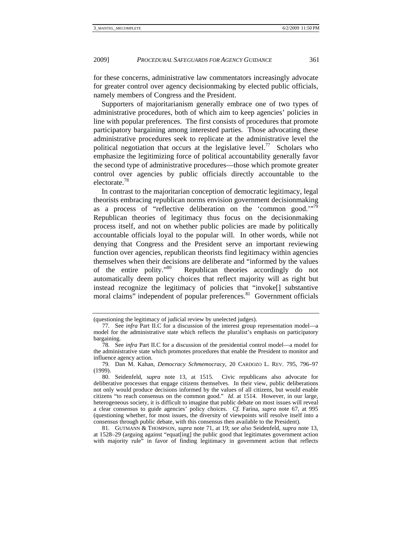for these concerns, administrative law commentators increasingly advocate for greater control over agency decisionmaking by elected public officials, namely members of Congress and the President.

Supporters of majoritarianism generally embrace one of two types of administrative procedures, both of which aim to keep agencies' policies in line with popular preferences. The first consists of procedures that promote participatory bargaining among interested parties. Those advocating these administrative procedures seek to replicate at the administrative level the political negotiation that occurs at the legislative level.<sup>77</sup> Scholars who emphasize the legitimizing force of political accountability generally favor the second type of administrative procedures—those which promote greater control over agencies by public officials directly accountable to the electorate.<sup>78</sup>

In contrast to the majoritarian conception of democratic legitimacy, legal theorists embracing republican norms envision government decisionmaking as a process of "reflective deliberation on the 'common good."<sup>79</sup> Republican theories of legitimacy thus focus on the decisionmaking process itself, and not on whether public policies are made by politically accountable officials loyal to the popular will. In other words, while not denying that Congress and the President serve an important reviewing function over agencies, republican theorists find legitimacy within agencies themselves when their decisions are deliberate and "informed by the values of the entire polity."80 Republican theories accordingly do not automatically deem policy choices that reflect majority will as right but instead recognize the legitimacy of policies that "invoke[] substantive moral claims" independent of popular preferences.<sup>81</sup> Government officials

 81. GUTMANN & THOMPSON, *supra* note 71, at 19; *see also* Seidenfeld, *supra* note 13, at 1528–29 (arguing against "equat[ing] the public good that legitimates government action with majority rule" in favor of finding legitimacy in government action that reflects

<sup>(</sup>questioning the legitimacy of judicial review by unelected judges).

<sup>77</sup>*.* See *infra* Part II.C for a discussion of the interest group representation model—a model for the administrative state which reflects the pluralist's emphasis on participatory bargaining.

<sup>78</sup>*.* See *infra* Part II.C for a discussion of the presidential control model—a model for the administrative state which promotes procedures that enable the President to monitor and influence agency action.

 <sup>79.</sup> Dan M. Kahan, *Democracy Schmemocracy*, 20 CARDOZO L. REV. 795, 796–97 (1999).

 <sup>80.</sup> Seidenfeld, *supra* note 13, at 1515. Civic republicans also advocate for deliberative processes that engage citizens themselves. In their view, public deliberations not only would produce decisions informed by the values of all citizens, but would enable citizens "to reach consensus on the common good." *Id*. at 1514. However, in our large, heterogeneous society, it is difficult to imagine that public debate on most issues will reveal a clear consensus to guide agencies' policy choices. *Cf.* Farina, *supra* note 67, at 995 (questioning whether, for most issues, the diversity of viewpoints will resolve itself into a consensus through public debate, with this consensus then available to the President).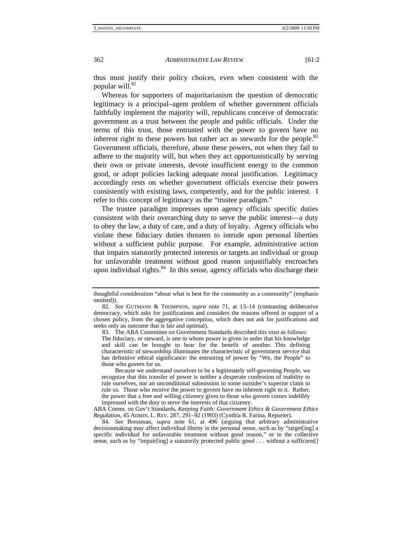thus must justify their policy choices, even when consistent with the popular will. $82$ 

Whereas for supporters of majoritarianism the question of democratic legitimacy is a principal–agent problem of whether government officials faithfully implement the majority will, republicans conceive of democratic government as a trust between the people and public officials. Under the terms of this trust, those entrusted with the power to govern have no inherent right to these powers but rather act as stewards for the people.<sup>83</sup> Government officials, therefore, abuse these powers, not when they fail to adhere to the majority will, but when they act opportunistically by serving their own or private interests, devote insufficient energy to the common good, or adopt policies lacking adequate moral justification. Legitimacy accordingly rests on whether government officials exercise their powers consistently with existing laws, competently, and for the public interest. I refer to this concept of legitimacy as the "trustee paradigm."

The trustee paradigm impresses upon agency officials specific duties consistent with their overarching duty to serve the public interest—a duty to obey the law, a duty of care, and a duty of loyalty. Agency officials who violate these fiduciary duties threaten to intrude upon personal liberties without a sufficient public purpose. For example, administrative action that impairs statutorily protected interests or targets an individual or group for unfavorable treatment without good reason unjustifiably encroaches upon individual rights. $84$  In this sense, agency officials who discharge their

 83. The ABA Committee on Government Standards described this trust as follows: The fiduciary, or steward, is one to whom power is given in order that his knowledge and skill can be brought to bear for the benefit of another. This defining characteristic of stewardship illuminates the characteristic of government service that has definitive ethical significance: the entrusting of power by "We, the People" to those who govern for us.

 Because we understand ourselves to be a legitimately self-governing People, we recognize that this transfer of power is neither a desperate confession of inability to rule ourselves, nor an unconditional submission to some outsider's superior claim to rule us. Those who receive the power to govern have no inherent right to it. Rather, the power that a free and willing citizenry gives to those who govern comes indelibly impressed with the duty to serve the interests of that citizenry.

ABA Comm. on Gov't Standards, *Keeping Faith: Government Ethics & Government Ethics Regulation*, 45 ADMIN. L. REV. 287, 291–92 (1993) (Cynthia R. Farina, Reporter).

84*. See* Bressman, *supra* note 61, at 496 (arguing that arbitrary administrative decisionmaking may affect individual liberty in the personal sense, such as by "target[ing] a specific individual for unfavorable treatment without good reason," or in the collective sense, such as by "impair[ing] a statutorily protected public good . . . without a sufficient[]

thoughtful consideration "about what is best for the community as a community" (emphasis omitted)).

<sup>82</sup>*. See* GUTMANN & THOMPSON, *supra* note 71, at 13–14 (contrasting deliberative democracy, which asks for justifications and considers the reasons offered in support of a chosen policy, from the aggregative conception, which does not ask for justifications and seeks only an outcome that is fair and optimal).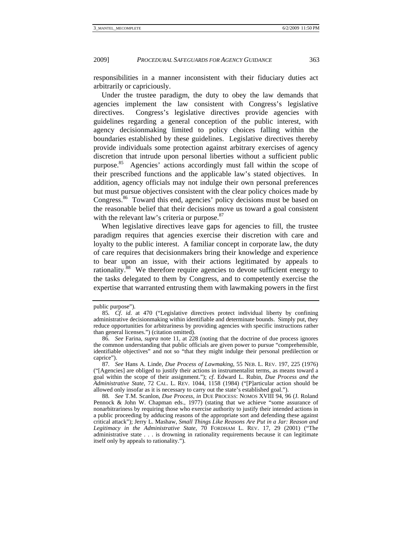responsibilities in a manner inconsistent with their fiduciary duties act arbitrarily or capriciously.

Under the trustee paradigm, the duty to obey the law demands that agencies implement the law consistent with Congress's legislative directives. Congress's legislative directives provide agencies with guidelines regarding a general conception of the public interest, with agency decisionmaking limited to policy choices falling within the boundaries established by these guidelines. Legislative directives thereby provide individuals some protection against arbitrary exercises of agency discretion that intrude upon personal liberties without a sufficient public purpose.85 Agencies' actions accordingly must fall within the scope of their prescribed functions and the applicable law's stated objectives. In addition, agency officials may not indulge their own personal preferences but must pursue objectives consistent with the clear policy choices made by Congress.<sup>86</sup> Toward this end, agencies' policy decisions must be based on the reasonable belief that their decisions move us toward a goal consistent with the relevant law's criteria or purpose. $87$ 

When legislative directives leave gaps for agencies to fill, the trustee paradigm requires that agencies exercise their discretion with care and loyalty to the public interest. A familiar concept in corporate law, the duty of care requires that decisionmakers bring their knowledge and experience to bear upon an issue, with their actions legitimated by appeals to rationality.<sup>88</sup> We therefore require agencies to devote sufficient energy to the tasks delegated to them by Congress, and to competently exercise the expertise that warranted entrusting them with lawmaking powers in the first

public purpose").

<sup>85</sup>*. Cf*. *id*. at 470 ("Legislative directives protect individual liberty by confining administrative decisionmaking within identifiable and determinate bounds. Simply put, they reduce opportunities for arbitrariness by providing agencies with specific instructions rather than general licenses.") (citation omitted).

<sup>86</sup>*. See* Farina, *supra* note 11, at 228 (noting that the doctrine of due process ignores the common understanding that public officials are given power to pursue "comprehensible, identifiable objectives" and not so "that they might indulge their personal predilection or caprice").

<sup>87</sup>*. See* Hans A. Linde, *Due Process of Lawmaking*, 55 NEB. L. REV. 197, 225 (1976) ("[Agencies] are obliged to justify their actions in instrumentalist terms, as means toward a goal within the scope of their assignment."); *cf*. Edward L. Rubin, *Due Process and the Administrative State*, 72 CAL. L. REV. 1044, 1158 (1984) ("[P]articular action should be allowed only insofar as it is necessary to carry out the state's established goal.").

<sup>88</sup>*. See* T.M. Scanlon, *Due Process*, *in* DUE PROCESS: NOMOS XVIII 94, 96 (J. Roland Pennock & John W. Chapman eds., 1977) (stating that we achieve "some assurance of nonarbitrariness by requiring those who exercise authority to justify their intended actions in a public proceeding by adducing reasons of the appropriate sort and defending these against critical attack"); Jerry L. Mashaw, *Small Things Like Reasons Are Put in a Jar: Reason and Legitimacy in the Administrative State*, 70 FORDHAM L. REV. 17, 29 (2001) ("The administrative state . . . is drowning in rationality requirements because it can legitimate itself only by appeals to rationality.").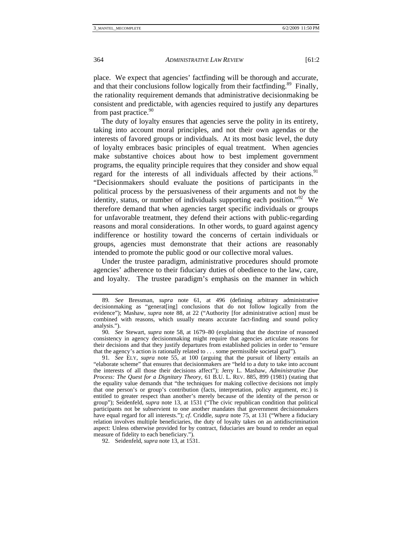place. We expect that agencies' factfinding will be thorough and accurate, and that their conclusions follow logically from their factfinding.<sup>89</sup> Finally, the rationality requirement demands that administrative decisionmaking be consistent and predictable, with agencies required to justify any departures from past practice.  $90$ 

The duty of loyalty ensures that agencies serve the polity in its entirety, taking into account moral principles, and not their own agendas or the interests of favored groups or individuals. At its most basic level, the duty of loyalty embraces basic principles of equal treatment. When agencies make substantive choices about how to best implement government programs, the equality principle requires that they consider and show equal regard for the interests of all individuals affected by their actions.<sup>91</sup> "Decisionmakers should evaluate the positions of participants in the political process by the persuasiveness of their arguments and not by the identity, status, or number of individuals supporting each position.<sup> $.92$ </sup> We therefore demand that when agencies target specific individuals or groups for unfavorable treatment, they defend their actions with public-regarding reasons and moral considerations. In other words, to guard against agency indifference or hostility toward the concerns of certain individuals or groups, agencies must demonstrate that their actions are reasonably intended to promote the public good or our collective moral values.

Under the trustee paradigm, administrative procedures should promote agencies' adherence to their fiduciary duties of obedience to the law, care, and loyalty. The trustee paradigm's emphasis on the manner in which

92. Seidenfeld, *supra* note 13, at 1531.

<sup>89</sup>*. See* Bressman, *supra* note 61, at 496 (defining arbitrary administrative decisionmaking as "generat[ing] conclusions that do not follow logically from the evidence"); Mashaw, *supra* note 88, at 22 ("Authority [for administrative action] must be combined with reasons, which usually means accurate fact-finding and sound policy analysis.").

<sup>90</sup>*. See* Stewart, *supra* note 58, at 1679–80 (explaining that the doctrine of reasoned consistency in agency decisionmaking might require that agencies articulate reasons for their decisions and that they justify departures from established policies in order to "ensure that the agency's action is rationally related to . . . some permissible societal goal").

<sup>91</sup>*. See* ELY, *supra* note 55, at 100 (arguing that the pursuit of liberty entails an "elaborate scheme" that ensures that decisionmakers are "held to a duty to take into account the interests of all those their decisions affect"); Jerry L. Mashaw, *Administrative Due Process: The Quest for a Dignitary Theory*, 61 B.U. L. REV. 885, 899 (1981) (stating that the equality value demands that "the techniques for making collective decisions not imply that one person's or group's contribution (facts, interpretation, policy argument, etc.) is entitled to greater respect than another's merely because of the identity of the person or group"); Seidenfeld, *supra* note 13, at 1531 ("The civic republican condition that political participants not be subservient to one another mandates that government decisionmakers have equal regard for all interests."); *cf*. Criddle, *supra* note 75, at 131 ("Where a fiduciary relation involves multiple beneficiaries, the duty of loyalty takes on an antidiscrimination aspect: Unless otherwise provided for by contract, fiduciaries are bound to render an equal measure of fidelity to each beneficiary.").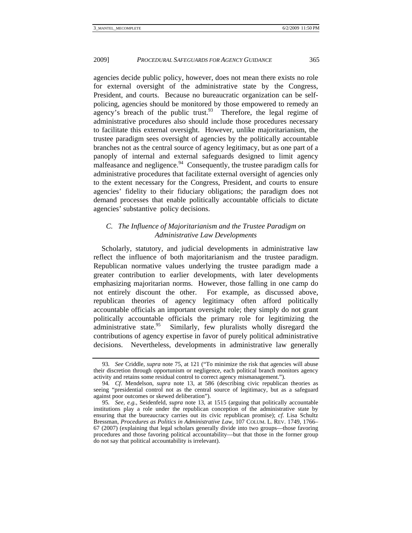agencies decide public policy, however, does not mean there exists no role for external oversight of the administrative state by the Congress, President, and courts. Because no bureaucratic organization can be selfpolicing, agencies should be monitored by those empowered to remedy an agency's breach of the public trust.  $\frac{93}{2}$  Therefore, the legal regime of administrative procedures also should include those procedures necessary to facilitate this external oversight. However, unlike majoritarianism, the trustee paradigm sees oversight of agencies by the politically accountable branches not as the central source of agency legitimacy, but as one part of a panoply of internal and external safeguards designed to limit agency malfeasance and negligence. $94$  Consequently, the trustee paradigm calls for administrative procedures that facilitate external oversight of agencies only to the extent necessary for the Congress, President, and courts to ensure agencies' fidelity to their fiduciary obligations; the paradigm does not demand processes that enable politically accountable officials to dictate agencies' substantive policy decisions.

# *C. The Influence of Majoritarianism and the Trustee Paradigm on Administrative Law Developments*

Scholarly, statutory, and judicial developments in administrative law reflect the influence of both majoritarianism and the trustee paradigm. Republican normative values underlying the trustee paradigm made a greater contribution to earlier developments, with later developments emphasizing majoritarian norms. However, those falling in one camp do not entirely discount the other. For example, as discussed above, republican theories of agency legitimacy often afford politically accountable officials an important oversight role; they simply do not grant politically accountable officials the primary role for legitimizing the administrative state.<sup>95</sup> Similarly, few pluralists wholly disregard the contributions of agency expertise in favor of purely political administrative decisions. Nevertheless, developments in administrative law generally

<sup>93</sup>*. See* Criddle, *supra* note 75, at 121 ("To minimize the risk that agencies will abuse their discretion through opportunism or negligence, each political branch monitors agency activity and retains some residual control to correct agency mismanagement.").

<sup>94</sup>*. Cf*. Mendelson, *supra* note 13, at 586 (describing civic republican theories as seeing "presidential control not as the central source of legitimacy, but as a safeguard against poor outcomes or skewed deliberation").

<sup>95</sup>*. See, e.g.*, Seidenfeld, *supra* note 13, at 1515 (arguing that politically accountable institutions play a role under the republican conception of the administrative state by ensuring that the bureaucracy carries out its civic republican promise); *cf*. Lisa Schultz Bressman, *Procedures as Politics in Administrative Law*, 107 COLUM. L. REV. 1749, 1766– 67 (2007) (explaining that legal scholars generally divide into two groups—those favoring procedures and those favoring political accountability—but that those in the former group do not say that political accountability is irrelevant).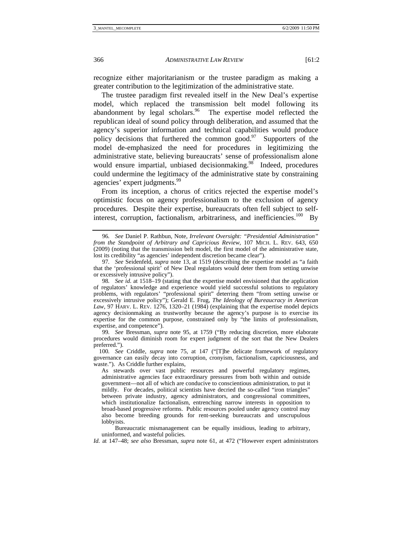recognize either majoritarianism or the trustee paradigm as making a greater contribution to the legitimization of the administrative state.

The trustee paradigm first revealed itself in the New Deal's expertise model, which replaced the transmission belt model following its abandonment by legal scholars.<sup>96</sup> The expertise model reflected the republican ideal of sound policy through deliberation, and assumed that the agency's superior information and technical capabilities would produce policy decisions that furthered the common good. $97$  Supporters of the model de-emphasized the need for procedures in legitimizing the administrative state, believing bureaucrats' sense of professionalism alone would ensure impartial, unbiased decision making. $98^{\circ}$  Indeed, procedures could undermine the legitimacy of the administrative state by constraining agencies' expert judgments.<sup>99</sup>

From its inception, a chorus of critics rejected the expertise model's optimistic focus on agency professionalism to the exclusion of agency procedures. Despite their expertise, bureaucrats often fell subject to selfinterest, corruption, factionalism, arbitrariness, and inefficiencies.<sup>100</sup> Bv

 Bureaucratic mismanagement can be equally insidious, leading to arbitrary, uninformed, and wasteful policies.

*Id.* at 147–48; *see also* Bressman, *supra* note 61, at 472 ("However expert administrators

<sup>96</sup>*. See* Daniel P. Rathbun, Note, *Irrelevant Oversight: "Presidential Administration" from the Standpoint of Arbitrary and Capricious Review*, 107 MICH. L. REV. 643, 650 (2009) (noting that the transmission belt model, the first model of the administrative state, lost its credibility "as agencies' independent discretion became clear").

<sup>97</sup>*. See* Seidenfeld, *supra* note 13, at 1519 (describing the expertise model as "a faith that the 'professional spirit' of New Deal regulators would deter them from setting unwise or excessively intrusive policy").

<sup>98</sup>*. See id*. at 1518–19 (stating that the expertise model envisioned that the application of regulators' knowledge and experience would yield successful solutions to regulatory problems, with regulators' "professional spirit" deterring them "from setting unwise or excessively intrusive policy"); Gerald E. Frug, *The Ideology of Bureaucracy in American Law*, 97 HARV. L. REV. 1276, 1320–21 (1984) (explaining that the expertise model depicts agency decisionmaking as trustworthy because the agency's purpose is to exercise its expertise for the common purpose, constrained only by "the limits of professionalism, expertise, and competence").

<sup>99</sup>*. See* Bressman, *supra* note 95, at 1759 ("By reducing discretion, more elaborate procedures would diminish room for expert judgment of the sort that the New Dealers preferred.").

<sup>100</sup>*. See* Criddle, *supra* note 75, at 147 ("[T]he delicate framework of regulatory governance can easily decay into corruption, cronyism, factionalism, capriciousness, and waste."). As Criddle further explains,

As stewards over vast public resources and powerful regulatory regimes, administrative agencies face extraordinary pressures from both within and outside government—not all of which are conducive to conscientious administration, to put it mildly. For decades, political scientists have decried the so-called "iron triangles" between private industry, agency administrators, and congressional committees, which institutionalize factionalism, entrenching narrow interests in opposition to broad-based progressive reforms. Public resources pooled under agency control may also become breeding grounds for rent-seeking bureaucrats and unscrupulous lobbyists.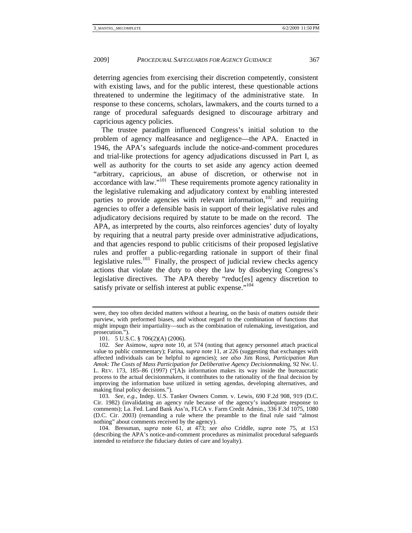deterring agencies from exercising their discretion competently, consistent with existing laws, and for the public interest, these questionable actions threatened to undermine the legitimacy of the administrative state. In response to these concerns, scholars, lawmakers, and the courts turned to a range of procedural safeguards designed to discourage arbitrary and capricious agency policies.

The trustee paradigm influenced Congress's initial solution to the problem of agency malfeasance and negligence—the APA. Enacted in 1946, the APA's safeguards include the notice-and-comment procedures and trial-like protections for agency adjudications discussed in Part I, as well as authority for the courts to set aside any agency action deemed "arbitrary, capricious, an abuse of discretion, or otherwise not in accordance with law."101 These requirements promote agency rationality in the legislative rulemaking and adjudicatory context by enabling interested parties to provide agencies with relevant information, $102$  and requiring agencies to offer a defensible basis in support of their legislative rules and adjudicatory decisions required by statute to be made on the record. The APA, as interpreted by the courts, also reinforces agencies' duty of loyalty by requiring that a neutral party preside over administrative adjudications, and that agencies respond to public criticisms of their proposed legislative rules and proffer a public-regarding rationale in support of their final legislative rules.<sup>103</sup> Finally, the prospect of judicial review checks agency actions that violate the duty to obey the law by disobeying Congress's legislative directives. The APA thereby "reduc[es] agency discretion to satisfy private or selfish interest at public expense."<sup>104</sup>

were, they too often decided matters without a hearing, on the basis of matters outside their purview, with preformed biases, and without regard to the combination of functions that might impugn their impartiality—such as the combination of rulemaking, investigation, and prosecution.").

 <sup>101. 5</sup> U.S.C. § 706(2)(A) (2006).

<sup>102</sup>*. See* Asimow, *supra* note 10, at 574 (noting that agency personnel attach practical value to public commentary); Farina, *supra* note 11, at 226 (suggesting that exchanges with affected individuals can be helpful to agencies); *see also* Jim Rossi, *Participation Run Amok: The Costs of Mass Participation for Deliberative Agency Decisionmaking*, 92 NW. U. L. REV. 173, 185–86 (1997) ("[A]s information makes its way inside the bureaucratic process to the actual decisionmakers, it contributes to the rationality of the final decision by improving the information base utilized in setting agendas, developing alternatives, and making final policy decisions.").

<sup>103</sup>*. See, e.g.*, Indep. U.S. Tanker Owners Comm. v. Lewis, 690 F.2d 908, 919 (D.C. Cir. 1982) (invalidating an agency rule because of the agency's inadequate response to comments); La. Fed. Land Bank Ass'n, FLCA v. Farm Credit Admin., 336 F.3d 1075, 1080 (D.C. Cir. 2003) (remanding a rule where the preamble to the final rule said "almost nothing" about comments received by the agency).

 <sup>104.</sup> Bressman, *supra* note 61, at 473; *see also* Criddle, *supra* note 75, at 153 (describing the APA's notice-and-comment procedures as minimalist procedural safeguards intended to reinforce the fiduciary duties of care and loyalty).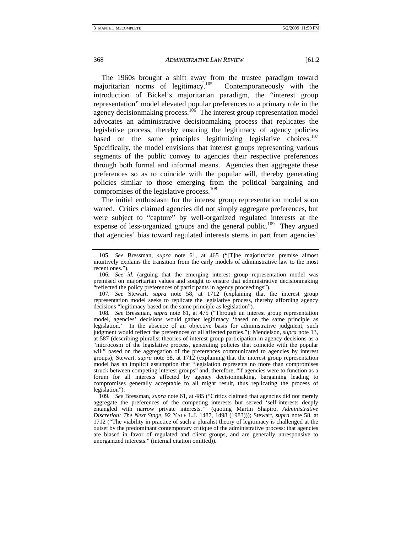The 1960s brought a shift away from the trustee paradigm toward majoritarian norms of legitimacy.<sup>105</sup> Contemporaneously with the introduction of Bickel's majoritarian paradigm, the "interest group representation" model elevated popular preferences to a primary role in the agency decisionmaking process.<sup>106</sup> The interest group representation model advocates an administrative decisionmaking process that replicates the legislative process, thereby ensuring the legitimacy of agency policies based on the same principles legitimizing legislative choices. $107$ Specifically, the model envisions that interest groups representing various segments of the public convey to agencies their respective preferences through both formal and informal means. Agencies then aggregate these preferences so as to coincide with the popular will, thereby generating policies similar to those emerging from the political bargaining and compromises of the legislative process.<sup>108</sup>

The initial enthusiasm for the interest group representation model soon waned. Critics claimed agencies did not simply aggregate preferences, but were subject to "capture" by well-organized regulated interests at the expense of less-organized groups and the general public.<sup>109</sup> They argued that agencies' bias toward regulated interests stems in part from agencies'

<sup>105</sup>*. See* Bressman, *supra* note 61, at 465 ("[T]he majoritarian premise almost intuitively explains the transition from the early models of administrative law to the most recent ones.").

<sup>106</sup>*. See id.* (arguing that the emerging interest group representation model was premised on majoritarian values and sought to ensure that administrative decisionmaking "reflected the policy preferences of participants in agency proceedings").

<sup>107</sup>*. See* Stewart, *supra* note 58, at 1712 (explaining that the interest group representation model seeks to replicate the legislative process, thereby affording agency decisions "legitimacy based on the same principle as legislation").

<sup>108</sup>*. See* Bressman, *supra* note 61, at 475 ("Through an interest group representation model, agencies' decisions would gather legitimacy 'based on the same principle as legislation.' In the absence of an objective basis for administrative judgment, such judgment would reflect the preferences of all affected parties."); Mendelson, *supra* note 13, at 587 (describing pluralist theories of interest group participation in agency decisions as a "microcosm of the legislative process, generating policies that coincide with the popular will" based on the aggregation of the preferences communicated to agencies by interest groups); Stewart, *supra* note 58, at 1712 (explaining that the interest group representation model has an implicit assumption that "legislation represents no more than compromises struck between competing interest groups" and, therefore, "if agencies were to function as a forum for all interests affected by agency decisionmaking, bargaining leading to compromises generally acceptable to all might result, thus replicating the process of legislation").

<sup>109</sup>*. See* Bressman, *supra* note 61, at 485 ("Critics claimed that agencies did not merely aggregate the preferences of the competing interests but served 'self-interests deeply entangled with narrow private interests.'" (quoting Martin Shapiro, *Administrative Discretion: The Next Stage*, 92 YALE L.J. 1487, 1498 (1983))); Stewart, *supra* note 58, at 1712 ("The viability in practice of such a pluralist theory of legitimacy is challenged at the outset by the predominant contemporary critique of the administrative process: that agencies are biased in favor of regulated and client groups, and are generally unresponsive to unorganized interests." (internal citation omitted)).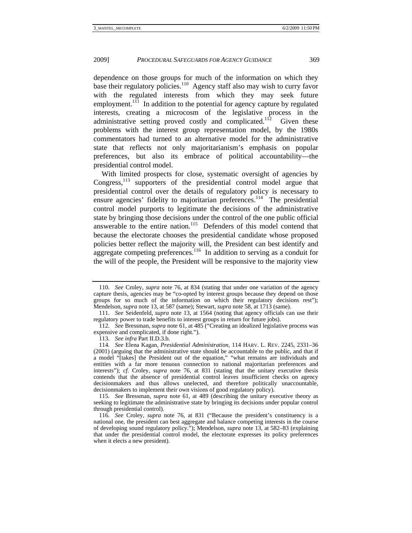dependence on those groups for much of the information on which they base their regulatory policies.<sup>110</sup> Agency staff also may wish to curry favor with the regulated interests from which they may seek future employment.<sup>111</sup> In addition to the potential for agency capture by regulated interests, creating a microcosm of the legislative process in the administrative setting proved costly and complicated.<sup>112</sup> Given these problems with the interest group representation model, by the 1980s commentators had turned to an alternative model for the administrative state that reflects not only majoritarianism's emphasis on popular preferences, but also its embrace of political accountability—the presidential control model.

With limited prospects for close, systematic oversight of agencies by  $Congress, <sup>113</sup>$  supporters of the presidential control model argue that presidential control over the details of regulatory policy is necessary to ensure agencies' fidelity to majoritarian preferences.<sup>114</sup> The presidential control model purports to legitimate the decisions of the administrative state by bringing those decisions under the control of the one public official answerable to the entire nation.<sup>115</sup> Defenders of this model contend that because the electorate chooses the presidential candidate whose proposed policies better reflect the majority will, the President can best identify and aggregate competing preferences.<sup>116</sup> In addition to serving as a conduit for the will of the people, the President will be responsive to the majority view

<sup>110</sup>*. See* Croley, *supra* note 76, at 834 (stating that under one variation of the agency capture thesis, agencies may be "co-opted by interest groups because they depend on those groups for so much of the information on which their regulatory decisions rest"); Mendelson, *supra* note 13, at 587 (same); Stewart, *supra* note 58, at 1713 (same).

<sup>111</sup>*. See* Seidenfeld, *supra* note 13, at 1564 (noting that agency officials can use their regulatory power to trade benefits to interest groups in return for future jobs).

<sup>112</sup>*. See* Bressman, *supra* note 61, at 485 ("Creating an idealized legislative process was expensive and complicated, if done right.").

<sup>113</sup>*. See infra* Part II.D.3.b.

<sup>114</sup>*. See* Elena Kagan, *Presidential Administration*, 114 HARV. L. REV. 2245, 2331–36 (2001) (arguing that the administrative state should be accountable to the public, and that if a model "[takes] the President out of the equation," "what remains are individuals and entities with a far more tenuous connection to national majoritarian preferences and interests"); *cf*. Croley, *supra* note 76, at 831 (stating that the unitary executive thesis contends that the absence of presidential control leaves insufficient checks on agency decisionmakers and thus allows unelected, and therefore politically unaccountable, decisionmakers to implement their own visions of good regulatory policy).

<sup>115</sup>*. See* Bressman, *supra* note 61, at 489 (describing the unitary executive theory as seeking to legitimate the administrative state by bringing its decisions under popular control through presidential control).

<sup>116</sup>*. See* Croley, *supra* note 76, at 831 ("Because the president's constituency is a national one, the president can best aggregate and balance competing interests in the course of developing sound regulatory policy."); Mendelson, *supra* note 13, at 582–83 (explaining that under the presidential control model, the electorate expresses its policy preferences when it elects a new president).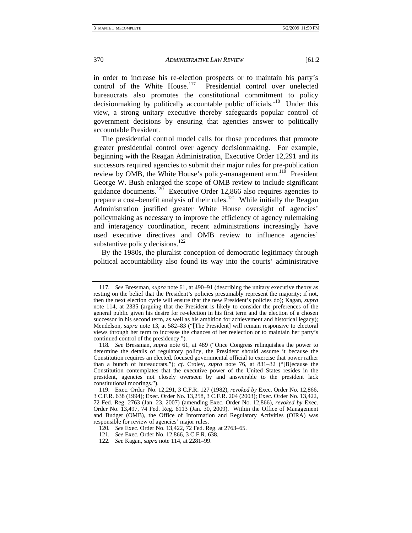in order to increase his re-election prospects or to maintain his party's control of the White House.<sup>117</sup> Presidential control over unelected Presidential control over unelected bureaucrats also promotes the constitutional commitment to policy decisionmaking by politically accountable public officials.<sup>118</sup> Under this view, a strong unitary executive thereby safeguards popular control of government decisions by ensuring that agencies answer to politically accountable President.

The presidential control model calls for those procedures that promote greater presidential control over agency decisionmaking. For example, beginning with the Reagan Administration, Executive Order 12,291 and its successors required agencies to submit their major rules for pre-publication review by OMB, the White House's policy-management arm.<sup>119</sup> President George W. Bush enlarged the scope of OMB review to include significant guidance documents.<sup>120</sup> Executive Order 12,866 also requires agencies to prepare a cost–benefit analysis of their rules.<sup>121</sup> While initially the Reagan Administration justified greater White House oversight of agencies' policymaking as necessary to improve the efficiency of agency rulemaking and interagency coordination, recent administrations increasingly have used executive directives and OMB review to influence agencies' substantive policy decisions.<sup>122</sup>

By the 1980s, the pluralist conception of democratic legitimacy through political accountability also found its way into the courts' administrative

<sup>117</sup>*. See* Bressman, *supra* note 61, at 490–91 (describing the unitary executive theory as resting on the belief that the President's policies presumably represent the majority; if not, then the next election cycle will ensure that the new President's policies do); Kagan, *supra* note 114, at 2335 (arguing that the President is likely to consider the preferences of the general public given his desire for re-election in his first term and the election of a chosen successor in his second term, as well as his ambition for achievement and historical legacy); Mendelson, *supra* note 13, at 582–83 ("[The President] will remain responsive to electoral views through her term to increase the chances of her reelection or to maintain her party's continued control of the presidency.").

<sup>118</sup>*. See* Bressman, *supra* note 61, at 489 ("Once Congress relinquishes the power to determine the details of regulatory policy, the President should assume it because the Constitution requires an elected, focused governmental official to exercise that power rather than a bunch of bureaucrats."); *cf*. Croley, *supra* note 76, at 831–32 ("[B]ecause the Constitution contemplates that the executive power of the United States resides in the president, agencies not closely overseen by and answerable to the president lack constitutional moorings.").

 <sup>119.</sup> Exec. Order No. 12,291, 3 C.F.R. 127 (1982), *revoked by* Exec. Order No. 12,866, 3 C.F.R. 638 (1994); Exec. Order No. 13,258, 3 C.F.R. 204 (2003); Exec. Order No. 13,422, 72 Fed. Reg. 2763 (Jan. 23, 2007) (amending Exec. Order No. 12,866), *revoked by* Exec. Order No. 13,497, 74 Fed. Reg. 6113 (Jan. 30, 2009). Within the Office of Management and Budget (OMB), the Office of Information and Regulatory Activities (OIRA) was responsible for review of agencies' major rules.

<sup>120</sup>*. See* Exec. Order No. 13,422, 72 Fed. Reg. at 2763–65.

<sup>121</sup>*. See* Exec. Order No. 12,866, 3 C.F.R. 638.

<sup>122</sup>*. See* Kagan, *supra* note 114, at 2281–99.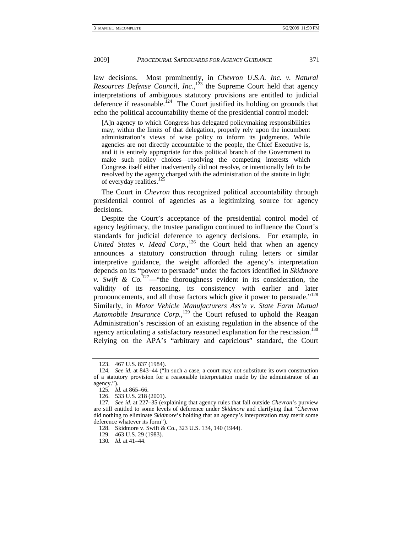law decisions. Most prominently, in *Chevron U.S.A. Inc. v. Natural Resources Defense Council, Inc.*,<sup>123</sup> the Supreme Court held that agency interpretations of ambiguous statutory provisions are entitled to judicial deference if reasonable.<sup>124</sup> The Court justified its holding on grounds that echo the political accountability theme of the presidential control model:

[A]n agency to which Congress has delegated policymaking responsibilities may, within the limits of that delegation, properly rely upon the incumbent administration's views of wise policy to inform its judgments. While agencies are not directly accountable to the people, the Chief Executive is, and it is entirely appropriate for this political branch of the Government to make such policy choices—resolving the competing interests which Congress itself either inadvertently did not resolve, or intentionally left to be resolved by the agency charged with the administration of the statute in light of everyday realities.<sup>1</sup>

The Court in *Chevron* thus recognized political accountability through presidential control of agencies as a legitimizing source for agency decisions.

Despite the Court's acceptance of the presidential control model of agency legitimacy, the trustee paradigm continued to influence the Court's standards for judicial deference to agency decisions. For example, in United States v. Mead Corp.,<sup>126</sup> the Court held that when an agency announces a statutory construction through ruling letters or similar interpretive guidance, the weight afforded the agency's interpretation depends on its "power to persuade" under the factors identified in *Skidmore v.* Swift &  $Co$ <sup>127</sup>—"the thoroughness evident in its consideration, the validity of its reasoning, its consistency with earlier and later pronouncements, and all those factors which give it power to persuade."<sup>128</sup> Similarly, in *Motor Vehicle Manufacturers Ass'n v. State Farm Mutual*  Automobile Insurance Corp.,<sup>129</sup> the Court refused to uphold the Reagan Administration's rescission of an existing regulation in the absence of the agency articulating a satisfactory reasoned explanation for the rescission.<sup>130</sup> Relying on the APA's "arbitrary and capricious" standard, the Court

 <sup>123. 467</sup> U.S. 837 (1984).

<sup>124</sup>*. See id.* at 843–44 ("In such a case, a court may not substitute its own construction of a statutory provision for a reasonable interpretation made by the administrator of an agency.").

<sup>125</sup>*. Id.* at 865–66.

 <sup>126. 533</sup> U.S. 218 (2001).

<sup>127</sup>*. See id*. at 227–35 (explaining that agency rules that fall outside *Chevron*'s purview are still entitled to some levels of deference under *Skidmore* and clarifying that "*Chevron* did nothing to eliminate *Skidmore*'s holding that an agency's interpretation may merit some deference whatever its form").

 <sup>128.</sup> Skidmore v. Swift & Co., 323 U.S. 134, 140 (1944).

 <sup>129. 463</sup> U.S. 29 (1983).

<sup>130</sup>*. Id.* at 41–44.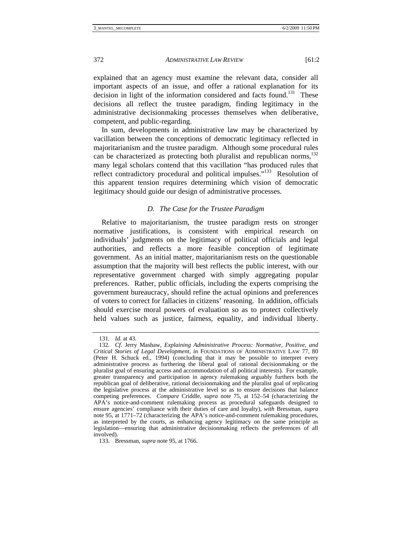explained that an agency must examine the relevant data, consider all important aspects of an issue, and offer a rational explanation for its decision in light of the information considered and facts found.<sup>131</sup> These decisions all reflect the trustee paradigm, finding legitimacy in the administrative decisionmaking processes themselves when deliberative, competent, and public-regarding.

In sum, developments in administrative law may be characterized by vacillation between the conceptions of democratic legitimacy reflected in majoritarianism and the trustee paradigm. Although some procedural rules can be characterized as protecting both pluralist and republican norms.<sup>132</sup> many legal scholars contend that this vacillation "has produced rules that reflect contradictory procedural and political impulses.<sup>"133</sup> Resolution of this apparent tension requires determining which vision of democratic legitimacy should guide our design of administrative processes.

### *D. The Case for the Trustee Paradigm*

Relative to majoritarianism, the trustee paradigm rests on stronger normative justifications, is consistent with empirical research on individuals' judgments on the legitimacy of political officials and legal authorities, and reflects a more feasible conception of legitimate government. As an initial matter, majoritarianism rests on the questionable assumption that the majority will best reflects the public interest, with our representative government charged with simply aggregating popular preferences. Rather, public officials, including the experts comprising the government bureaucracy, should refine the actual opinions and preferences of voters to correct for fallacies in citizens' reasoning. In addition, officials should exercise moral powers of evaluation so as to protect collectively held values such as justice, fairness, equality, and individual liberty.

<sup>131</sup>*. Id.* at 43.

<sup>132</sup>*. Cf.* Jerry Mashaw, *Explaining Administrative Process: Normative, Positive, and Critical Stories of Legal Development*, *in* FOUNDATIONS OF ADMINISTRATIVE LAW 77, 80 (Peter H. Schuck ed., 1994) (concluding that it may be possible to interpret every administrative process as furthering the liberal goal of rational decisionmaking or the pluralist goal of ensuring access and accommodation of all political interests). For example, greater transparency and participation in agency rulemaking arguably furthers both the republican goal of deliberative, rational decisionmaking and the pluralist goal of replicating the legislative process at the administrative level so as to ensure decisions that balance competing preferences. *Compare* Criddle, *supra* note 75, at 152–54 (characterizing the APA's notice-and-comment rulemaking process as procedural safeguards designed to ensure agencies' compliance with their duties of care and loyalty), *with* Bressman, *supra* note 95, at 1771–72 (characterizing the APA's notice-and-comment rulemaking procedures, as interpreted by the courts, as enhancing agency legitimacy on the same principle as legislation—ensuring that administrative decisionmaking reflects the preferences of all involved).

 <sup>133.</sup> Bressman, *supra* note 95, at 1766.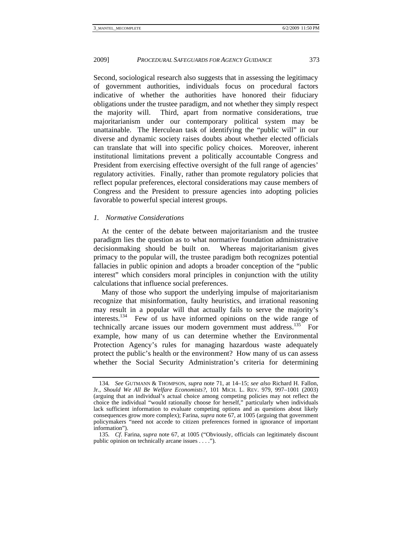Second, sociological research also suggests that in assessing the legitimacy of government authorities, individuals focus on procedural factors indicative of whether the authorities have honored their fiduciary obligations under the trustee paradigm, and not whether they simply respect the majority will. Third, apart from normative considerations, true majoritarianism under our contemporary political system may be unattainable. The Herculean task of identifying the "public will" in our diverse and dynamic society raises doubts about whether elected officials can translate that will into specific policy choices. Moreover, inherent institutional limitations prevent a politically accountable Congress and President from exercising effective oversight of the full range of agencies' regulatory activities. Finally, rather than promote regulatory policies that reflect popular preferences, electoral considerations may cause members of Congress and the President to pressure agencies into adopting policies favorable to powerful special interest groups.

#### *1. Normative Considerations*

At the center of the debate between majoritarianism and the trustee paradigm lies the question as to what normative foundation administrative decisionmaking should be built on. Whereas majoritarianism gives primacy to the popular will, the trustee paradigm both recognizes potential fallacies in public opinion and adopts a broader conception of the "public interest" which considers moral principles in conjunction with the utility calculations that influence social preferences.

Many of those who support the underlying impulse of majoritarianism recognize that misinformation, faulty heuristics, and irrational reasoning may result in a popular will that actually fails to serve the majority's interests.<sup>134</sup> Few of us have informed opinions on the wide range of technically arcane issues our modern government must address.<sup>135</sup> For example, how many of us can determine whether the Environmental Protection Agency's rules for managing hazardous waste adequately protect the public's health or the environment? How many of us can assess whether the Social Security Administration's criteria for determining

<sup>134</sup>*. See* GUTMANN & THOMPSON, *supra* note 71, at 14–15; *see also* Richard H. Fallon, Jr., *Should We All Be Welfare Economists?*, 101 MICH. L. REV. 979, 997–1001 (2003) (arguing that an individual's actual choice among competing policies may not reflect the choice the individual "would rationally choose for herself," particularly when individuals lack sufficient information to evaluate competing options and as questions about likely consequences grow more complex); Farina, *supra* note 67, at 1005 (arguing that government policymakers "need not accede to citizen preferences formed in ignorance of important information").

<sup>135</sup>*. Cf*. Farina, *supra* note 67, at 1005 ("Obviously, officials can legitimately discount public opinion on technically arcane issues . . . .").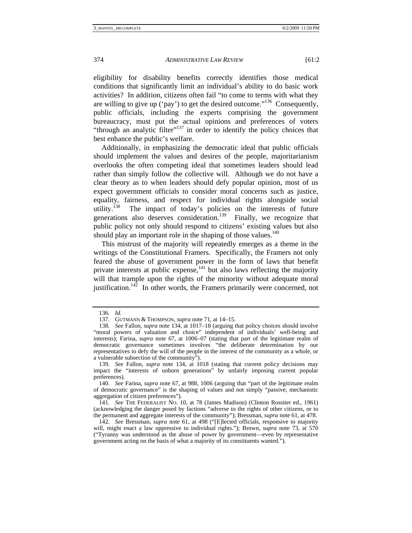eligibility for disability benefits correctly identifies those medical conditions that significantly limit an individual's ability to do basic work activities? In addition, citizens often fail "to come to terms with what they are willing to give up ('pay') to get the desired outcome."<sup>136</sup> Consequently, public officials, including the experts comprising the government bureaucracy, must put the actual opinions and preferences of voters "through an analytic filter"<sup>137</sup> in order to identify the policy choices that best enhance the public's welfare.

Additionally, in emphasizing the democratic ideal that public officials should implement the values and desires of the people, majoritarianism overlooks the often competing ideal that sometimes leaders should lead rather than simply follow the collective will. Although we do not have a clear theory as to when leaders should defy popular opinion, most of us expect government officials to consider moral concerns such as justice, equality, fairness, and respect for individual rights alongside social utility.<sup>138</sup> The impact of today's policies on the interests of future generations also deserves consideration.<sup>139</sup> Finally, we recognize that public policy not only should respond to citizens' existing values but also should play an important role in the shaping of those values.<sup>140</sup>

This mistrust of the majority will repeatedly emerges as a theme in the writings of the Constitutional Framers. Specifically, the Framers not only feared the abuse of government power in the form of laws that benefit private interests at public expense,<sup>141</sup> but also laws reflecting the majority will that trample upon the rights of the minority without adequate moral justification.<sup>142</sup> In other words, the Framers primarily were concerned, not

<sup>136</sup>*. Id.*

 <sup>137.</sup> GUTMANN & THOMPSON, *supra* note 71, at 14–15.

<sup>138</sup>*. See* Fallon, *supra* note 134, at 1017–18 (arguing that policy choices should involve "moral powers of valuation and choice" independent of individuals' well-being and interests); Farina, *supra* note 67, at 1006–07 (stating that part of the legitimate realm of democratic governance sometimes involves "the deliberate determination by our representatives to defy the will of the people in the interest of the community as a whole, or a vulnerable subsection of the community").

<sup>139</sup>*. See* Fallon, *supra* note 134, at 1018 (stating that current policy decisions may impact the "interests of unborn generations" by unfairly imposing current popular preferences).

<sup>140</sup>*. See* Farina, *supra* note 67, at 988, 1006 (arguing that "part of the legitimate realm of democratic governance" is the shaping of values and not simply "passive, mechanistic aggregation of citizen preferences").

<sup>141</sup>*. See* THE FEDERALIST NO. 10, at 78 (James Madison) (Clinton Rossiter ed., 1961) (acknowledging the danger posed by factions "adverse to the rights of other citizens, or to the permanent and aggregate interests of the community"); Bressman, *supra* note 61, at 478.

<sup>142</sup>*. See* Bressman, *supra* note 61, at 498 ("[E]lected officials, responsive to majority will, might enact a law oppressive to individual rights."); Brown, *supra* note 73, at 570 ("Tyranny was understood as the abuse of power by government—even by representative government acting on the basis of what a majority of its constituents wanted.").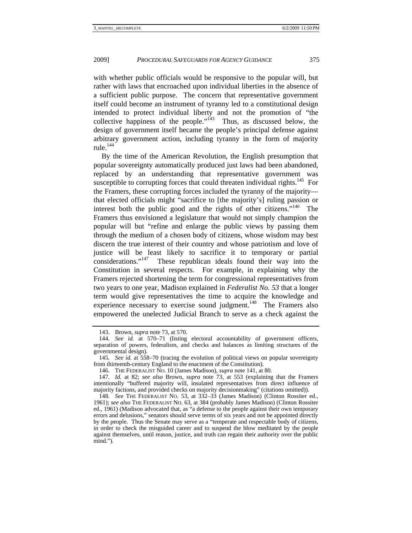with whether public officials would be responsive to the popular will, but rather with laws that encroached upon individual liberties in the absence of a sufficient public purpose. The concern that representative government itself could become an instrument of tyranny led to a constitutional design intended to protect individual liberty and not the promotion of "the collective happiness of the people." $143$  Thus, as discussed below, the design of government itself became the people's principal defense against arbitrary government action, including tyranny in the form of majority rule.144

By the time of the American Revolution, the English presumption that popular sovereignty automatically produced just laws had been abandoned, replaced by an understanding that representative government was susceptible to corrupting forces that could threaten individual rights.<sup>145</sup> For the Framers, these corrupting forces included the tyranny of the majority that elected officials might "sacrifice to [the majority's] ruling passion or interest both the public good and the rights of other citizens."<sup>146</sup> The Framers thus envisioned a legislature that would not simply champion the popular will but "refine and enlarge the public views by passing them through the medium of a chosen body of citizens, whose wisdom may best discern the true interest of their country and whose patriotism and love of justice will be least likely to sacrifice it to temporary or partial considerations."147 These republican ideals found their way into the Constitution in several respects. For example, in explaining why the Framers rejected shortening the term for congressional representatives from two years to one year, Madison explained in *Federalist No. 53* that a longer term would give representatives the time to acquire the knowledge and experience necessary to exercise sound judgment.<sup>148</sup> The Framers also empowered the unelected Judicial Branch to serve as a check against the

 <sup>143.</sup> Brown*, supra* note 73, at 570.

<sup>144</sup>*. See id.* at 570–71 (listing electoral accountability of government officers, separation of powers, federalism, and checks and balances as limiting structures of the governmental design).

<sup>145</sup>*. See id.* at 558–70 (tracing the evolution of political views on popular sovereignty from thirteenth-century England to the enactment of the Constitution).

 <sup>146.</sup> THE FEDERALIST NO. 10 (James Madison), *supra* note 141, at 80.

<sup>147</sup>*. Id.* at 82; *see also* Brown, *supra* note 73, at 553 (explaining that the Framers intentionally "buffered majority will, insulated representatives from direct influence of majority factions, and provided checks on majority decisionmaking" (citations omitted)).

<sup>148</sup>*. See* THE FEDERALIST NO. 53, at 332–33 (James Madison) (Clinton Rossiter ed., 1961); *see also* THE FEDERALIST NO. 63, at 384 (probably James Madison) (Clinton Rossiter ed., 1961) (Madison advocated that, as "a defense to the people against their own temporary errors and delusions," senators should serve terms of six years and not be appointed directly by the people. Thus the Senate may serve as a "temperate and respectable body of citizens, in order to check the misguided career and to suspend the blow meditated by the people against themselves, until reason, justice, and truth can regain their authority over the public mind.").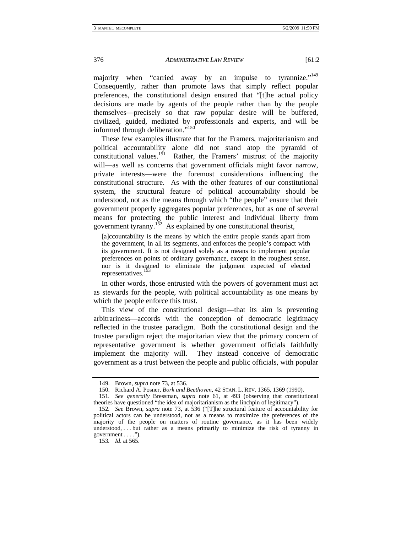majority when "carried away by an impulse to tyrannize."<sup>149</sup> Consequently, rather than promote laws that simply reflect popular preferences, the constitutional design ensured that "[t]he actual policy decisions are made by agents of the people rather than by the people themselves—precisely so that raw popular desire will be buffered, civilized, guided, mediated by professionals and experts, and will be informed through deliberation."<sup>150</sup>

These few examples illustrate that for the Framers, majoritarianism and political accountability alone did not stand atop the pyramid of constitutional values.<sup>151</sup> Rather, the Framers' mistrust of the majority will—as well as concerns that government officials might favor narrow, private interests—were the foremost considerations influencing the constitutional structure. As with the other features of our constitutional system, the structural feature of political accountability should be understood, not as the means through which "the people" ensure that their government properly aggregates popular preferences, but as one of several means for protecting the public interest and individual liberty from government tyranny.<sup>152</sup> As explained by one constitutional theorist,

[a]ccountability is the means by which the entire people stands apart from the government, in all its segments, and enforces the people's compact with its government. It is not designed solely as a means to implement popular preferences on points of ordinary governance, except in the roughest sense, nor is it designed to eliminate the judgment expected of elected representatives.<sup>153</sup>

In other words, those entrusted with the powers of government must act as stewards for the people, with political accountability as one means by which the people enforce this trust.

This view of the constitutional design—that its aim is preventing arbitrariness—accords with the conception of democratic legitimacy reflected in the trustee paradigm. Both the constitutional design and the trustee paradigm reject the majoritarian view that the primary concern of representative government is whether government officials faithfully implement the majority will. They instead conceive of democratic government as a trust between the people and public officials, with popular

153*. Id*. at 565.

 <sup>149.</sup> Brown, *supra* note 73, at 536.

 <sup>150.</sup> Richard A. Posner, *Bork and Beethoven*, 42 STAN. L. REV. 1365, 1369 (1990).

<sup>151</sup>*. See generally* Bressman, *supra* note 61, at 493 (observing that constitutional theories have questioned "the idea of majoritarianism as the linchpin of legitimacy").

<sup>152</sup>*. See* Brown, *supra* note 73, at 536 ("[T]he structural feature of accountability for political actors can be understood, not as a means to maximize the preferences of the majority of the people on matters of routine governance, as it has been widely understood, . . . but rather as a means primarily to minimize the risk of tyranny in government  $\dots$ .").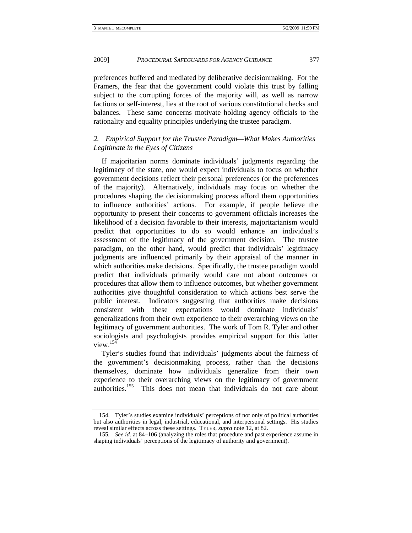preferences buffered and mediated by deliberative decisionmaking. For the Framers, the fear that the government could violate this trust by falling subject to the corrupting forces of the majority will, as well as narrow factions or self-interest, lies at the root of various constitutional checks and balances. These same concerns motivate holding agency officials to the rationality and equality principles underlying the trustee paradigm.

# *2. Empirical Support for the Trustee Paradigm—What Makes Authorities Legitimate in the Eyes of Citizens*

If majoritarian norms dominate individuals' judgments regarding the legitimacy of the state, one would expect individuals to focus on whether government decisions reflect their personal preferences (or the preferences of the majority). Alternatively, individuals may focus on whether the procedures shaping the decisionmaking process afford them opportunities to influence authorities' actions. For example, if people believe the opportunity to present their concerns to government officials increases the likelihood of a decision favorable to their interests, majoritarianism would predict that opportunities to do so would enhance an individual's assessment of the legitimacy of the government decision. The trustee paradigm, on the other hand, would predict that individuals' legitimacy judgments are influenced primarily by their appraisal of the manner in which authorities make decisions. Specifically, the trustee paradigm would predict that individuals primarily would care not about outcomes or procedures that allow them to influence outcomes, but whether government authorities give thoughtful consideration to which actions best serve the public interest. Indicators suggesting that authorities make decisions consistent with these expectations would dominate individuals' generalizations from their own experience to their overarching views on the legitimacy of government authorities. The work of Tom R. Tyler and other sociologists and psychologists provides empirical support for this latter view.<sup>154</sup>

Tyler's studies found that individuals' judgments about the fairness of the government's decisionmaking process, rather than the decisions themselves, dominate how individuals generalize from their own experience to their overarching views on the legitimacy of government authorities.155 This does not mean that individuals do not care about

 <sup>154.</sup> Tyler's studies examine individuals' perceptions of not only of political authorities but also authorities in legal, industrial, educational, and interpersonal settings. His studies reveal similar effects across these settings. TYLER, *supra* note 12, at 82.

<sup>155</sup>*. See id.* at 84–106 (analyzing the roles that procedure and past experience assume in shaping individuals' perceptions of the legitimacy of authority and government).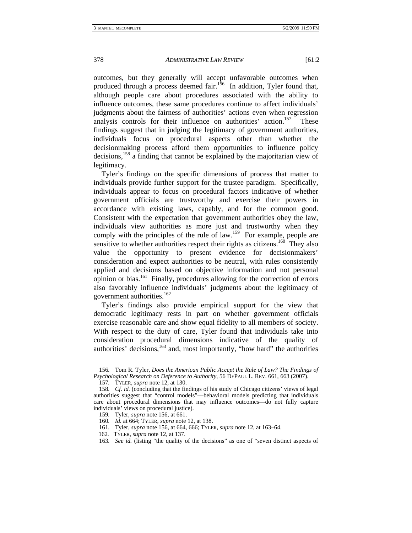outcomes, but they generally will accept unfavorable outcomes when produced through a process deemed fair.<sup>156</sup> In addition, Tyler found that, although people care about procedures associated with the ability to influence outcomes, these same procedures continue to affect individuals' judgments about the fairness of authorities' actions even when regression analysis controls for their influence on authorities' action.<sup>157</sup> These findings suggest that in judging the legitimacy of government authorities, individuals focus on procedural aspects other than whether the decisionmaking process afford them opportunities to influence policy decisions,158 a finding that cannot be explained by the majoritarian view of legitimacy.

Tyler's findings on the specific dimensions of process that matter to individuals provide further support for the trustee paradigm. Specifically, individuals appear to focus on procedural factors indicative of whether government officials are trustworthy and exercise their powers in accordance with existing laws, capably, and for the common good. Consistent with the expectation that government authorities obey the law, individuals view authorities as more just and trustworthy when they comply with the principles of the rule of law.<sup>159</sup> For example, people are sensitive to whether authorities respect their rights as citizens.<sup>160</sup> They also value the opportunity to present evidence for decisionmakers' consideration and expect authorities to be neutral, with rules consistently applied and decisions based on objective information and not personal opinion or bias.161 Finally, procedures allowing for the correction of errors also favorably influence individuals' judgments about the legitimacy of government authorities.<sup>162</sup>

Tyler's findings also provide empirical support for the view that democratic legitimacy rests in part on whether government officials exercise reasonable care and show equal fidelity to all members of society. With respect to the duty of care, Tyler found that individuals take into consideration procedural dimensions indicative of the quality of authorities' decisions, $163$  and, most importantly, "how hard" the authorities

<sup>156</sup>*.* Tom R. Tyler, *Does the American Public Accept the Rule of Law? The Findings of Psychological Research on Deference to Authority*, 56 DEPAUL L. REV. 661, 663 (2007).

<sup>157</sup>*.* TYLER, *supra* note 12, at 130.

<sup>158</sup>*. Cf. id.* (concluding that the findings of his study of Chicago citizens' views of legal authorities suggest that "control models"—behavioral models predicting that individuals care about procedural dimensions that may influence outcomes—do not fully capture individuals' views on procedural justice).

<sup>159</sup>*.* Tyler, *supra* note 156, at 661.

<sup>160</sup>*. Id.* at 664; TYLER, *supra* note 12, at 138.

<sup>161</sup>*.* Tyler, *supra* note 156, at 664, 666; TYLER, *supra* note 12, at 163–64.

162*.* TYLER, *supra* note 12, at 137.

<sup>163</sup>*. See id.* (listing "the quality of the decisions" as one of "seven distinct aspects of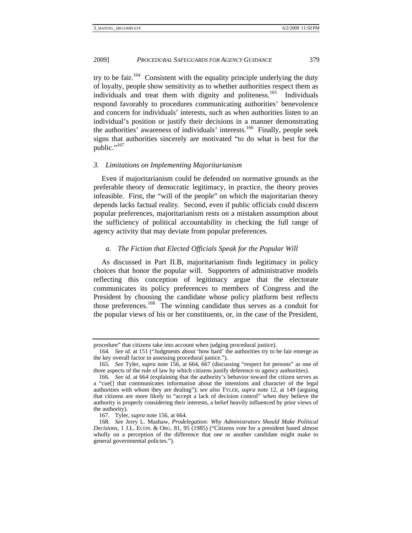#### 2009] *PROCEDURAL SAFEGUARDS FOR AGENCY GUIDANCE* 379

try to be fair.<sup>164</sup> Consistent with the equality principle underlying the duty of loyalty, people show sensitivity as to whether authorities respect them as individuals and treat them with dignity and politeness.<sup>165</sup> Individuals respond favorably to procedures communicating authorities' benevolence and concern for individuals' interests, such as when authorities listen to an individual's position or justify their decisions in a manner demonstrating the authorities' awareness of individuals' interests.<sup>166</sup> Finally, people seek signs that authorities sincerely are motivated "to do what is best for the public."<sup>167</sup>

#### *3. Limitations on Implementing Majoritarianism*

Even if majoritarianism could be defended on normative grounds as the preferable theory of democratic legitimacy, in practice, the theory proves infeasible. First, the "will of the people" on which the majoritarian theory depends lacks factual reality. Second, even if public officials could discern popular preferences, majoritarianism rests on a mistaken assumption about the sufficiency of political accountability in checking the full range of agency activity that may deviate from popular preferences.

### *a. The Fiction that Elected Officials Speak for the Popular Will*

As discussed in Part II.B, majoritarianism finds legitimacy in policy choices that honor the popular will. Supporters of administrative models reflecting this conception of legitimacy argue that the electorate communicates its policy preferences to members of Congress and the President by choosing the candidate whose policy platform best reflects those preferences.168 The winning candidate thus serves as a conduit for the popular views of his or her constituents, or, in the case of the President,

procedure" that citizens take into account when judging procedural justice).

<sup>164</sup>*. See id.* at 151 ("Judgments about 'how hard' the authorities try to be fair emerge as the key overall factor in assessing procedural justice.").

<sup>165</sup>*. See* Tyler, *supra* note 156, at 664, 667 (discussing "respect for persons" as one of three aspects of the rule of law by which citizens justify deference to agency authorities).

<sup>166</sup>*. See id.* at 664 (explaining that the authority's behavior toward the citizen serves as a "cue[] that communicates information about the intentions and character of the legal authorities with whom they are dealing"); *see also* TYLER, *supra* note 12, at 149 (arguing that citizens are more likely to "accept a lack of decision control" when they believe the authority is properly considering their interests, a belief heavily influenced by prior views of the authority).

 <sup>167.</sup> Tyler, *supra* note 156, at 664.

<sup>168</sup>*. See* Jerry L. Mashaw, *Prodelegation: Why Administrators Should Make Political Decisions*, 1 J.L. ECON. & ORG. 81, 95 (1985) ("Citizens vote for a president based almost wholly on a perception of the difference that one or another candidate might make to general governmental policies.").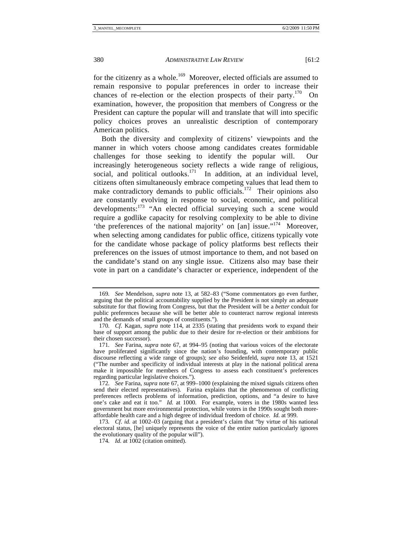for the citizenry as a whole.<sup>169</sup> Moreover, elected officials are assumed to remain responsive to popular preferences in order to increase their chances of re-election or the election prospects of their party.<sup>170</sup> On examination, however, the proposition that members of Congress or the President can capture the popular will and translate that will into specific policy choices proves an unrealistic description of contemporary American politics.

Both the diversity and complexity of citizens' viewpoints and the manner in which voters choose among candidates creates formidable challenges for those seeking to identify the popular will. Our increasingly heterogeneous society reflects a wide range of religious, social, and political outlooks. $171$  In addition, at an individual level, citizens often simultaneously embrace competing values that lead them to make contradictory demands to public officials.<sup>172</sup> Their opinions also are constantly evolving in response to social, economic, and political developments:  $173$  "An elected official surveying such a scene would require a godlike capacity for resolving complexity to be able to divine 'the preferences of the national majority' on [an] issue."174 Moreover, when selecting among candidates for public office, citizens typically vote for the candidate whose package of policy platforms best reflects their preferences on the issues of utmost importance to them, and not based on the candidate's stand on any single issue. Citizens also may base their vote in part on a candidate's character or experience, independent of the

<sup>169</sup>*. See* Mendelson, *supra* note 13, at 582–83 ("Some commentators go even further, arguing that the political accountability supplied by the President is not simply an adequate substitute for that flowing from Congress, but that the President will be a *better* conduit for public preferences because she will be better able to counteract narrow regional interests and the demands of small groups of constituents.").

<sup>170</sup>*. Cf.* Kagan, *supra* note 114, at 2335 (stating that presidents work to expand their base of support among the public due to their desire for re-election or their ambitions for their chosen successor).

<sup>171</sup>*. See* Farina, *supra* note 67, at 994–95 (noting that various voices of the electorate have proliferated significantly since the nation's founding, with contemporary public discourse reflecting a wide range of groups); *see also* Seidenfeld, *supra* note 13, at 1521 ("The number and specificity of individual interests at play in the national political arena make it impossible for members of Congress to assess each constituent's preferences regarding particular legislative choices.").

<sup>172</sup>*. See* Farina, *supra* note 67, at 999–1000 (explaining the mixed signals citizens often send their elected representatives). Farina explains that the phenomenon of conflicting preferences reflects problems of information, prediction, options, and "a desire to have one's cake and eat it too." *Id.* at 1000. For example, voters in the 1980s wanted less government but more environmental protection, while voters in the 1990s sought both moreaffordable health care and a high degree of individual freedom of choice. *Id.* at 999.

<sup>173</sup>*. Cf*. *id.* at 1002–03 (arguing that a president's claim that "by virtue of his national electoral status, [he] uniquely represents the voice of the entire nation particularly ignores the evolutionary quality of the popular will").

<sup>174</sup>*. Id.* at 1002 (citation omitted).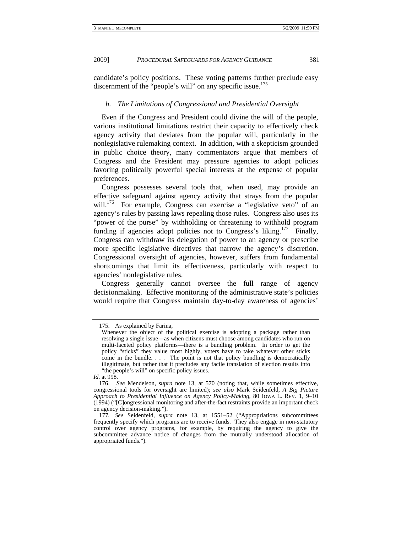candidate's policy positions. These voting patterns further preclude easy discernment of the "people's will" on any specific issue.<sup>175</sup>

### *b. The Limitations of Congressional and Presidential Oversight*

Even if the Congress and President could divine the will of the people, various institutional limitations restrict their capacity to effectively check agency activity that deviates from the popular will, particularly in the nonlegislative rulemaking context. In addition, with a skepticism grounded in public choice theory, many commentators argue that members of Congress and the President may pressure agencies to adopt policies favoring politically powerful special interests at the expense of popular preferences.

Congress possesses several tools that, when used, may provide an effective safeguard against agency activity that strays from the popular will.<sup>176</sup> For example, Congress can exercise a "legislative veto" of an agency's rules by passing laws repealing those rules. Congress also uses its "power of the purse" by withholding or threatening to withhold program funding if agencies adopt policies not to Congress's liking.<sup>177</sup> Finally, Congress can withdraw its delegation of power to an agency or prescribe more specific legislative directives that narrow the agency's discretion. Congressional oversight of agencies, however, suffers from fundamental shortcomings that limit its effectiveness, particularly with respect to agencies' nonlegislative rules.

Congress generally cannot oversee the full range of agency decisionmaking. Effective monitoring of the administrative state's policies would require that Congress maintain day-to-day awareness of agencies'

 <sup>175.</sup> As explained by Farina,

Whenever the object of the political exercise is adopting a package rather than resolving a single issue—as when citizens must choose among candidates who run on multi-faceted policy platforms—there is a bundling problem. In order to get the policy "sticks" they value most highly, voters have to take whatever other sticks come in the bundle. . . . The point is not that policy bundling is democratically illegitimate, but rather that it precludes any facile translation of election results into "the people's will" on specific policy issues.

*Id*. at 998.

 <sup>176.</sup> *See* Mendelson, *supra* note 13, at 570 (noting that, while sometimes effective, congressional tools for oversight are limited); *see also* Mark Seidenfeld, *A Big Picture Approach to Presidential Influence on Agency Policy-Making*, 80 IOWA L. REV. 1, 9–10 (1994) ("[C]ongressional monitoring and after-the-fact restraints provide an important check on agency decision-making.").

<sup>177</sup>*. See* Seidenfeld, *supra* note 13, at 1551–52 ("Appropriations subcommittees frequently specify which programs are to receive funds. They also engage in non-statutory control over agency programs, for example, by requiring the agency to give the subcommittee advance notice of changes from the mutually understood allocation of appropriated funds.").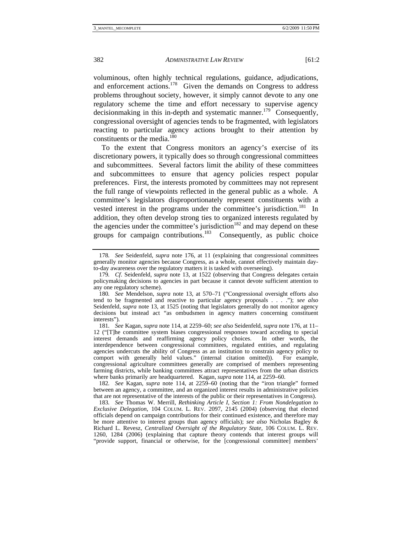voluminous, often highly technical regulations, guidance, adjudications, and enforcement actions.<sup>178</sup> Given the demands on Congress to address problems throughout society, however, it simply cannot devote to any one regulatory scheme the time and effort necessary to supervise agency decisionmaking in this in-depth and systematic manner.<sup>179</sup> Consequently, congressional oversight of agencies tends to be fragmented, with legislators reacting to particular agency actions brought to their attention by constituents or the media. $180$ 

To the extent that Congress monitors an agency's exercise of its discretionary powers, it typically does so through congressional committees and subcommittees. Several factors limit the ability of these committees and subcommittees to ensure that agency policies respect popular preferences. First, the interests promoted by committees may not represent the full range of viewpoints reflected in the general public as a whole. A committee's legislators disproportionately represent constituents with a vested interest in the programs under the committee's jurisdiction.<sup>181</sup> In addition, they often develop strong ties to organized interests regulated by the agencies under the committee's jurisdiction<sup>182</sup> and may depend on these groups for campaign contributions.<sup>183</sup> Consequently, as public choice

182*. See* Kagan, *supra* note 114, at 2259–60 (noting that the "iron triangle" formed between an agency, a committee, and an organized interest results in administrative policies that are not representative of the interests of the public or their representatives in Congress).

<sup>178</sup>*. See* Seidenfeld, *supra* note 176, at 11 (explaining that congressional committees generally monitor agencies because Congress, as a whole, cannot effectively maintain dayto-day awareness over the regulatory matters it is tasked with overseeing).

<sup>179</sup>*. Cf*. Seidenfeld, *supra* note 13, at 1522 (observing that Congress delegates certain policymaking decisions to agencies in part because it cannot devote sufficient attention to any one regulatory scheme).

<sup>180</sup>*. See* Mendelson, *supra* note 13, at 570–71 ("Congressional oversight efforts also tend to be fragmented and reactive to particular agency proposals . . . ."); *see also* Seidenfeld, *supra* note 13, at 1525 (noting that legislators generally do not monitor agency decisions but instead act "as ombudsmen in agency matters concerning constituent interests").

<sup>181</sup>*. See* Kagan, *supra* note 114, at 2259–60; *see also* Seidenfeld, *supra* note 176, at 11– 12 ("[T]he committee system biases congressional responses toward acceding to special interest demands and reaffirming agency policy choices. In other words, the interdependence between congressional committees, regulated entities, and regulating agencies undercuts the ability of Congress as an institution to constrain agency policy to comport with generally held values." (internal citation omitted)). For example, congressional agriculture committees generally are comprised of members representing farming districts, while banking committees attract representatives from the urban districts where banks primarily are headquartered. Kagan, *supra* note 114, at 2259–60.

<sup>183</sup>*. See* Thomas W. Merrill, *Rethinking Article I, Section 1: From Nondelegation to Exclusive Delegation*, 104 COLUM. L. REV. 2097, 2145 (2004) (observing that elected officials depend on campaign contributions for their continued existence, and therefore may be more attentive to interest groups than agency officials); *see also* Nicholas Bagley & Richard L. Revesz, *Centralized Oversight of the Regulatory State*, 106 COLUM. L. REV. 1260, 1284 (2006) (explaining that capture theory contends that interest groups will "provide support, financial or otherwise, for the [congressional committee] members'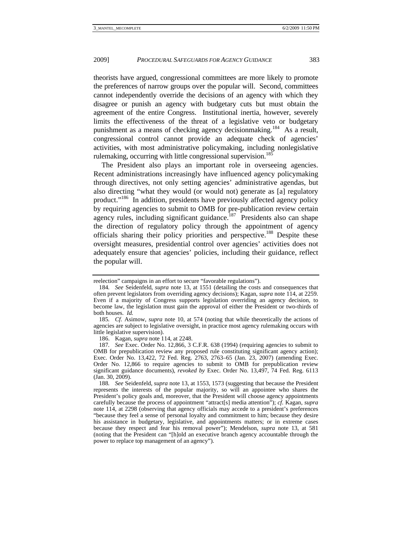theorists have argued, congressional committees are more likely to promote the preferences of narrow groups over the popular will. Second, committees cannot independently override the decisions of an agency with which they disagree or punish an agency with budgetary cuts but must obtain the agreement of the entire Congress. Institutional inertia, however, severely limits the effectiveness of the threat of a legislative veto or budgetary punishment as a means of checking agency decisionmaking.184 As a result, congressional control cannot provide an adequate check of agencies' activities, with most administrative policymaking, including nonlegislative rulemaking, occurring with little congressional supervision.<sup>185</sup>

The President also plays an important role in overseeing agencies. Recent administrations increasingly have influenced agency policymaking through directives, not only setting agencies' administrative agendas, but also directing "what they would (or would not) generate as [a] regulatory product."186 In addition, presidents have previously affected agency policy by requiring agencies to submit to OMB for pre-publication review certain agency rules, including significant guidance.<sup>187</sup> Presidents also can shape the direction of regulatory policy through the appointment of agency officials sharing their policy priorities and perspective.<sup>188</sup> Despite these oversight measures, presidential control over agencies' activities does not adequately ensure that agencies' policies, including their guidance, reflect the popular will.

186. Kagan, *supra* note 114, at 2248.

reelection" campaigns in an effort to secure "favorable regulations").

<sup>184</sup>*. See* Seidenfeld, *supra* note 13, at 1551 (detailing the costs and consequences that often prevent legislators from overriding agency decisions); Kagan, *supra* note 114, at 2259. Even if a majority of Congress supports legislation overriding an agency decision, to become law, the legislation must gain the approval of either the President or two-thirds of both houses. *Id.*

<sup>185</sup>*. Cf.* Asimow, *supra* note 10, at 574 (noting that while theoretically the actions of agencies are subject to legislative oversight, in practice most agency rulemaking occurs with little legislative supervision).

<sup>187</sup>*. See* Exec. Order No. 12,866, 3 C.F.R. 638 (1994) (requiring agencies to submit to OMB for prepublication review any proposed rule constituting significant agency action); Exec. Order No. 13,422, 72 Fed. Reg. 2763, 2763–65 (Jan. 23, 2007) (amending Exec. Order No. 12,866 to require agencies to submit to OMB for prepublication review significant guidance documents), *revoked by* Exec. Order No. 13,497, 74 Fed. Reg. 6113 (Jan. 30, 2009).

<sup>188</sup>*. See* Seidenfeld, *supra* note 13, at 1553, 1573 (suggesting that because the President represents the interests of the popular majority, so will an appointee who shares the President's policy goals and, moreover, that the President will choose agency appointments carefully because the process of appointment "attract[s] media attention"); *cf*. Kagan, *supra* note 114, at 2298 (observing that agency officials may accede to a president's preferences "because they feel a sense of personal loyalty and commitment to him; because they desire his assistance in budgetary, legislative, and appointments matters; or in extreme cases because they respect and fear his removal power"); Mendelson, *supra* note 13, at 581 (noting that the President can "[h]old an executive branch agency accountable through the power to replace top management of an agency").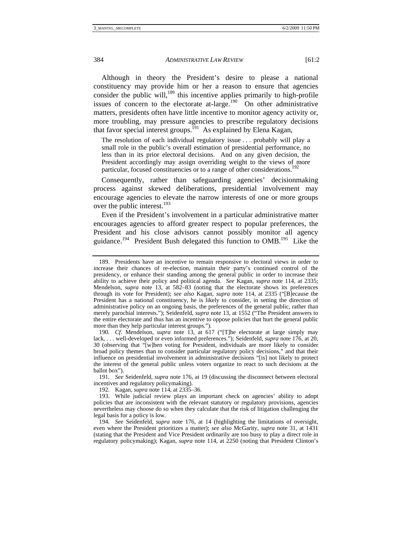Although in theory the President's desire to please a national constituency may provide him or her a reason to ensure that agencies consider the public will, $^{189}$  this incentive applies primarily to high-profile issues of concern to the electorate at-large.<sup>190</sup> On other administrative matters, presidents often have little incentive to monitor agency activity or, more troubling, may pressure agencies to prescribe regulatory decisions that favor special interest groups.<sup>191</sup> As explained by Elena Kagan,

The resolution of each individual regulatory issue . . . probably will play a small role in the public's overall estimation of presidential performance, no less than in its prior electoral decisions. And on any given decision, the President accordingly may assign overriding weight to the views of more particular, focused constituencies or to a range of other considerations.<sup>192</sup>

Consequently, rather than safeguarding agencies' decisionmaking process against skewed deliberations, presidential involvement may encourage agencies to elevate the narrow interests of one or more groups over the public interest.<sup>193</sup>

Even if the President's involvement in a particular administrative matter encourages agencies to afford greater respect to popular preferences, the President and his close advisors cannot possibly monitor all agency guidance.<sup>194</sup> President Bush delegated this function to OMB.<sup>195</sup> Like the

191*. See* Seidenfeld, *supra* note 176, at 19 (discussing the disconnect between electoral incentives and regulatory policymaking).

192. Kagan, *supra* note 114, at 2335–36.

 <sup>189.</sup> Presidents have an incentive to remain responsive to electoral views in order to increase their chances of re-election, maintain their party's continued control of the presidency, or enhance their standing among the general public in order to increase their ability to achieve their policy and political agenda. *See* Kagan, *supra* note 114, at 2335; Mendelson, *supra* note 13, at 582–83 (noting that the electorate shows its preferences through its vote for President); *see also* Kagan, *supra* note 114, at 2335 ("[B]ecause the President has a national constituency, he is likely to consider, in setting the direction of administrative policy on an ongoing basis, the preferences of the general public, rather than merely parochial interests."); Seidenfeld, *supra* note 13, at 1552 ("The President answers to the entire electorate and thus has an incentive to oppose policies that hurt the general public more than they help particular interest groups.").

<sup>190</sup>*. Cf*. Mendelson, *supra* note 13, at 617 ("[T]he electorate at large simply may lack, . . . well-developed or even informed preferences."); Seidenfeld, *supra* note 176, at 20, 30 (observing that "[w]hen voting for President, individuals are more likely to consider broad policy themes than to consider particular regulatory policy decisions," and that their influence on presidential involvement in administrative decisions "[is] not likely to protect the interest of the general public unless voters organize to react to such decisions at the ballot box").

 <sup>193.</sup> While judicial review plays an important check on agencies' ability to adopt policies that are inconsistent with the relevant statutory or regulatory provisions, agencies nevertheless may choose do so when they calculate that the risk of litigation challenging the legal basis for a policy is low.

<sup>194</sup>*. See* Seidenfeld, *supra* note 176, at 14 (highlighting the limitations of oversight, even where the President prioritizes a matter); *see also* McGarity, *supra* note 31, at 1431 (stating that the President and Vice President ordinarily are too busy to play a direct role in regulatory policymaking); Kagan, *supra* note 114, at 2250 (noting that President Clinton's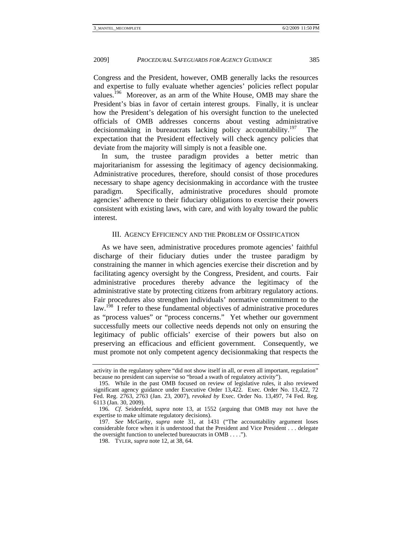Congress and the President, however, OMB generally lacks the resources and expertise to fully evaluate whether agencies' policies reflect popular values.196 Moreover, as an arm of the White House, OMB may share the President's bias in favor of certain interest groups. Finally, it is unclear how the President's delegation of his oversight function to the unelected officials of OMB addresses concerns about vesting administrative decision making in bureaucrats lacking policy accountability.<sup>197</sup> The expectation that the President effectively will check agency policies that deviate from the majority will simply is not a feasible one.

In sum, the trustee paradigm provides a better metric than majoritarianism for assessing the legitimacy of agency decisionmaking. Administrative procedures, therefore, should consist of those procedures necessary to shape agency decisionmaking in accordance with the trustee paradigm. Specifically, administrative procedures should promote agencies' adherence to their fiduciary obligations to exercise their powers consistent with existing laws, with care, and with loyalty toward the public interest.

#### III. AGENCY EFFICIENCY AND THE PROBLEM OF OSSIFICATION

As we have seen, administrative procedures promote agencies' faithful discharge of their fiduciary duties under the trustee paradigm by constraining the manner in which agencies exercise their discretion and by facilitating agency oversight by the Congress, President, and courts. Fair administrative procedures thereby advance the legitimacy of the administrative state by protecting citizens from arbitrary regulatory actions. Fair procedures also strengthen individuals' normative commitment to the law.<sup>198</sup> I refer to these fundamental objectives of administrative procedures as "process values" or "process concerns." Yet whether our government successfully meets our collective needs depends not only on ensuring the legitimacy of public officials' exercise of their powers but also on preserving an efficacious and efficient government. Consequently, we must promote not only competent agency decisionmaking that respects the

activity in the regulatory sphere "did not show itself in all, or even all important, regulation" because no president can supervise so "broad a swath of regulatory activity").

 <sup>195.</sup> While in the past OMB focused on review of legislative rules, it also reviewed significant agency guidance under Executive Order 13,422. Exec. Order No. 13,422, 72 Fed. Reg. 2763, 2763 (Jan. 23, 2007), *revoked by* Exec. Order No. 13,497, 74 Fed. Reg. 6113 (Jan. 30, 2009).

<sup>196</sup>*. Cf*. Seidenfeld, *supra* note 13, at 1552 (arguing that OMB may not have the expertise to make ultimate regulatory decisions).

<sup>197</sup>*. See* McGarity, *supra* note 31, at 1431 ("The accountability argument loses considerable force when it is understood that the President and Vice President . . . delegate the oversight function to unelected bureaucrats in OMB . . . .").

 <sup>198.</sup> TYLER, *supra* note 12, at 38, 64.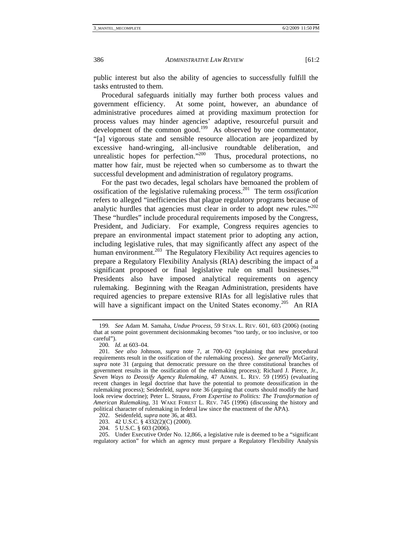public interest but also the ability of agencies to successfully fulfill the tasks entrusted to them.

Procedural safeguards initially may further both process values and government efficiency. At some point, however, an abundance of administrative procedures aimed at providing maximum protection for process values may hinder agencies' adaptive, resourceful pursuit and development of the common good.<sup>199</sup> As observed by one commentator, "[a] vigorous state and sensible resource allocation are jeopardized by excessive hand-wringing, all-inclusive roundtable deliberation, and unrealistic hopes for perfection."<sup>200</sup> Thus, procedural protections, no matter how fair, must be rejected when so cumbersome as to thwart the successful development and administration of regulatory programs.

For the past two decades, legal scholars have bemoaned the problem of ossification of the legislative rulemaking process.201 The term *ossification* refers to alleged "inefficiencies that plague regulatory programs because of analytic hurdles that agencies must clear in order to adopt new rules."<sup>202</sup> These "hurdles" include procedural requirements imposed by the Congress, President, and Judiciary. For example, Congress requires agencies to prepare an environmental impact statement prior to adopting any action, including legislative rules, that may significantly affect any aspect of the human environment.<sup>203</sup> The Regulatory Flexibility Act requires agencies to prepare a Regulatory Flexibility Analysis (RIA) describing the impact of a significant proposed or final legislative rule on small businesses.<sup>204</sup> Presidents also have imposed analytical requirements on agency rulemaking. Beginning with the Reagan Administration, presidents have required agencies to prepare extensive RIAs for all legislative rules that will have a significant impact on the United States economy.<sup>205</sup> An RIA

<sup>199</sup>*. See* Adam M. Samaha, *Undue Process*, 59 STAN. L. REV. 601, 603 (2006) (noting that at some point government decisionmaking becomes "too tardy, or too inclusive, or too careful").

<sup>200</sup>*. Id.* at 603–04.

<sup>201</sup>*. See also* Johnson, *supra* note 7, at 700–02 (explaining that new procedural requirements result in the ossification of the rulemaking process). *See generally* McGarity, *supra* note 31 (arguing that democratic pressure on the three constitutional branches of government results in the ossification of the rulemaking process); Richard J. Pierce, Jr., *Seven Ways to Deossify Agency Rulemaking*, 47 ADMIN. L. REV. 59 (1995) (evaluating recent changes in legal doctrine that have the potential to promote deossification in the rulemaking process); Seidenfeld, *supra* note 36 (arguing that courts should modify the hard look review doctrine); Peter L. Strauss, *From Expertise to Politics: The Transformation of American Rulemaking*, 31 WAKE FOREST L. REV. 745 (1996) (discussing the history and political character of rulemaking in federal law since the enactment of the APA).

 <sup>202.</sup> Seidenfeld, *supra* note 36, at 483.

 <sup>203. 42</sup> U.S.C. § 4332(2)(C) (2000).

 <sup>204. 5</sup> U.S.C. § 603 (2006).

 <sup>205.</sup> Under Executive Order No. 12,866, a legislative rule is deemed to be a "significant regulatory action" for which an agency must prepare a Regulatory Flexibility Analysis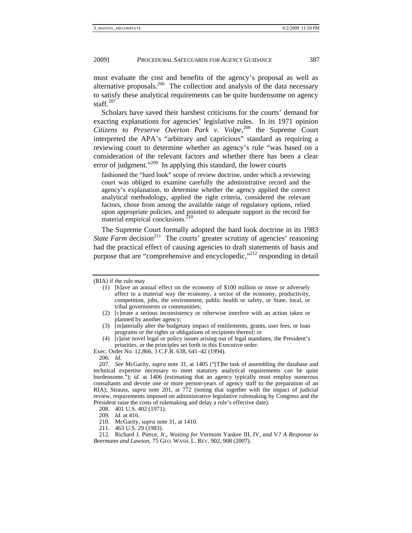must evaluate the cost and benefits of the agency's proposal as well as alternative proposals.<sup>206</sup> The collection and analysis of the data necessary to satisfy these analytical requirements can be quite burdensome on agency staff $207$ 

Scholars have saved their harshest criticisms for the courts' demand for exacting explanations for agencies' legislative rules. In its 1971 opinion *Citizens to Preserve Overton Park v. Volpe*, 208 the Supreme Court interpreted the APA's "arbitrary and capricious" standard as requiring a reviewing court to determine whether an agency's rule "was based on a consideration of the relevant factors and whether there has been a clear error of judgment."<sup>209</sup> In applying this standard, the lower courts

fashioned the "hard look" scope of review doctrine, under which a reviewing court was obliged to examine carefully the administrative record and the agency's explanation, to determine whether the agency applied the correct analytical methodology, applied the right criteria, considered the relevant factors, chose from among the available range of regulatory options, relied upon appropriate policies, and pointed to adequate support in the record for material empirical conclusions.<sup>2</sup>

The Supreme Court formally adopted the hard look doctrine in its 1983 *State Farm* decision<sup>211</sup> The courts' greater scrutiny of agencies' reasoning had the practical effect of causing agencies to draft statements of basis and purpose that are "comprehensive and encyclopedic,"<sup>212</sup> responding in detail

Exec. Order No. 12,866, 3 C.F.R. 638, 641–42 (1994).

208. 401 U.S. 402 (1971).

211. 463 U.S. 29 (1983).

212*.* Richard J. Pierce, Jr., *Waiting for* Vermont Yankee III*,* IV*, and* V*? A Response to Beermann and Lawson*, 75 GEO. WASH. L. REV. 902, 908 (2007).

<sup>(</sup>RIA) if the rule may

<sup>(1) [</sup>h]ave an annual effect on the economy of \$100 million or more or adversely affect in a material way the economy, a sector of the economy, productivity, competition, jobs, the environment, public health or safety, or State, local, or tribal governments or communities;

<sup>(2) [</sup>c]reate a serious inconsistency or otherwise interfere with an action taken or planned by another agency;

<sup>(3) [</sup>m]aterially alter the budgetary impact of entitlements, grants, user fees, or loan programs or the rights or obligations of recipients thereof; or

<sup>(4) [</sup>r]aise novel legal or policy issues arising out of legal mandates, the President's priorities, or the principles set forth in this Executive order.

<sup>206</sup>*. Id.*

<sup>207</sup>*. See* McGarity, *supra* note 31, at 1405 ("[T]he task of assembling the database and technical expertise necessary to meet statutory analytical requirements can be quite burdensome."); *id*. at 1406 (estimating that an agency typically must employ numerous consultants and devote one or more person-years of agency staff to the preparation of an RIA); Strauss, *supra* note 201, at 772 (noting that together with the impact of judicial review, requirements imposed on administrative legislative rulemaking by Congress and the President raise the costs of rulemaking and delay a rule's effective date).

<sup>209</sup>*. Id.* at 416.

 <sup>210.</sup> McGarity, *supra* note 31, at 1410.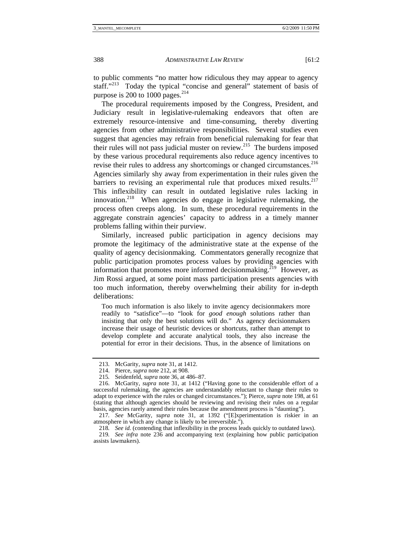to public comments "no matter how ridiculous they may appear to agency staff."<sup>213</sup> Today the typical "concise and general" statement of basis of purpose is 200 to 1000 pages. $^{214}$ 

The procedural requirements imposed by the Congress, President, and Judiciary result in legislative-rulemaking endeavors that often are extremely resource-intensive and time-consuming, thereby diverting agencies from other administrative responsibilities. Several studies even suggest that agencies may refrain from beneficial rulemaking for fear that their rules will not pass judicial muster on review.215 The burdens imposed by these various procedural requirements also reduce agency incentives to revise their rules to address any shortcomings or changed circumstances.<sup>216</sup> Agencies similarly shy away from experimentation in their rules given the barriers to revising an experimental rule that produces mixed results. $217$ This inflexibility can result in outdated legislative rules lacking in innovation.<sup>218</sup> When agencies do engage in legislative rulemaking, the process often creeps along. In sum, these procedural requirements in the aggregate constrain agencies' capacity to address in a timely manner problems falling within their purview.

Similarly, increased public participation in agency decisions may promote the legitimacy of the administrative state at the expense of the quality of agency decisionmaking. Commentators generally recognize that public participation promotes process values by providing agencies with information that promotes more informed decisionmaking.<sup> $219$ </sup> However, as Jim Rossi argued, at some point mass participation presents agencies with too much information, thereby overwhelming their ability for in-depth deliberations:

Too much information is also likely to invite agency decisionmakers more readily to "satisfice"—to "look for *good enough* solutions rather than insisting that only the best solutions will do." As agency decisionmakers increase their usage of heuristic devices or shortcuts, rather than attempt to develop complete and accurate analytical tools, they also increase the potential for error in their decisions. Thus, in the absence of limitations on

217*. See* McGarity, *supra* note 31, at 1392 ("[E]xperimentation is riskier in an atmosphere in which any change is likely to be irreversible.").

218*. See id.* (contending that inflexibility in the process leads quickly to outdated laws).

219*. See infra* note 236 and accompanying text (explaining how public participation assists lawmakers).

 <sup>213.</sup> McGarity, *supra* note 31, at 1412.

 <sup>214.</sup> Pierce, *supra* note 212, at 908.

<sup>215</sup>*.* Seidenfeld, *supra* note 36, at 486–87.

 <sup>216.</sup> McGarity, *supra* note 31, at 1412 ("Having gone to the considerable effort of a successful rulemaking, the agencies are understandably reluctant to change their rules to adapt to experience with the rules or changed circumstances."); Pierce, *supra* note 198, at 61 (stating that although agencies should be reviewing and revising their rules on a regular basis, agencies rarely amend their rules because the amendment process is "daunting").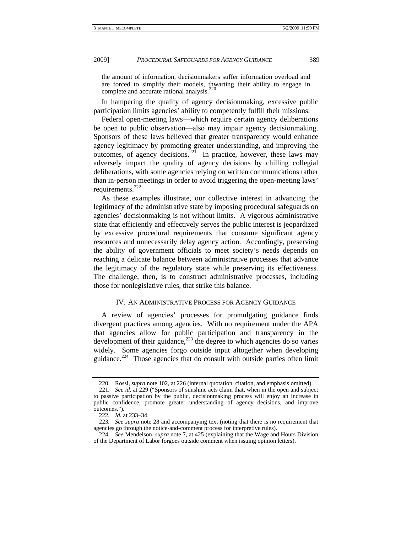the amount of information, decisionmakers suffer information overload and are forced to simplify their models, thwarting their ability to engage in complete and accurate rational analysis.<sup>220</sup>

In hampering the quality of agency decisionmaking, excessive public participation limits agencies' ability to competently fulfill their missions.

Federal open-meeting laws—which require certain agency deliberations be open to public observation—also may impair agency decisionmaking. Sponsors of these laws believed that greater transparency would enhance agency legitimacy by promoting greater understanding, and improving the outcomes, of agency decisions.<sup>221</sup> In practice, however, these laws may adversely impact the quality of agency decisions by chilling collegial deliberations, with some agencies relying on written communications rather than in-person meetings in order to avoid triggering the open-meeting laws' requirements. $^{222}$ 

As these examples illustrate, our collective interest in advancing the legitimacy of the administrative state by imposing procedural safeguards on agencies' decisionmaking is not without limits. A vigorous administrative state that efficiently and effectively serves the public interest is jeopardized by excessive procedural requirements that consume significant agency resources and unnecessarily delay agency action. Accordingly, preserving the ability of government officials to meet society's needs depends on reaching a delicate balance between administrative processes that advance the legitimacy of the regulatory state while preserving its effectiveness. The challenge, then, is to construct administrative processes, including those for nonlegislative rules, that strike this balance.

#### IV. AN ADMINISTRATIVE PROCESS FOR AGENCY GUIDANCE

A review of agencies' processes for promulgating guidance finds divergent practices among agencies. With no requirement under the APA that agencies allow for public participation and transparency in the development of their guidance, $^{223}$  the degree to which agencies do so varies widely. Some agencies forgo outside input altogether when developing guidance.<sup>224</sup> Those agencies that do consult with outside parties often limit

 <sup>220.</sup> Rossi, *supra* note 102, at 226 (internal quotation, citation, and emphasis omitted).

<sup>221</sup>*. See id.* at 229 ("Sponsors of sunshine acts claim that, when in the open and subject to passive participation by the public, decisionmaking process will enjoy an increase in public confidence, promote greater understanding of agency decisions, and improve outcomes.").

<sup>222</sup>*. Id.* at 233–34.

<sup>223</sup>*. See supra* note 28 and accompanying text (noting that there is no requirement that agencies go through the notice-and-comment process for interpretive rules).

<sup>224</sup>*. See* Mendelson, *supra* note 7, at 425 (explaining that the Wage and Hours Division of the Department of Labor forgoes outside comment when issuing opinion letters).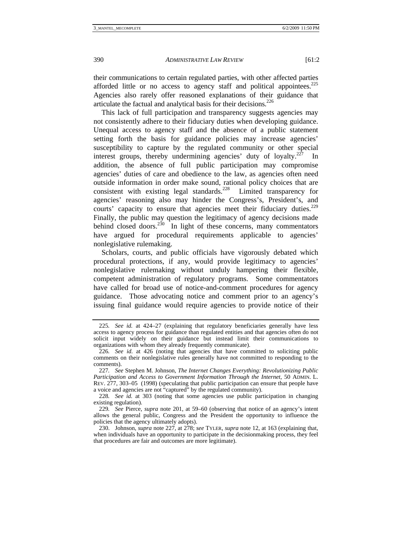their communications to certain regulated parties, with other affected parties afforded little or no access to agency staff and political appointees.<sup>225</sup> Agencies also rarely offer reasoned explanations of their guidance that articulate the factual and analytical basis for their decisions. $^{226}$ 

This lack of full participation and transparency suggests agencies may not consistently adhere to their fiduciary duties when developing guidance. Unequal access to agency staff and the absence of a public statement setting forth the basis for guidance policies may increase agencies' susceptibility to capture by the regulated community or other special interest groups, thereby undermining agencies' duty of loyalty.<sup>227</sup> In addition, the absence of full public participation may compromise agencies' duties of care and obedience to the law, as agencies often need outside information in order make sound, rational policy choices that are consistent with existing legal standards.<sup>228</sup> Limited transparency for agencies' reasoning also may hinder the Congress's, President's, and courts' capacity to ensure that agencies meet their fiduciary duties.<sup>229</sup> Finally, the public may question the legitimacy of agency decisions made behind closed doors.<sup>230</sup> In light of these concerns, many commentators have argued for procedural requirements applicable to agencies' nonlegislative rulemaking.

Scholars, courts, and public officials have vigorously debated which procedural protections, if any, would provide legitimacy to agencies' nonlegislative rulemaking without unduly hampering their flexible, competent administration of regulatory programs. Some commentators have called for broad use of notice-and-comment procedures for agency guidance. Those advocating notice and comment prior to an agency's issuing final guidance would require agencies to provide notice of their

<sup>225</sup>*. See id.* at 424–27 (explaining that regulatory beneficiaries generally have less access to agency process for guidance than regulated entities and that agencies often do not solicit input widely on their guidance but instead limit their communications to organizations with whom they already frequently communicate).

<sup>226</sup>*. See id.* at 426 (noting that agencies that have committed to soliciting public comments on their nonlegislative rules generally have not committed to responding to the comments).

<sup>227</sup>*. See* Stephen M. Johnson, *The Internet Changes Everything: Revolutionizing Public Participation and Access to Government Information Through the Internet*, 50 ADMIN. L. REV. 277, 303–05 (1998) (speculating that public participation can ensure that people have a voice and agencies are not "captured" by the regulated community).

<sup>228</sup>*. See id.* at 303 (noting that some agencies use public participation in changing existing regulation).

<sup>229</sup>*. See* Pierce, *supra* note 201, at 59–60 (observing that notice of an agency's intent allows the general public, Congress and the President the opportunity to influence the policies that the agency ultimately adopts).

 <sup>230.</sup> Johnson, *supra* note 227, at 278; *see* TYLER, *supra* note 12, at 163 (explaining that, when individuals have an opportunity to participate in the decisionmaking process, they feel that procedures are fair and outcomes are more legitimate).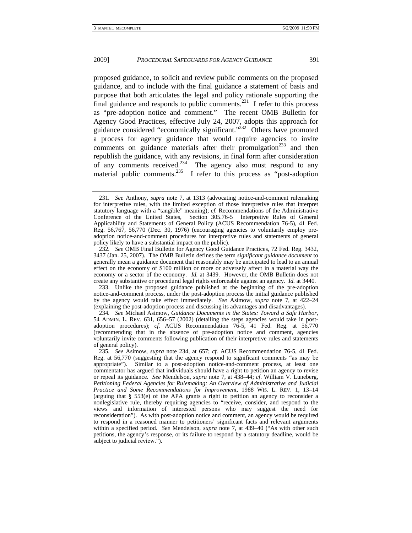proposed guidance, to solicit and review public comments on the proposed guidance, and to include with the final guidance a statement of basis and purpose that both articulates the legal and policy rationale supporting the final guidance and responds to public comments.<sup>231</sup> I refer to this process as "pre-adoption notice and comment." The recent OMB Bulletin for Agency Good Practices, effective July 24, 2007, adopts this approach for guidance considered "economically significant."232 Others have promoted a process for agency guidance that would require agencies to invite comments on guidance materials after their promulgation<sup>233</sup> and then republish the guidance, with any revisions, in final form after consideration of any comments received.<sup>234</sup> The agency also must respond to any material public comments.<sup>235</sup> I refer to this process as "post-adoption"

<sup>231</sup>*. See* Anthony, *supra* note 7, at 1313 (advocating notice-and-comment rulemaking for interpretive rules, with the limited exception of those interpretive rules that interpret statutory language with a "tangible" meaning); *cf.* Recommendations of the Administrative Conference of the United States, Section 305.76-5 Interpretive Rules of General Applicability and Statements of General Policy (ACUS Recommendation 76-5), 41 Fed. Reg. 56,767, 56,770 (Dec. 30, 1976) (encouraging agencies to voluntarily employ preadoption notice-and-comment procedures for interpretive rules and statements of general policy likely to have a substantial impact on the public).

<sup>232</sup>*. See* OMB Final Bulletin for Agency Good Guidance Practices, 72 Fed. Reg. 3432, 3437 (Jan. 25, 2007). The OMB Bulletin defines the term *significant guidance document* to generally mean a guidance document that reasonably may be anticipated to lead to an annual effect on the economy of \$100 million or more or adversely affect in a material way the economy or a sector of the economy. *Id.* at 3439. However, the OMB Bulletin does not create any substantive or procedural legal rights enforceable against an agency. *Id.* at 3440.

 <sup>233.</sup> Unlike the proposed guidance published at the beginning of the pre-adoption notice-and-comment process, under the post-adoption process the initial guidance published by the agency would take effect immediately. *See* Asimow, *supra* note 7, at 422–24 (explaining the post-adoption process and discussing its advantages and disadvantages).

<sup>234</sup>*. See* Michael Asimow, *Guidance Documents in the States: Toward a Safe Harbor*, 54 ADMIN. L. REV. 631, 656–57 (2002) (detailing the steps agencies would take in postadoption procedures); *cf.* ACUS Recommendation 76-5, 41 Fed. Reg. at 56,770 (recommending that in the absence of pre-adoption notice and comment, agencies voluntarily invite comments following publication of their interpretive rules and statements of general policy).

<sup>235</sup>*. See* Asimow, *supra* note 234, at 657; *cf.* ACUS Recommendation 76-5, 41 Fed. Reg. at 56,770 (suggesting that the agency respond to significant comments "as may be appropriate"). Similar to a post-adoption notice-and-comment process, at least one commentator has argued that individuals should have a right to petition an agency to revise or repeal its guidance. *See* Mendelson, *supra* note 7, at 438–44; *cf*. William V. Luneberg, *Petitioning Federal Agencies for Rulemaking: An Overview of Administrative and Judicial Practice and Some Recommendations for Improvement*, 1988 WIS. L. REV. 1, 13–14 (arguing that § 553(e) of the APA grants a right to petition an agency to reconsider a nonlegislative rule, thereby requiring agencies to "receive, consider, and respond to the views and information of interested persons who may suggest the need for reconsideration"). As with post-adoption notice and comment, an agency would be required to respond in a reasoned manner to petitioners' significant facts and relevant arguments within a specified period. *See* Mendelson, *supra* note 7, at 439–40 ("As with other such petitions, the agency's response, or its failure to respond by a statutory deadline, would be subject to judicial review.").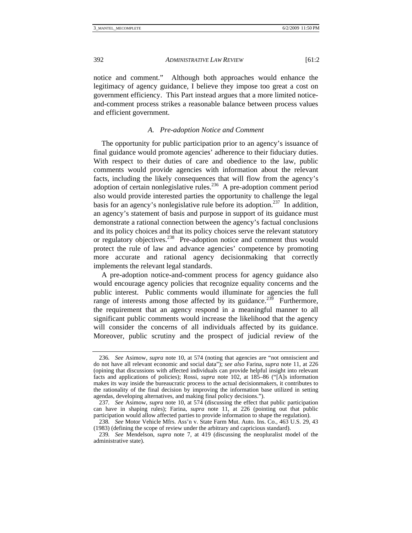notice and comment." Although both approaches would enhance the legitimacy of agency guidance, I believe they impose too great a cost on government efficiency. This Part instead argues that a more limited noticeand-comment process strikes a reasonable balance between process values and efficient government.

### *A. Pre-adoption Notice and Comment*

The opportunity for public participation prior to an agency's issuance of final guidance would promote agencies' adherence to their fiduciary duties. With respect to their duties of care and obedience to the law, public comments would provide agencies with information about the relevant facts, including the likely consequences that will flow from the agency's adoption of certain nonlegislative rules.<sup>236</sup> A pre-adoption comment period also would provide interested parties the opportunity to challenge the legal basis for an agency's nonlegislative rule before its adoption.<sup>237</sup> In addition, an agency's statement of basis and purpose in support of its guidance must demonstrate a rational connection between the agency's factual conclusions and its policy choices and that its policy choices serve the relevant statutory or regulatory objectives.238 Pre-adoption notice and comment thus would protect the rule of law and advance agencies' competence by promoting more accurate and rational agency decisionmaking that correctly implements the relevant legal standards.

A pre-adoption notice-and-comment process for agency guidance also would encourage agency policies that recognize equality concerns and the public interest. Public comments would illuminate for agencies the full range of interests among those affected by its guidance.<sup>239</sup> Furthermore, the requirement that an agency respond in a meaningful manner to all significant public comments would increase the likelihood that the agency will consider the concerns of all individuals affected by its guidance. Moreover, public scrutiny and the prospect of judicial review of the

<sup>236</sup>*. See* Asimow, *supra* note 10, at 574 (noting that agencies are "not omniscient and do not have all relevant economic and social data"); *see also* Farina, *supra* note 11, at 226 (opining that discussions with affected individuals can provide helpful insight into relevant facts and applications of policies); Rossi, *supra* note 102, at 185–86 ("[A]s information makes its way inside the bureaucratic process to the actual decisionmakers, it contributes to the rationality of the final decision by improving the information base utilized in setting agendas, developing alternatives, and making final policy decisions.").

<sup>237</sup>*. See* Asimow, *supra* note 10, at 574 (discussing the effect that public participation can have in shaping rules); Farina, *supra* note 11, at 226 (pointing out that public participation would allow affected parties to provide information to shape the regulation).

<sup>238</sup>*. See* Motor Vehicle Mfrs. Ass'n v. State Farm Mut. Auto. Ins. Co., 463 U.S. 29, 43 (1983) (defining the scope of review under the arbitrary and capricious standard).

<sup>239</sup>*. See* Mendelson, *supra* note 7, at 419 (discussing the neopluralist model of the administrative state).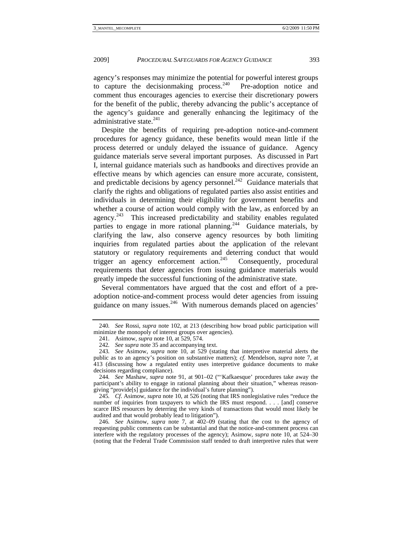agency's responses may minimize the potential for powerful interest groups to capture the decision making process.  $240$  Pre-adoption notice and comment thus encourages agencies to exercise their discretionary powers for the benefit of the public, thereby advancing the public's acceptance of the agency's guidance and generally enhancing the legitimacy of the administrative state. $241$ 

Despite the benefits of requiring pre-adoption notice-and-comment procedures for agency guidance, these benefits would mean little if the process deterred or unduly delayed the issuance of guidance. Agency guidance materials serve several important purposes. As discussed in Part I, internal guidance materials such as handbooks and directives provide an effective means by which agencies can ensure more accurate, consistent, and predictable decisions by agency personnel.<sup>242</sup> Guidance materials that clarify the rights and obligations of regulated parties also assist entities and individuals in determining their eligibility for government benefits and whether a course of action would comply with the law, as enforced by an agency.<sup>243</sup> This increased predictability and stability enables regulated parties to engage in more rational planning.<sup>244</sup> Guidance materials, by clarifying the law, also conserve agency resources by both limiting inquiries from regulated parties about the application of the relevant statutory or regulatory requirements and deterring conduct that would trigger an agency enforcement action.<sup>245</sup> Consequently, procedural requirements that deter agencies from issuing guidance materials would greatly impede the successful functioning of the administrative state.

Several commentators have argued that the cost and effort of a preadoption notice-and-comment process would deter agencies from issuing guidance on many issues.<sup>246</sup> With numerous demands placed on agencies'

245*. Cf*. Asimow, *supra* note 10, at 526 (noting that IRS nonlegislative rules "reduce the number of inquiries from taxpayers to which the IRS must respond. . . . [and] conserve scarce IRS resources by deterring the very kinds of transactions that would most likely be audited and that would probably lead to litigation").

<sup>240</sup>*. See* Rossi, *supra* note 102, at 213 (describing how broad public participation will minimize the monopoly of interest groups over agencies).

 <sup>241.</sup> Asimow, *supra* note 10, at 529, 574.

<sup>242</sup>*. See supra* note 35 and accompanying text.

<sup>243</sup>*. See* Asimow, *supra* note 10, at 529 (stating that interpretive material alerts the public as to an agency's position on substantive matters); *cf.* Mendelson, *supra* note 7, at 413 (discussing how a regulated entity uses interpretive guidance documents to make decisions regarding compliance).

<sup>244</sup>*. See* Mashaw, *supra* note 91, at 901–02 ("'Kafkaesque' procedures take away the participant's ability to engage in rational planning about their situation," whereas reasongiving "provide[s] guidance for the individual's future planning").

<sup>246</sup>*. See* Asimow, *supra* note 7, at 402–09 (stating that the cost to the agency of requesting public comments can be substantial and that the notice-and-comment process can interfere with the regulatory processes of the agency); Asimow, *supra* note 10, at 524–30 (noting that the Federal Trade Commission staff tended to draft interpretive rules that were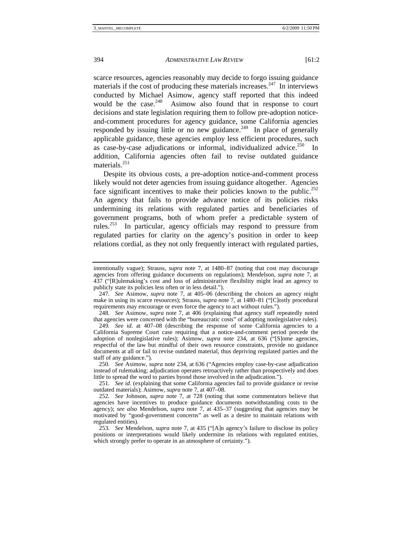scarce resources, agencies reasonably may decide to forgo issuing guidance materials if the cost of producing these materials increases.<sup>247</sup> In interviews conducted by Michael Asimow, agency staff reported that this indeed would be the case. $248$  Asimow also found that in response to court decisions and state legislation requiring them to follow pre-adoption noticeand-comment procedures for agency guidance, some California agencies responded by issuing little or no new guidance.<sup>249</sup> In place of generally applicable guidance, these agencies employ less efficient procedures, such as case-by-case adjudications or informal, individualized advice. $250$  In addition, California agencies often fail to revise outdated guidance materials. $^{251}$ 

 Despite its obvious costs, a pre-adoption notice-and-comment process likely would not deter agencies from issuing guidance altogether. Agencies face significant incentives to make their policies known to the public.<sup>252</sup> An agency that fails to provide advance notice of its policies risks undermining its relations with regulated parties and beneficiaries of government programs, both of whom prefer a predictable system of rules.253 In particular, agency officials may respond to pressure from regulated parties for clarity on the agency's position in order to keep relations cordial, as they not only frequently interact with regulated parties,

intentionally vague); Strauss, *supra* note 7, at 1480–87 (noting that cost may discourage agencies from offering guidance documents on regulations); Mendelson, *supra* note 7, at 437 ("[R]ulemaking's cost and loss of administrative flexibility might lead an agency to publicly state its policies less often or in less detail.").

<sup>247</sup>*. See* Asimow, *supra* note 7, at 405–06 (describing the choices an agency might make in using its scarce resources); Strauss, *supra* note 7, at 1480–81 ("[C]ostly procedural requirements may encourage or even force the agency to act without rules.").

<sup>248</sup>*. See* Asimow, *supra* note 7, at 406 (explaining that agency staff repeatedly noted that agencies were concerned with the "bureaucratic costs" of adopting nonlegislative rules).

<sup>249</sup>*. See id.* at 407–08 (describing the response of some California agencies to a California Supreme Court case requiring that a notice-and-comment period precede the adoption of nonlegislative rules); Asimow, *supra* note 234, at 636 ("[S]ome agencies, respectful of the law but mindful of their own resource constraints, provide no guidance documents at all or fail to revise outdated material, thus depriving regulated parties and the staff of any guidance.").

<sup>250</sup>*. See* Asimow, *supra* note 234, at 636 ("Agencies employ case-by-case adjudication instead of rulemaking; adjudication operates retroactively rather than prospectively and does little to spread the word to parties byond those involved in the adjudication.").

<sup>251</sup>*. See id.* (explaining that some California agencies fail to provide guidance or revise outdated materials); Asimow, *supra* note 7, at 407–08.

<sup>252</sup>*. See* Johnson, *supra* note 7, at 728 (noting that some commentators believe that agencies have incentives to produce guidance documents notwithstanding costs to the agency); *see also* Mendelson, *supra* note 7, at 435–37 (suggesting that agencies may be motivated by "good-government concerns" as well as a desire to maintain relations with regulated entities).

<sup>253</sup>*. See* Mendelson, *supra* note 7, at 435 ("[A]n agency's failure to disclose its policy positions or interpretations would likely undermine its relations with regulated entities, which strongly prefer to operate in an atmosphere of certainty.").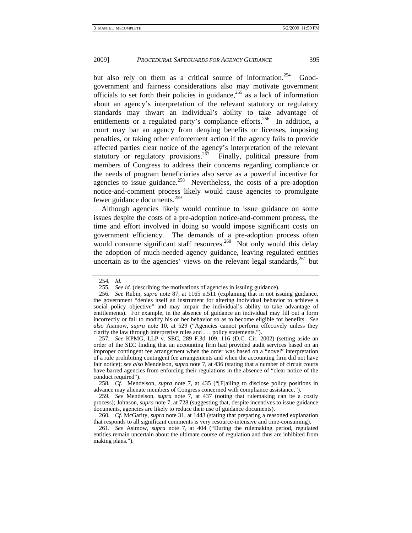but also rely on them as a critical source of information.<sup>254</sup> Goodgovernment and fairness considerations also may motivate government officials to set forth their policies in guidance,  $255$  as a lack of information about an agency's interpretation of the relevant statutory or regulatory standards may thwart an individual's ability to take advantage of entitlements or a regulated party's compliance efforts.<sup>256</sup> In addition, a court may bar an agency from denying benefits or licenses, imposing penalties, or taking other enforcement action if the agency fails to provide affected parties clear notice of the agency's interpretation of the relevant statutory or regulatory provisions.<sup>257</sup> Finally, political pressure from members of Congress to address their concerns regarding compliance or the needs of program beneficiaries also serve as a powerful incentive for agencies to issue guidance.<sup>258</sup> Nevertheless, the costs of a pre-adoption notice-and-comment process likely would cause agencies to promulgate fewer guidance documents.259

Although agencies likely would continue to issue guidance on some issues despite the costs of a pre-adoption notice-and-comment process, the time and effort involved in doing so would impose significant costs on government efficiency. The demands of a pre-adoption process often would consume significant staff resources.<sup>260</sup> Not only would this delay the adoption of much-needed agency guidance, leaving regulated entities uncertain as to the agencies' views on the relevant legal standards, $^{261}$  but

259*. See* Mendelson, *supra* note 7, at 437 (noting that rulemaking can be a costly process); Johnson, *supra* note 7, at 728 (suggesting that, despite incentives to issue guidance documents, agencies are likely to reduce their use of guidance documents).

260*. Cf.* McGarity, *supra* note 31, at 1443 (stating that preparing a reasoned explanation that responds to all significant comments is very resource-intensive and time-consuming).

<sup>254</sup>*. Id.*

<sup>255</sup>*. See id.* (describing the motivations of agencies in issuing guidance).

<sup>256</sup>*. See* Rubin, *supra* note 87, at 1165 n.511 (explaining that in not issuing guidance, the government "denies itself an instrument for altering individual behavior to achieve a social policy objective" and may impair the individual's ability to take advantage of entitlements). For example, in the absence of guidance an individual may fill out a form incorrectly or fail to modify his or her behavior so as to become eligible for benefits. *See also* Asimow, *supra* note 10, at 529 ("Agencies cannot perform effectively unless they clarify the law through interpretive rules and . . . policy statements.").

<sup>257</sup>*. See* KPMG, LLP v. SEC, 289 F.3d 109, 116 (D.C. Cir. 2002) (setting aside an order of the SEC finding that an accounting firm had provided audit services based on an improper contingent fee arrangement when the order was based on a "novel" interpretation of a rule prohibiting contingent fee arrangements and when the accounting firm did not have fair notice); *see also* Mendelson, *supra* note 7, at 436 (stating that a number of circuit courts have barred agencies from enforcing their regulations in the absence of "clear notice of the conduct required").

<sup>258</sup>*. Cf*. Mendelson, *supra* note 7, at 435 ("[F]ailing to disclose policy positions in advance may alienate members of Congress concerned with compliance assistance.").

<sup>261</sup>*. See* Asimow, *supra* note 7, at 404 ("During the rulemaking period, regulated entities remain uncertain about the ultimate course of regulation and thus are inhibited from making plans.").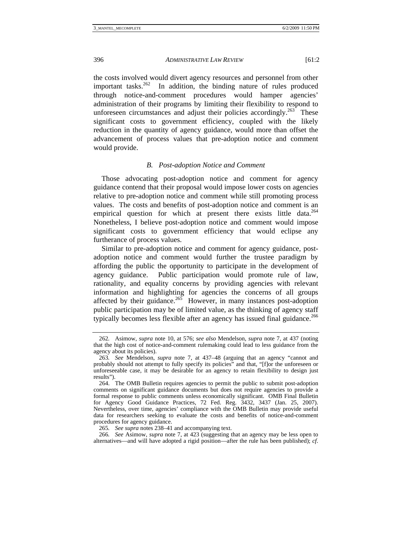the costs involved would divert agency resources and personnel from other important tasks.<sup>262</sup> In addition, the binding nature of rules produced In addition, the binding nature of rules produced through notice-and-comment procedures would hamper agencies' administration of their programs by limiting their flexibility to respond to unforeseen circumstances and adjust their policies accordingly.<sup>263</sup> These significant costs to government efficiency, coupled with the likely reduction in the quantity of agency guidance, would more than offset the advancement of process values that pre-adoption notice and comment would provide.

#### *B. Post-adoption Notice and Comment*

Those advocating post-adoption notice and comment for agency guidance contend that their proposal would impose lower costs on agencies relative to pre-adoption notice and comment while still promoting process values. The costs and benefits of post-adoption notice and comment is an empirical question for which at present there exists little data.<sup>264</sup> Nonetheless, I believe post-adoption notice and comment would impose significant costs to government efficiency that would eclipse any furtherance of process values.

Similar to pre-adoption notice and comment for agency guidance, postadoption notice and comment would further the trustee paradigm by affording the public the opportunity to participate in the development of agency guidance. Public participation would promote rule of law, rationality, and equality concerns by providing agencies with relevant information and highlighting for agencies the concerns of all groups affected by their guidance.<sup>265</sup> However, in many instances post-adoption public participation may be of limited value, as the thinking of agency staff typically becomes less flexible after an agency has issued final guidance.<sup>266</sup>

<sup>262</sup>*.* Asimow, *supra* note 10, at 576; *see also* Mendelson, *supra* note 7, at 437 (noting that the high cost of notice-and-comment rulemaking could lead to less guidance from the agency about its policies).

<sup>263</sup>*. See* Mendelson, *supra* note 7, at 437–48 (arguing that an agency "cannot and probably should not attempt to fully specify its policies" and that, "[f]or the unforeseen or unforeseeable case, it may be desirable for an agency to retain flexibility to design just results").

 <sup>264.</sup> The OMB Bulletin requires agencies to permit the public to submit post-adoption comments on significant guidance documents but does not require agencies to provide a formal response to public comments unless economically significant. OMB Final Bulletin for Agency Good Guidance Practices, 72 Fed. Reg. 3432, 3437 (Jan. 25, 2007). Nevertheless, over time, agencies' compliance with the OMB Bulletin may provide useful data for researchers seeking to evaluate the costs and benefits of notice-and-comment procedures for agency guidance.

<sup>265</sup>*. See supra* notes 238–41 and accompanying text.

<sup>266</sup>*. See* Asimow, *supra* note 7, at 423 (suggesting that an agency may be less open to alternatives—and will have adopted a rigid position—after the rule has been published); *cf*.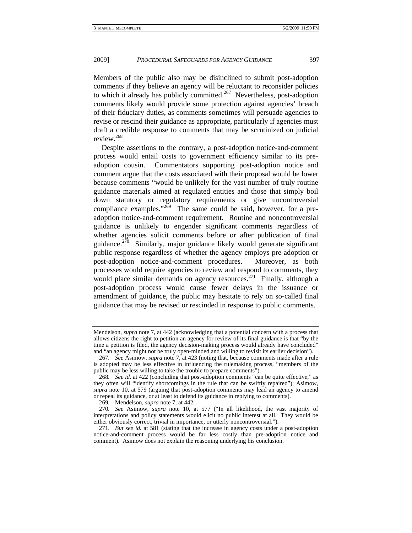Members of the public also may be disinclined to submit post-adoption comments if they believe an agency will be reluctant to reconsider policies to which it already has publicly committed.<sup>267</sup> Nevertheless, post-adoption comments likely would provide some protection against agencies' breach of their fiduciary duties, as comments sometimes will persuade agencies to revise or rescind their guidance as appropriate, particularly if agencies must draft a credible response to comments that may be scrutinized on judicial review.<sup>268</sup>

Despite assertions to the contrary, a post-adoption notice-and-comment process would entail costs to government efficiency similar to its preadoption cousin. Commentators supporting post-adoption notice and comment argue that the costs associated with their proposal would be lower because comments "would be unlikely for the vast number of truly routine guidance materials aimed at regulated entities and those that simply boil down statutory or regulatory requirements or give uncontroversial compliance examples."<sup>269</sup> The same could be said, however, for a preadoption notice-and-comment requirement. Routine and noncontroversial guidance is unlikely to engender significant comments regardless of whether agencies solicit comments before or after publication of final guidance.<sup>270</sup> Similarly, major guidance likely would generate significant public response regardless of whether the agency employs pre-adoption or post-adoption notice-and-comment procedures. Moreover, as both processes would require agencies to review and respond to comments, they would place similar demands on agency resources.<sup> $271$ </sup> Finally, although a post-adoption process would cause fewer delays in the issuance or amendment of guidance, the public may hesitate to rely on so-called final guidance that may be revised or rescinded in response to public comments.

Mendelson, *supra* note 7, at 442 (acknowledging that a potential concern with a process that allows citizens the right to petition an agency for review of its final guidance is that "by the time a petition is filed, the agency decision-making process would already have concluded" and "an agency might not be truly open-minded and willing to revisit its earlier decision").

<sup>267</sup>*. See* Asimow, *supra* note 7, at 423 (noting that, because comments made after a rule is adopted may be less effective in influencing the rulemaking process, "members of the public may be less willing to take the trouble to prepare comments").

<sup>268</sup>*. See id.* at 422 (concluding that post-adoption comments "can be quite effective," as they often will "identify shortcomings in the rule that can be swiftly repaired"); Asimow, *supra* note 10, at 579 (arguing that post-adoption comments may lead an agency to amend or repeal its guidance, or at least to defend its guidance in replying to comments).

<sup>269</sup>*.* Mendelson, *supra* note 7, at 442.

<sup>270</sup>*. See* Asimow, *supra* note 10, at 577 ("In all likelihood, the vast majority of interpretations and policy statements would elicit no public interest at all. They would be either obviously correct, trivial in importance, or utterly noncontroversial.").

<sup>271</sup>*. But see id.* at 581 (stating that the increase in agency costs under a post-adoption notice-and-comment process would be far less costly than pre-adoption notice and comment). Asimow does not explain the reasoning underlying his conclusion.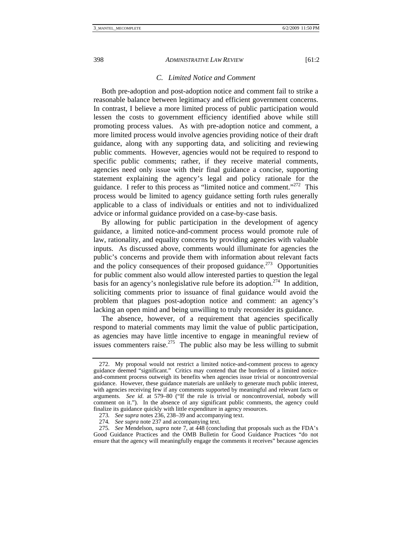#### *C. Limited Notice and Comment*

Both pre-adoption and post-adoption notice and comment fail to strike a reasonable balance between legitimacy and efficient government concerns. In contrast, I believe a more limited process of public participation would lessen the costs to government efficiency identified above while still promoting process values. As with pre-adoption notice and comment, a more limited process would involve agencies providing notice of their draft guidance, along with any supporting data, and soliciting and reviewing public comments. However, agencies would not be required to respond to specific public comments; rather, if they receive material comments, agencies need only issue with their final guidance a concise, supporting statement explaining the agency's legal and policy rationale for the guidance. I refer to this process as "limited notice and comment."<sup>272</sup> This process would be limited to agency guidance setting forth rules generally applicable to a class of individuals or entities and not to individualized advice or informal guidance provided on a case-by-case basis.

By allowing for public participation in the development of agency guidance, a limited notice-and-comment process would promote rule of law, rationality, and equality concerns by providing agencies with valuable inputs. As discussed above, comments would illuminate for agencies the public's concerns and provide them with information about relevant facts and the policy consequences of their proposed guidance.<sup>273</sup> Opportunities for public comment also would allow interested parties to question the legal basis for an agency's nonlegislative rule before its adoption.<sup>274</sup> In addition, soliciting comments prior to issuance of final guidance would avoid the problem that plagues post-adoption notice and comment: an agency's lacking an open mind and being unwilling to truly reconsider its guidance.

The absence, however, of a requirement that agencies specifically respond to material comments may limit the value of public participation, as agencies may have little incentive to engage in meaningful review of issues commenters raise.<sup>275</sup> The public also may be less willing to submit

 <sup>272.</sup> My proposal would not restrict a limited notice-and-comment process to agency guidance deemed "significant." Critics may contend that the burdens of a limited noticeand-comment process outweigh its benefits when agencies issue trivial or noncontroversial guidance. However, these guidance materials are unlikely to generate much public interest, with agencies receiving few if any comments supported by meaningful and relevant facts or arguments. *See id.* at 579–80 ("If the rule is trivial or noncontroversial, nobody will comment on it."). In the absence of any significant public comments, the agency could finalize its guidance quickly with little expenditure in agency resources.

<sup>273</sup>*. See supra* notes 236, 238–39 and accompanying text.

<sup>274</sup>*. See supra* note 237 and accompanying text.

<sup>275</sup>*. See* Mendelson, *supra* note 7, at 448 (concluding that proposals such as the FDA's Good Guidance Practices and the OMB Bulletin for Good Guidance Practices "do not ensure that the agency will meaningfully engage the comments it receives" because agencies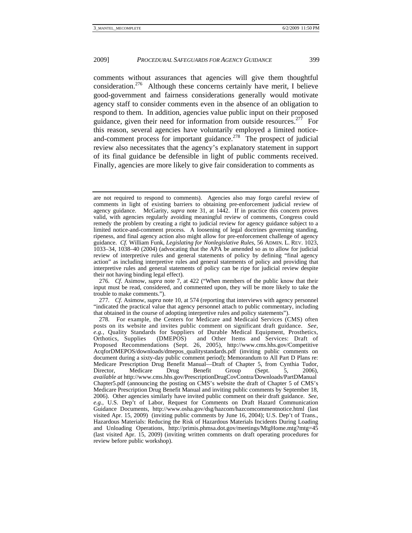comments without assurances that agencies will give them thoughtful consideration.<sup>276</sup> Although these concerns certainly have merit. I believe good-government and fairness considerations generally would motivate agency staff to consider comments even in the absence of an obligation to respond to them. In addition, agencies value public input on their proposed guidance, given their need for information from outside resources.<sup>277</sup> For this reason, several agencies have voluntarily employed a limited noticeand-comment process for important guidance.<sup>278</sup> The prospect of judicial review also necessitates that the agency's explanatory statement in support of its final guidance be defensible in light of public comments received. Finally, agencies are more likely to give fair consideration to comments as

277*. Cf.* Asimow, *supra* note 10, at 574 (reporting that interviews with agency personnel "indicated the practical value that agency personnel attach to public commentary, including that obtained in the course of adopting interpretive rules and policy statements").

are not required to respond to comments). Agencies also may forgo careful review of comments in light of existing barriers to obtaining pre-enforcement judicial review of agency guidance. McGarity, *supra* note 31, at 1442. If in practice this concern proves valid, with agencies regularly avoiding meaningful review of comments, Congress could remedy the problem by creating a right to judicial review for agency guidance subject to a limited notice-and-comment process. A loosening of legal doctrines governing standing, ripeness, and final agency action also might allow for pre-enforcement challenge of agency guidance. *Cf.* William Funk, *Legislating for Nonlegislative Rules*, 56 ADMIN. L. REV. 1023, 1033–34, 1038–40 (2004) (advocating that the APA be amended so as to allow for judicial review of interpretive rules and general statements of policy by defining "final agency action" as including interpretive rules and general statements of policy and providing that interpretive rules and general statements of policy can be ripe for judicial review despite their not having binding legal effect).

<sup>276</sup>*. Cf*. Asimow, *supra* note 7, at 422 ("When members of the public know that their input must be read, considered, and commented upon, they will be more likely to take the trouble to make comments.").

 <sup>278.</sup> For example, the Centers for Medicare and Medicaid Services (CMS) often posts on its website and invites public comment on significant draft guidance. *See, e.g.*, Quality Standards for Suppliers of Durable Medical Equipment, Prosthetics, Orthotics, Supplies (DMEPOS) and Other Items and Services: Draft of Proposed Recommendations (Sept. 26, 2005), http://www.cms.hhs.gov/Competitive AcqforDMEPOS/downloads/dmepos\_qualitystandards.pdf (inviting public comments on document during a sixty-day public comment period); Memorandum to All Part D Plans re: Medicare Prescription Drug Benefit Manual—Draft of Chapter 5, from Cynthia Tudor,<br>Director, Medicare Drug Benefit Group (Sept. 5, 2006), Director, Medicare Drug Benefit Group (Sept. 5, 2006), *available at* http://www.cms.hhs.gov/PrescriptionDrugCovContra/Downloads/PartDManual Chapter5.pdf (announcing the posting on CMS's website the draft of Chapter 5 of CMS's Medicare Prescription Drug Benefit Manual and inviting public comments by September 18, 2006). Other agencies similarly have invited public comment on their draft guidance. *See, e.g.*, U.S. Dep't of Labor, Request for Comments on Draft Hazard Communication Guidance Documents, http://www.osha.gov/dsg/hazcom/hazcomcommentnotice.html (last visited Apr. 15, 2009) (inviting public comments by June 16, 2004); U.S. Dep't of Trans., Hazardous Materials: Reducing the Risk of Hazardous Materials Incidents During Loading and Unloading Operations, http://primis.phmsa.dot.gov/meetings/MtgHome.mtg?mtg=45 (last visited Apr. 15, 2009) (inviting written comments on draft operating procedures for review before public workshop).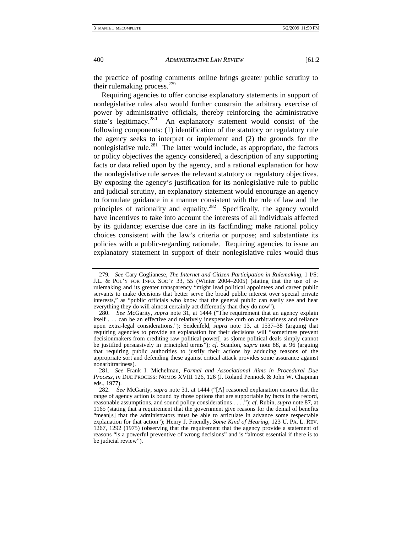the practice of posting comments online brings greater public scrutiny to their rulemaking process.  $279$ 

Requiring agencies to offer concise explanatory statements in support of nonlegislative rules also would further constrain the arbitrary exercise of power by administrative officials, thereby reinforcing the administrative state's legitimacy.<sup>280</sup> An explanatory statement would consist of the An explanatory statement would consist of the following components: (1) identification of the statutory or regulatory rule the agency seeks to interpret or implement and (2) the grounds for the nonlegislative rule.<sup>281</sup> The latter would include, as appropriate, the factors or policy objectives the agency considered, a description of any supporting facts or data relied upon by the agency, and a rational explanation for how the nonlegislative rule serves the relevant statutory or regulatory objectives. By exposing the agency's justification for its nonlegislative rule to public and judicial scrutiny, an explanatory statement would encourage an agency to formulate guidance in a manner consistent with the rule of law and the principles of rationality and equality.<sup>282</sup> Specifically, the agency would have incentives to take into account the interests of all individuals affected by its guidance; exercise due care in its factfinding; make rational policy choices consistent with the law's criteria or purpose; and substantiate its policies with a public-regarding rationale. Requiring agencies to issue an explanatory statement in support of their nonlegislative rules would thus

<sup>279</sup>*. See* Cary Coglianese, *The Internet and Citizen Participation in Rulemaking*, 1 I/S: J.L. & POL'Y FOR INFO. SOC'Y 33, 55 (Winter  $2004-2005$ ) (stating that the use of erulemaking and its greater transparency "might lead political appointees and career public servants to make decisions that better serve the broad public interest over special private interests," as "public officials who know that the general public can easily see and hear everything they do will almost certainly act differently than they do now").

 <sup>280.</sup> *See* McGarity, *supra* note 31, at 1444 ("The requirement that an agency explain itself . . . can be an effective and relatively inexpensive curb on arbitrariness and reliance upon extra-legal considerations."); Seidenfeld, *supra* note 13, at 1537–38 (arguing that requiring agencies to provide an explanation for their decisions will "sometimes prevent decisionmakers from crediting raw political power[, as s]ome political deals simply cannot be justified persuasively in principled terms"); *cf.* Scanlon, *supra* note 88, at 96 (arguing that requiring public authorities to justify their actions by adducing reasons of the appropriate sort and defending these against critical attack provides some assurance against nonarbitrariness).

<sup>281</sup>*. See* Frank I. Michelman, *Formal and Associational Aims in Procedural Due Process*, *in* DUE PROCESS: NOMOS XVIII 126, 126 (J. Roland Pennock & John W. Chapman eds., 1977).

 <sup>282.</sup> *See* McGarity, *supra* note 31, at 1444 ("[A] reasoned explanation ensures that the range of agency action is bound by those options that are supportable by facts in the record, reasonable assumptions, and sound policy considerations . . . ."); *cf*. Rubin, *supra* note 87, at 1165 (stating that a requirement that the government give reasons for the denial of benefits "mean[s] that the administrators must be able to articulate in advance some respectable explanation for that action"); Henry J. Friendly, *Some Kind of Hearing*, 123 U. PA. L. REV. 1267, 1292 (1975) (observing that the requirement that the agency provide a statement of reasons "is a powerful preventive of wrong decisions" and is "almost essential if there is to be judicial review").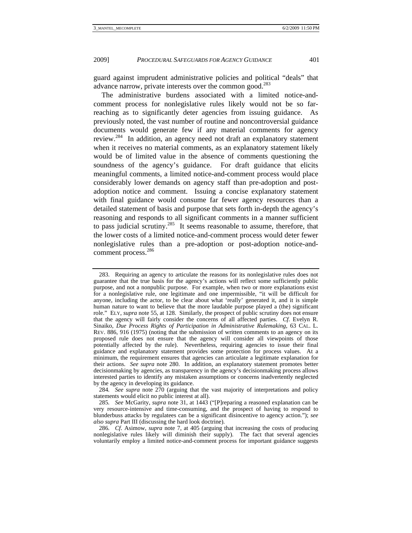guard against imprudent administrative policies and political "deals" that advance narrow, private interests over the common good.<sup>283</sup>

The administrative burdens associated with a limited notice-andcomment process for nonlegislative rules likely would not be so farreaching as to significantly deter agencies from issuing guidance. As previously noted, the vast number of routine and noncontroversial guidance documents would generate few if any material comments for agency review.284 In addition, an agency need not draft an explanatory statement when it receives no material comments, as an explanatory statement likely would be of limited value in the absence of comments questioning the soundness of the agency's guidance. For draft guidance that elicits meaningful comments, a limited notice-and-comment process would place considerably lower demands on agency staff than pre-adoption and postadoption notice and comment. Issuing a concise explanatory statement with final guidance would consume far fewer agency resources than a detailed statement of basis and purpose that sets forth in-depth the agency's reasoning and responds to all significant comments in a manner sufficient to pass judicial scrutiny.285 It seems reasonable to assume, therefore, that the lower costs of a limited notice-and-comment process would deter fewer nonlegislative rules than a pre-adoption or post-adoption notice-andcomment process.<sup>286</sup>

 <sup>283.</sup> Requiring an agency to articulate the reasons for its nonlegislative rules does not guarantee that the true basis for the agency's actions will reflect some sufficiently public purpose, and not a nonpublic purpose. For example, when two or more explanations exist for a nonlegislative rule, one legitimate and one impermissible, "it will be difficult for anyone, including the actor, to be clear about what 'really' generated it, and it is simple human nature to want to believe that the more laudable purpose played a (the) significant role." ELY, *supra* note 55, at 128. Similarly, the prospect of public scrutiny does not ensure that the agency will fairly consider the concerns of all affected parties. *Cf*. Evelyn R. Sinaiko, *Due Process Rights of Participation in Administrative Rulemaking*, 63 CAL. L. REV. 886, 916 (1975) (noting that the submission of written comments to an agency on its proposed rule does not ensure that the agency will consider all viewpoints of those potentially affected by the rule). Nevertheless, requiring agencies to issue their final guidance and explanatory statement provides some protection for process values. At a minimum, the requirement ensures that agencies can articulate a legitimate explanation for their actions. *See supra* note 280. In addition, an explanatory statement promotes better decisionmaking by agencies, as transparency in the agency's decisionmaking process allows interested parties to identify any mistaken assumptions or concerns inadvertently neglected by the agency in developing its guidance.

<sup>284</sup>*. See supra* note 270 (arguing that the vast majority of interpretations and policy statements would elicit no public interest at all).

<sup>285</sup>*. See* McGarity, *supra* note 31, at 1443 ("[P]reparing a reasoned explanation can be very resource-intensive and time-consuming, and the prospect of having to respond to blunderbuss attacks by regulatees can be a significant disincentive to agency action."); *see also supra* Part III (discussing the hard look doctrine).

<sup>286</sup>*. Cf*. Asimow, *supra* note 7, at 405 (arguing that increasing the costs of producing nonlegislative rules likely will diminish their supply). The fact that several agencies voluntarily employ a limited notice-and-comment process for important guidance suggests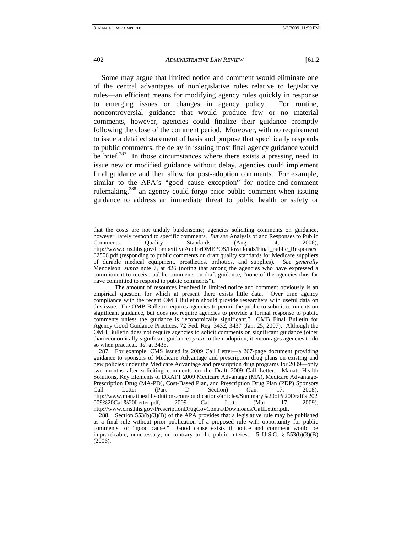Some may argue that limited notice and comment would eliminate one of the central advantages of nonlegislative rules relative to legislative rules—an efficient means for modifying agency rules quickly in response to emerging issues or changes in agency policy. For routine, noncontroversial guidance that would produce few or no material comments, however, agencies could finalize their guidance promptly following the close of the comment period. Moreover, with no requirement to issue a detailed statement of basis and purpose that specifically responds to public comments, the delay in issuing most final agency guidance would be brief.<sup>287</sup> In those circumstances where there exists a pressing need to issue new or modified guidance without delay, agencies could implement final guidance and then allow for post-adoption comments. For example, similar to the APA's "good cause exception" for notice-and-comment rulemaking,<sup>288</sup> an agency could forgo prior public comment when issuing guidance to address an immediate threat to public health or safety or

that the costs are not unduly burdensome; agencies soliciting comments on guidance, however, rarely respond to specific comments. *But see* Analysis of and Responses to Public Comments: Quality Standards (Aug. 14, 2006), http://www.cms.hhs.gov/CompetitiveAcqforDMEPOS/Downloads/Final\_public\_Responses 82506.pdf (responding to public comments on draft quality standards for Medicare suppliers of durable medical equipment, prosthetics, orthotics, and supplies). *See generally* Mendelson, *supra* note 7, at 426 (noting that among the agencies who have expressed a commitment to receive public comments on draft guidance, "none of the agencies thus far have committed to respond to public comments").

The amount of resources involved in limited notice and comment obviously is an empirical question for which at present there exists little data. Over time agency compliance with the recent OMB Bulletin should provide researchers with useful data on this issue. The OMB Bulletin requires agencies to permit the public to submit comments on significant guidance, but does not require agencies to provide a formal response to public comments unless the guidance is "economically significant." OMB Final Bulletin for Agency Good Guidance Practices, 72 Fed. Reg. 3432, 3437 (Jan. 25, 2007). Although the OMB Bulletin does not require agencies to solicit comments on significant guidance (other than economically significant guidance) *prior* to their adoption, it encourages agencies to do so when practical. *Id.* at 3438.

 <sup>287.</sup> For example, CMS issued its 2009 Call Letter—a 267-page document providing guidance to sponsors of Medicare Advantage and prescription drug plans on existing and new policies under the Medicare Advantage and prescription drug programs for 2009—only two months after soliciting comments on the Draft 2009 Call Letter. Manatt Health Solutions, Key Elements of DRAFT 2009 Medicare Advantage (MA), Medicare Advantage-Prescription Drug (MA-PD), Cost-Based Plan, and Prescription Drug Plan (PDP) Sponsors Call Letter (Part D Section) (Jan. 17, 2008), Call Letter (Part D Section) (Jan. 17, 2008), http://www.manatthealthsolutions.com/publications/articles/Summary%20of%20Draft%202 009%20Call%20Letter.pdf; 2009 Call Letter (Mar. 17, 2009), http://www.cms.hhs.gov/PrescriptionDrugCovContra/Downloads/CallLetter.pdf.

<sup>288.</sup> Section  $553(b)(3)(B)$  of the APA provides that a legislative rule may be published as a final rule without prior publication of a proposed rule with opportunity for public comments for "good cause." Good cause exists if notice and comment would be impracticable, unnecessary, or contrary to the public interest. 5 U.S.C.  $\S$  553(b)(3)(B) (2006).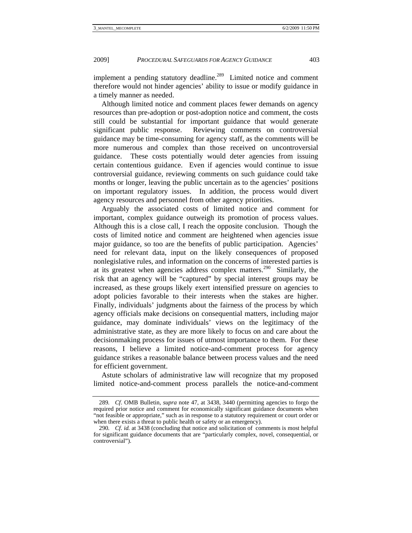implement a pending statutory deadline.<sup>289</sup> Limited notice and comment therefore would not hinder agencies' ability to issue or modify guidance in a timely manner as needed.

Although limited notice and comment places fewer demands on agency resources than pre-adoption or post-adoption notice and comment, the costs still could be substantial for important guidance that would generate significant public response. Reviewing comments on controversial guidance may be time-consuming for agency staff, as the comments will be more numerous and complex than those received on uncontroversial guidance. These costs potentially would deter agencies from issuing certain contentious guidance. Even if agencies would continue to issue controversial guidance, reviewing comments on such guidance could take months or longer, leaving the public uncertain as to the agencies' positions on important regulatory issues. In addition, the process would divert agency resources and personnel from other agency priorities.

Arguably the associated costs of limited notice and comment for important, complex guidance outweigh its promotion of process values. Although this is a close call, I reach the opposite conclusion. Though the costs of limited notice and comment are heightened when agencies issue major guidance, so too are the benefits of public participation. Agencies' need for relevant data, input on the likely consequences of proposed nonlegislative rules, and information on the concerns of interested parties is at its greatest when agencies address complex matters.290 Similarly, the risk that an agency will be "captured" by special interest groups may be increased, as these groups likely exert intensified pressure on agencies to adopt policies favorable to their interests when the stakes are higher. Finally, individuals' judgments about the fairness of the process by which agency officials make decisions on consequential matters, including major guidance, may dominate individuals' views on the legitimacy of the administrative state, as they are more likely to focus on and care about the decisionmaking process for issues of utmost importance to them. For these reasons, I believe a limited notice-and-comment process for agency guidance strikes a reasonable balance between process values and the need for efficient government.

Astute scholars of administrative law will recognize that my proposed limited notice-and-comment process parallels the notice-and-comment

<sup>289</sup>*. Cf*. OMB Bulletin, *supra* note 47, at 3438, 3440 (permitting agencies to forgo the required prior notice and comment for economically significant guidance documents when "not feasible or appropriate," such as in response to a statutory requirement or court order or when there exists a threat to public health or safety or an emergency).

<sup>290</sup>*. Cf. id.* at 3438 (concluding that notice and solicitation of comments is most helpful for significant guidance documents that are "particularly complex, novel, consequential, or controversial").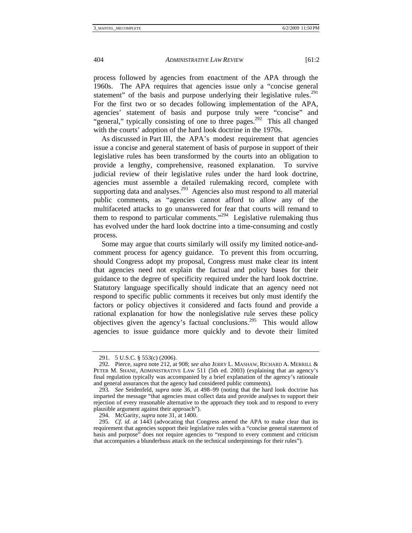process followed by agencies from enactment of the APA through the 1960s. The APA requires that agencies issue only a "concise general statement" of the basis and purpose underlying their legislative rules.<sup>291</sup> For the first two or so decades following implementation of the APA, agencies' statement of basis and purpose truly were "concise" and "general," typically consisting of one to three pages.<sup>292</sup> This all changed with the courts' adoption of the hard look doctrine in the 1970s.

As discussed in Part III, the APA's modest requirement that agencies issue a concise and general statement of basis of purpose in support of their legislative rules has been transformed by the courts into an obligation to provide a lengthy, comprehensive, reasoned explanation. To survive judicial review of their legislative rules under the hard look doctrine, agencies must assemble a detailed rulemaking record, complete with supporting data and analyses.<sup>293</sup> Agencies also must respond to all material public comments, as "agencies cannot afford to allow any of the multifaceted attacks to go unanswered for fear that courts will remand to them to respond to particular comments."<sup>294</sup> Legislative rulemaking thus has evolved under the hard look doctrine into a time-consuming and costly process.

Some may argue that courts similarly will ossify my limited notice-andcomment process for agency guidance. To prevent this from occurring, should Congress adopt my proposal, Congress must make clear its intent that agencies need not explain the factual and policy bases for their guidance to the degree of specificity required under the hard look doctrine. Statutory language specifically should indicate that an agency need not respond to specific public comments it receives but only must identify the factors or policy objectives it considered and facts found and provide a rational explanation for how the nonlegislative rule serves these policy objectives given the agency's factual conclusions.295 This would allow agencies to issue guidance more quickly and to devote their limited

 <sup>291. 5</sup> U.S.C. § 553(c) (2006).

<sup>292</sup>*.* Pierce, *supra* note 212, at 908; *see also* JERRY L. MASHAW, RICHARD A. MERRILL & PETER M. SHANE, ADMINISTRATIVE LAW 511 (5th ed. 2003) (explaining that an agency's final regulation typically was accompanied by a brief explanation of the agency's rationale and general assurances that the agency had considered public comments).

<sup>293</sup>*. See* Seidenfeld, *supra* note 36, at 498–99 (noting that the hard look doctrine has imparted the message "that agencies must collect data and provide analyses to support their rejection of every reasonable alternative to the approach they took and to respond to every plausible argument against their approach").

 <sup>294.</sup> McGarity, *supra* note 31, at 1400.

<sup>295</sup>*. Cf. id*. at 1443 (advocating that Congress amend the APA to make clear that its requirement that agencies support their legislative rules with a "concise general statement of basis and purpose" does not require agencies to "respond to every comment and criticism that accompanies a blunderbuss attack on the technical underpinnings for their rules").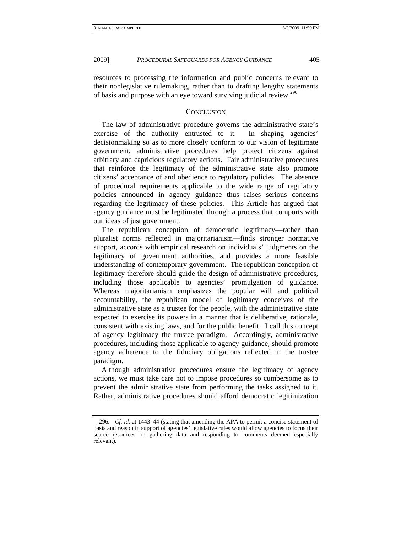resources to processing the information and public concerns relevant to their nonlegislative rulemaking, rather than to drafting lengthy statements of basis and purpose with an eye toward surviving judicial review.<sup>296</sup>

### **CONCLUSION**

The law of administrative procedure governs the administrative state's exercise of the authority entrusted to it. In shaping agencies' decisionmaking so as to more closely conform to our vision of legitimate government, administrative procedures help protect citizens against arbitrary and capricious regulatory actions. Fair administrative procedures that reinforce the legitimacy of the administrative state also promote citizens' acceptance of and obedience to regulatory policies. The absence of procedural requirements applicable to the wide range of regulatory policies announced in agency guidance thus raises serious concerns regarding the legitimacy of these policies. This Article has argued that agency guidance must be legitimated through a process that comports with our ideas of just government.

The republican conception of democratic legitimacy—rather than pluralist norms reflected in majoritarianism—finds stronger normative support, accords with empirical research on individuals' judgments on the legitimacy of government authorities, and provides a more feasible understanding of contemporary government. The republican conception of legitimacy therefore should guide the design of administrative procedures, including those applicable to agencies' promulgation of guidance. Whereas majoritarianism emphasizes the popular will and political accountability, the republican model of legitimacy conceives of the administrative state as a trustee for the people, with the administrative state expected to exercise its powers in a manner that is deliberative, rationale, consistent with existing laws, and for the public benefit. I call this concept of agency legitimacy the trustee paradigm. Accordingly, administrative procedures, including those applicable to agency guidance, should promote agency adherence to the fiduciary obligations reflected in the trustee paradigm.

Although administrative procedures ensure the legitimacy of agency actions, we must take care not to impose procedures so cumbersome as to prevent the administrative state from performing the tasks assigned to it. Rather, administrative procedures should afford democratic legitimization

<sup>296</sup>*. Cf. id.* at 1443–44 (stating that amending the APA to permit a concise statement of basis and reason in support of agencies' legislative rules would allow agencies to focus their scarce resources on gathering data and responding to comments deemed especially relevant).